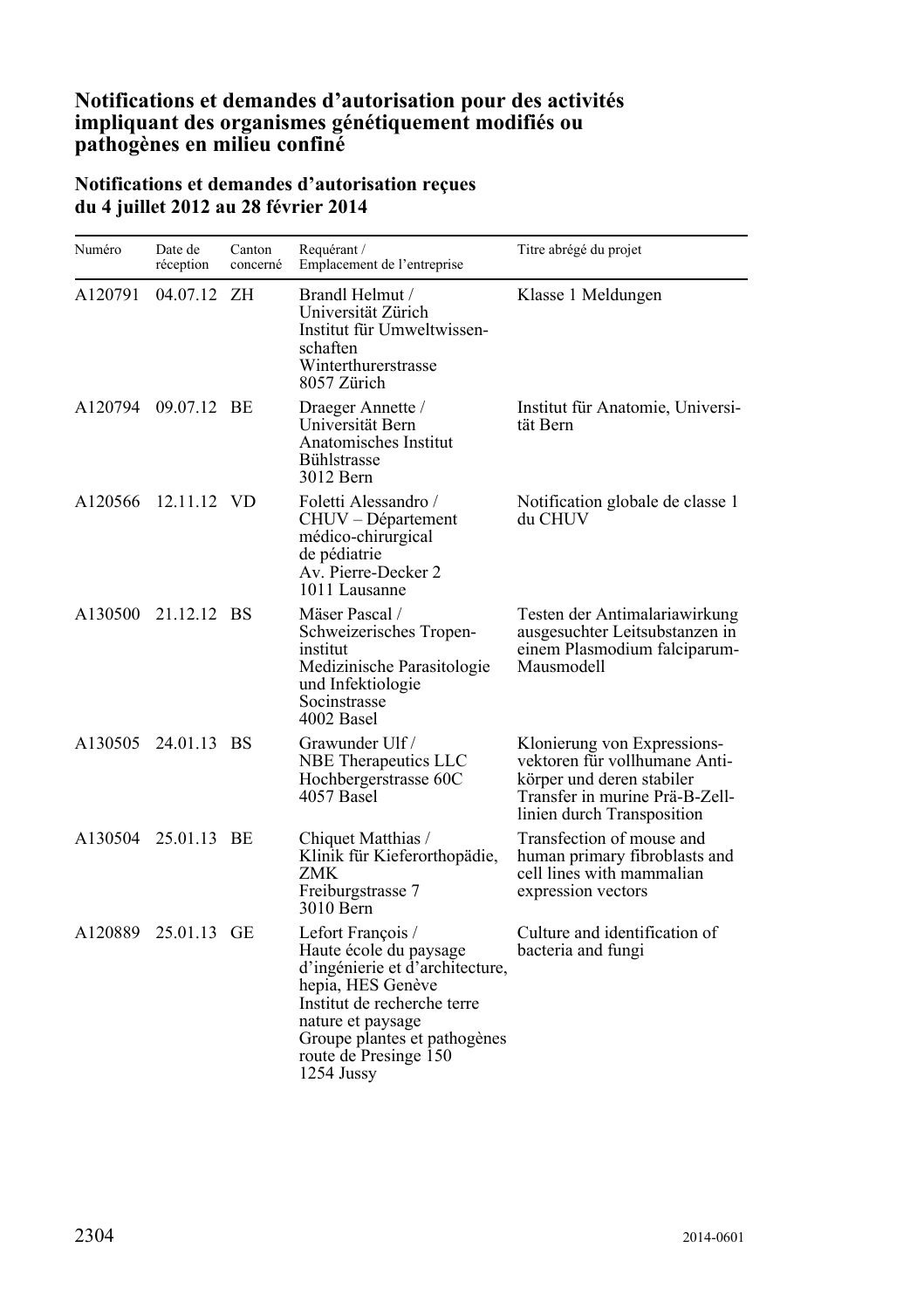## **Notifications et demandes d'autorisation pour des activités impliquant des organismes génétiquement modifiés ou pathogènes en milieu confiné**

## **Notifications et demandes d'autorisation reçues du 4 juillet 2012 au 28 février 2014**

| Numéro  | Date de<br>réception | Canton<br>concerné | Requérant /<br>Emplacement de l'entreprise                                                                                                                                                                                     | Titre abrégé du projet                                                                                                                                    |
|---------|----------------------|--------------------|--------------------------------------------------------------------------------------------------------------------------------------------------------------------------------------------------------------------------------|-----------------------------------------------------------------------------------------------------------------------------------------------------------|
| A120791 | 04.07.12 ZH          |                    | Brandl Helmut /<br>Universität Zürich<br>Institut für Umweltwissen-<br>schaften<br>Winterthurerstrasse<br>8057 Zürich                                                                                                          | Klasse 1 Meldungen                                                                                                                                        |
| A120794 | 09.07.12 BE          |                    | Draeger Annette /<br>Universität Bern<br>Anatomisches Institut<br>Bühlstrasse<br>3012 Bern                                                                                                                                     | Institut für Anatomie, Universi-<br>tät Bern                                                                                                              |
| A120566 | 12.11.12 VD          |                    | Foletti Alessandro /<br>CHUV – Département<br>médico-chirurgical<br>de pédiatrie<br>Av. Pierre-Decker 2<br>1011 Lausanne                                                                                                       | Notification globale de classe 1<br>du CHUV                                                                                                               |
| A130500 | 21.12.12 BS          |                    | Mäser Pascal /<br>Schweizerisches Tropen-<br>institut<br>Medizinische Parasitologie<br>und Infektiologie<br>Socinstrasse<br>4002 Basel                                                                                         | Testen der Antimalariawirkung<br>ausgesuchter Leitsubstanzen in<br>einem Plasmodium falciparum-<br>Mausmodell                                             |
| A130505 | 24.01.13 BS          |                    | Grawunder Ulf /<br>NBE Therapeutics LLC<br>Hochbergerstrasse 60C<br>4057 Basel                                                                                                                                                 | Klonierung von Expressions-<br>vektoren für vollhumane Anti-<br>körper und deren stabiler<br>Transfer in murine Prä-B-Zell-<br>linien durch Transposition |
|         | A130504 25.01.13 BE  |                    | Chiquet Matthias /<br>Klinik für Kieferorthopädie,<br>ZMK<br>Freiburgstrasse 7<br>3010 Bern                                                                                                                                    | Transfection of mouse and<br>human primary fibroblasts and<br>cell lines with mammalian<br>expression vectors                                             |
| A120889 | 25.01.13 GE          |                    | Lefort François /<br>Haute école du paysage<br>d'ingénierie et d'architecture,<br>hepia, HES Genève<br>Institut de recherche terre<br>nature et paysage<br>Groupe plantes et pathogènes<br>route de Presinge 150<br>1254 Jussy | Culture and identification of<br>bacteria and fungi                                                                                                       |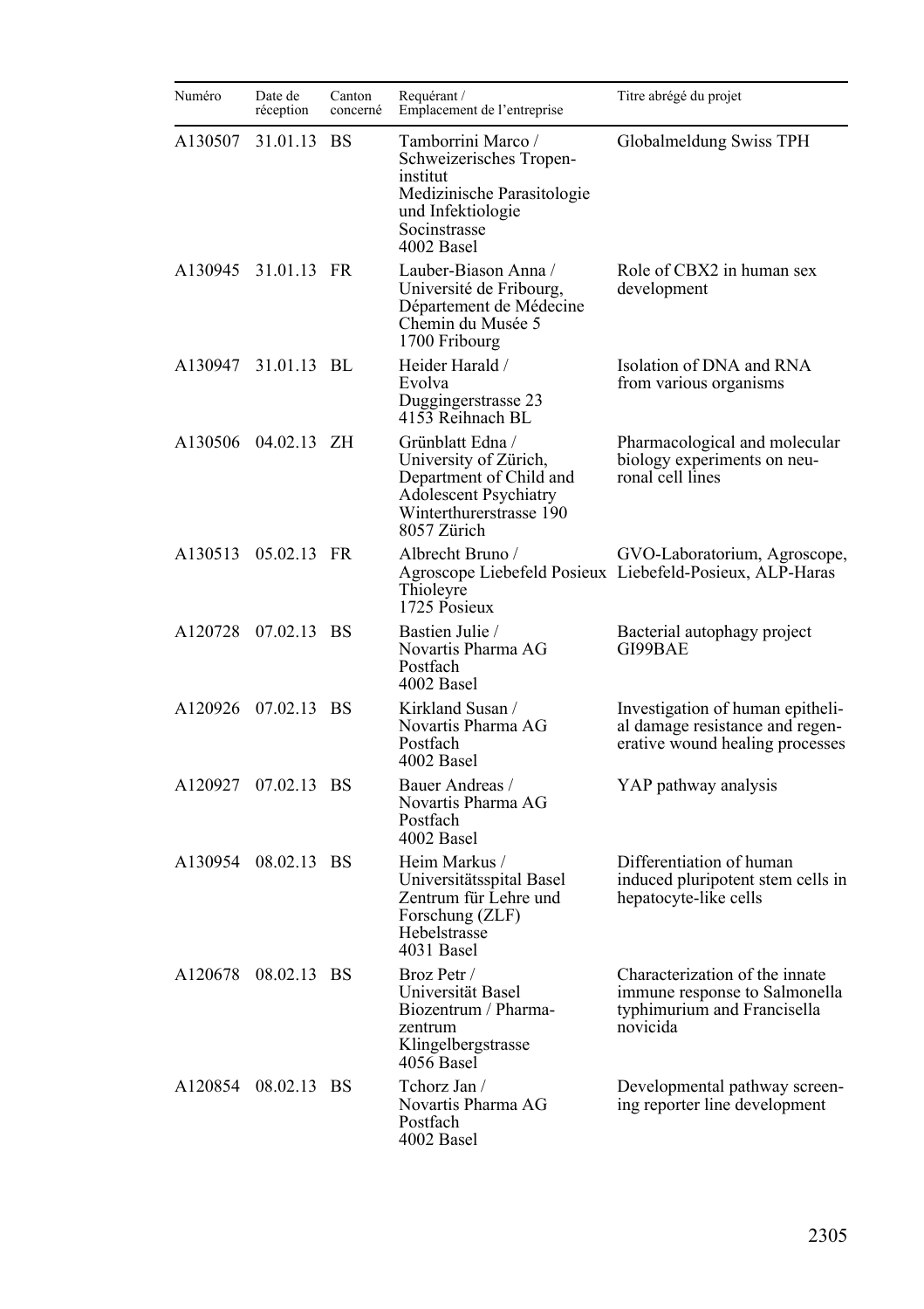| Numéro  | Date de<br>réception | Canton<br>concerné | Requérant /<br>Emplacement de l'entreprise                                                                                                     | Titre abrégé du projet                                                                                     |
|---------|----------------------|--------------------|------------------------------------------------------------------------------------------------------------------------------------------------|------------------------------------------------------------------------------------------------------------|
| A130507 | 31.01.13             | <b>BS</b>          | Tamborrini Marco /<br>Schweizerisches Tropen-<br>institut<br>Medizinische Parasitologie<br>und Infektiologie<br>Socinstrasse<br>4002 Basel     | Globalmeldung Swiss TPH                                                                                    |
| A130945 | 31.01.13 FR          |                    | Lauber-Biason Anna /<br>Université de Fribourg,<br>Département de Médecine<br>Chemin du Musée 5<br>1700 Fribourg                               | Role of CBX2 in human sex<br>development                                                                   |
|         | A130947 31.01.13 BL  |                    | Heider Harald /<br>Evolva<br>Duggingerstrasse 23<br>4153 Reihnach BL                                                                           | Isolation of DNA and RNA<br>from various organisms                                                         |
|         | A130506 04.02.13 ZH  |                    | Grünblatt Edna /<br>University of Zürich,<br>Department of Child and<br><b>Adolescent Psychiatry</b><br>Winterthurerstrasse 190<br>8057 Zürich | Pharmacological and molecular<br>biology experiments on neu-<br>ronal cell lines                           |
|         | A130513 05.02.13 FR  |                    | Albrecht Bruno /<br>Thioleyre<br>1725 Posieux                                                                                                  | GVO-Laboratorium, Agroscope,<br>Agroscope Liebefeld Posieux Liebefeld-Posieux, ALP-Haras                   |
| A120728 | 07.02.13 BS          |                    | Bastien Julie /<br>Novartis Pharma AG<br>Postfach<br>4002 Basel                                                                                | Bacterial autophagy project<br>GI99BAE                                                                     |
|         | A120926 07.02.13 BS  |                    | Kirkland Susan /<br>Novartis Pharma AG<br>Postfach<br>4002 Basel                                                                               | Investigation of human epitheli-<br>al damage resistance and regen-<br>erative wound healing processes     |
| A120927 | 07.02.13 BS          |                    | Bauer Andreas /<br>Novartis Pharma AG<br>Postfach<br>4002 Basel                                                                                | YAP pathway analysis                                                                                       |
| A130954 | 08.02.13 BS          |                    | Heim Markus /<br>Universitätsspital Basel<br>Zentrum für Lehre und<br>Forschung (ZLF)<br>Hebelstrasse<br>4031 Basel                            | Differentiation of human<br>induced pluripotent stem cells in<br>hepatocyte-like cells                     |
| A120678 | 08.02.13 BS          |                    | Broz Petr /<br>Universität Basel<br>Biozentrum / Pharma-<br>zentrum<br>Klingelbergstrasse<br>4056 Basel                                        | Characterization of the innate<br>immune response to Salmonella<br>typhimurium and Francisella<br>novicida |
|         | A120854 08.02.13 BS  |                    | Tchorz Jan /<br>Novartis Pharma AG<br>Postfach<br>4002 Basel                                                                                   | Developmental pathway screen-<br>ing reporter line development                                             |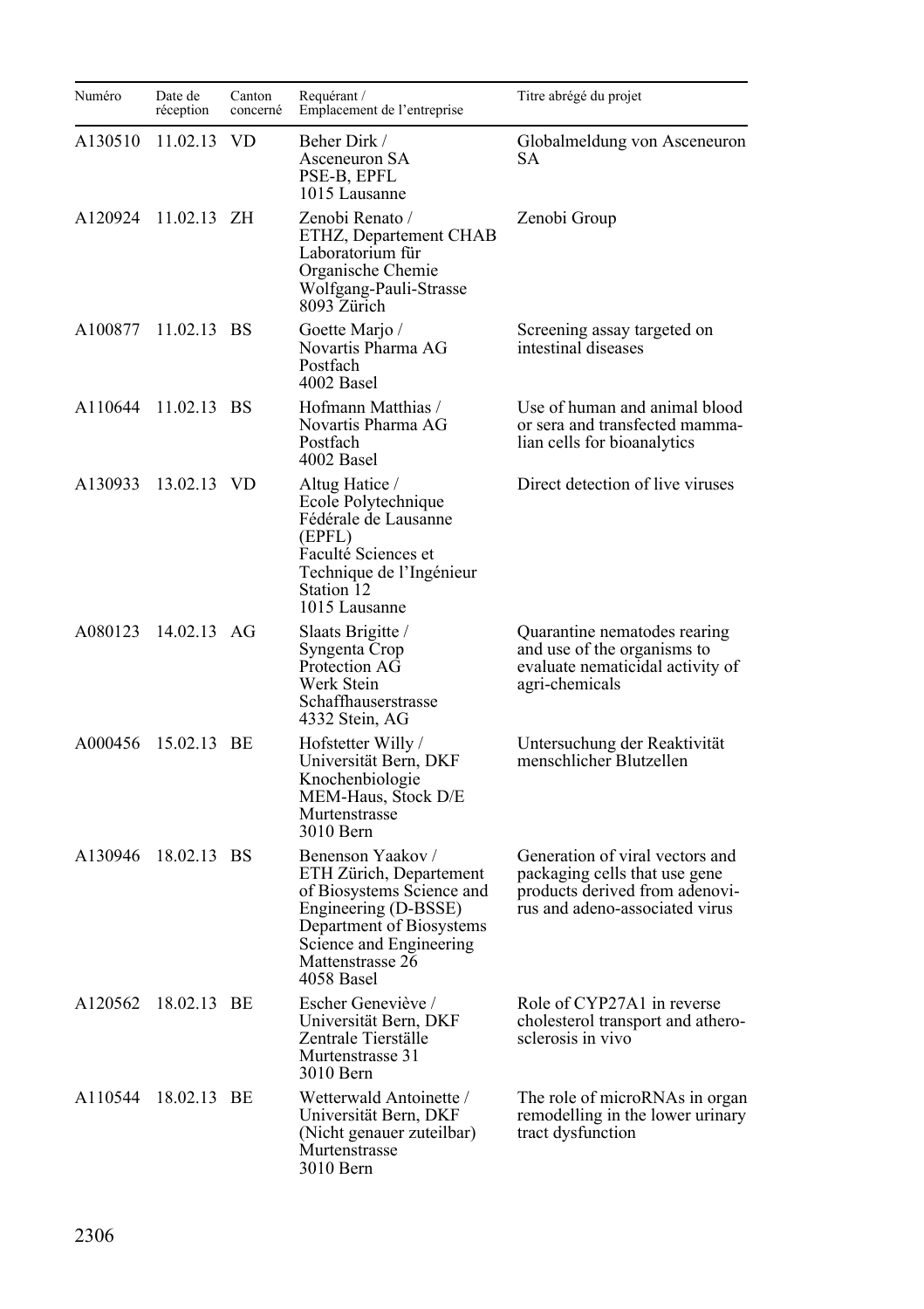| Numéro  | Date de<br>réception | Canton<br>concerné | Requérant /<br>Emplacement de l'entreprise                                                                                                                                                 | Titre abrégé du projet                                                                                                               |
|---------|----------------------|--------------------|--------------------------------------------------------------------------------------------------------------------------------------------------------------------------------------------|--------------------------------------------------------------------------------------------------------------------------------------|
| A130510 | 11.02.13 VD          |                    | Beher Dirk /<br>Asceneuron SA<br>PSE-B, EPFL<br>1015 Lausanne                                                                                                                              | Globalmeldung von Asceneuron<br>SА                                                                                                   |
| A120924 | $11.02.13$ ZH        |                    | Zenobi Renato /<br>ETHZ, Departement CHAB<br>Laboratorium für<br>Organische Chemie<br>Wolfgang-Pauli-Strasse<br>8093 Zürich                                                                | Zenobi Group                                                                                                                         |
| A100877 | 11.02.13 BS          |                    | Goette Marjo /<br>Novartis Pharma AG<br>Postfach<br>4002 Basel                                                                                                                             | Screening assay targeted on<br>intestinal diseases                                                                                   |
| A110644 | 11.02.13 BS          |                    | Hofmann Matthias /<br>Novartis Pharma AG<br>Postfach<br>4002 Basel                                                                                                                         | Use of human and animal blood<br>or sera and transfected mamma-<br>lian cells for bioanalytics                                       |
| A130933 | 13.02.13 VD          |                    | Altug Hatice /<br>Ecole Polytechnique<br>Fédérale de Lausanne<br>(EPFL)<br>Faculté Sciences et<br>Technique de l'Ingénieur<br>Station 12<br>1015 Lausanne                                  | Direct detection of live viruses                                                                                                     |
| A080123 | 14.02.13 AG          |                    | Slaats Brigitte /<br>Syngenta Crop<br>Protection AG<br>Werk Stein<br>Schaffhauserstrasse<br>4332 Stein, AG                                                                                 | Quarantine nematodes rearing<br>and use of the organisms to<br>evaluate nematicidal activity of<br>agri-chemicals                    |
|         | A000456 15.02.13 BE  |                    | Hofstetter Willy/<br>Universität Bern, DKF<br>Knochenbiologie<br>MEM-Haus, Stock D/E<br>Murtenstrasse<br>3010 Bern                                                                         | Untersuchung der Reaktivität<br>menschlicher Blutzellen                                                                              |
| A130946 | 18.02.13 BS          |                    | Benenson Yaakov /<br>ETH Zürich, Departement<br>of Biosystems Science and<br>Engineering (D-BSSE)<br>Department of Biosystems<br>Science and Engineering<br>Mattenstrasse 26<br>4058 Basel | Generation of viral vectors and<br>packaging cells that use gene<br>products derived from adenovi-<br>rus and adeno-associated virus |
|         | A120562 18.02.13 BE  |                    | Escher Geneviève /<br>Universität Bern, DKF<br>Zentrale Tierställe<br>Murtenstrasse 31<br>3010 Bern                                                                                        | Role of CYP27A1 in reverse<br>cholesterol transport and athero-<br>sclerosis in vivo                                                 |
| A110544 | 18.02.13 BE          |                    | Wetterwald Antoinette /<br>Universität Bern, DKF<br>(Nicht genauer zuteilbar)<br>Murtenstrasse<br>3010 Bern                                                                                | The role of microRNAs in organ<br>remodelling in the lower urinary<br>tract dysfunction                                              |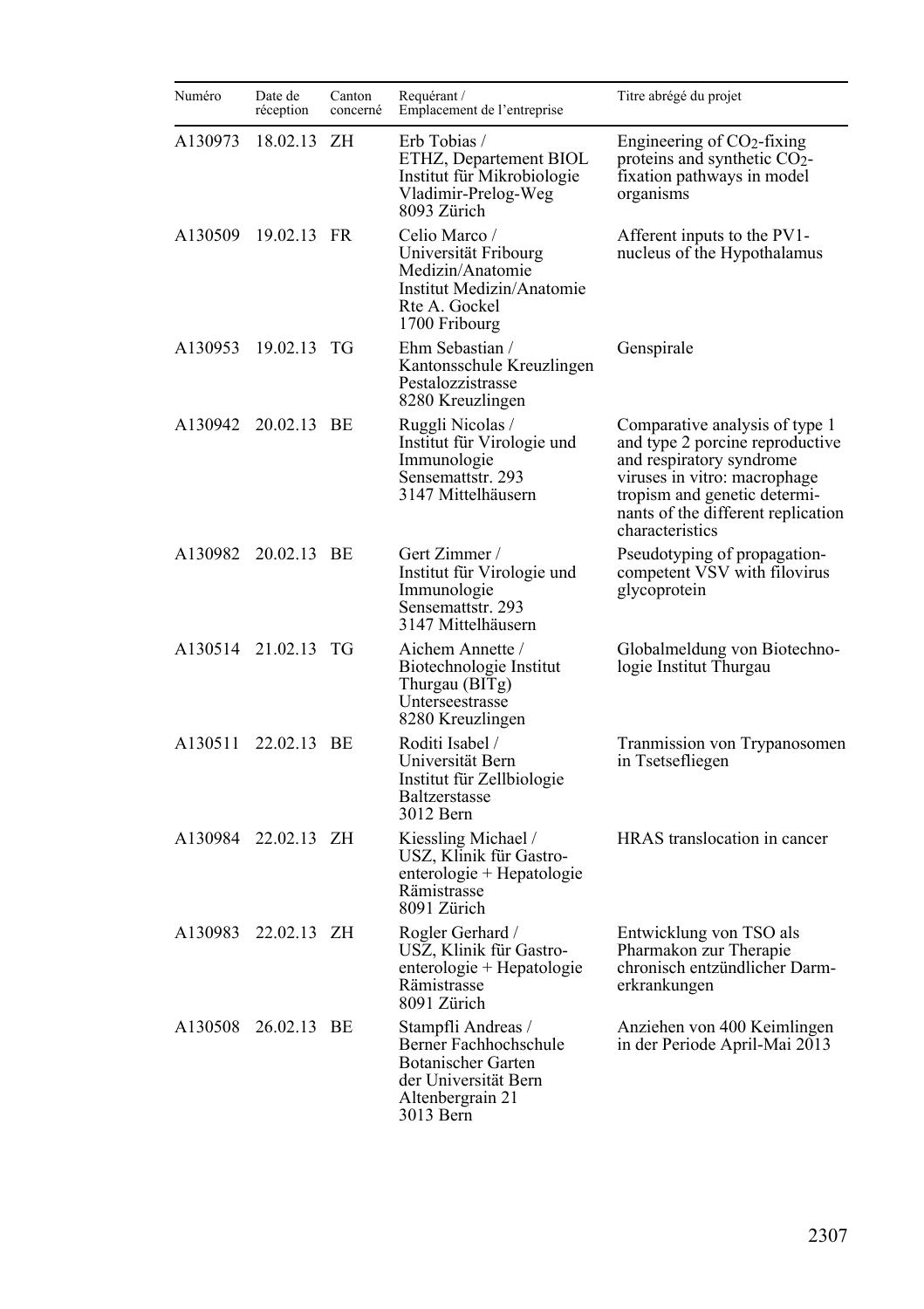| Numéro  | Date de<br>réception | Canton<br>concerné | Requérant /<br>Emplacement de l'entreprise                                                                                 | Titre abrégé du projet                                                                                                                                                                                                 |
|---------|----------------------|--------------------|----------------------------------------------------------------------------------------------------------------------------|------------------------------------------------------------------------------------------------------------------------------------------------------------------------------------------------------------------------|
| A130973 | 18.02.13 ZH          |                    | Erb Tobias /<br>ETHZ, Departement BIOL<br>Institut für Mikrobiologie<br>Vladimir-Prelog-Weg<br>8093 Zürich                 | Engineering of $CO2$ -fixing<br>proteins and synthetic $CO2$ -<br>fixation pathways in model<br>organisms                                                                                                              |
| A130509 | 19.02.13 FR          |                    | Celio Marco /<br>Universität Fribourg<br>Medizin/Anatomie<br>Institut Medizin/Anatomie<br>Rte A. Gockel<br>1700 Fribourg   | Afferent inputs to the PV1-<br>nucleus of the Hypothalamus                                                                                                                                                             |
| A130953 | 19.02.13 TG          |                    | Ehm Sebastian /<br>Kantonsschule Kreuzlingen<br>Pestalozzistrasse<br>8280 Kreuzlingen                                      | Genspirale                                                                                                                                                                                                             |
| A130942 | 20.02.13 BE          |                    | Ruggli Nicolas /<br>Institut für Virologie und<br>Immunologie<br>Sensemattstr. 293<br>3147 Mittelhäusern                   | Comparative analysis of type 1<br>and type 2 porcine reproductive<br>and respiratory syndrome<br>viruses in vitro: macrophage<br>tropism and genetic determi-<br>nants of the different replication<br>characteristics |
| A130982 | 20.02.13 BE          |                    | Gert Zimmer /<br>Institut für Virologie und<br>Immunologie<br>Sensemattstr. 293<br>3147 Mittelhäusern                      | Pseudotyping of propagation-<br>competent VSV with filovirus<br>glycoprotein                                                                                                                                           |
|         | A130514 21.02.13 TG  |                    | Aichem Annette /<br>Biotechnologie Institut<br>Thurgau (BITg)<br>Unterseestrasse<br>8280 Kreuzlingen                       | Globalmeldung von Biotechno-<br>logie Institut Thurgau                                                                                                                                                                 |
| A130511 | 22.02.13 BE          |                    | Roditi Isabel /<br>Universität Bern<br>Institut für Zellbiologie<br><b>Baltzerstasse</b><br>3012 Bern                      | Tranmission von Trypanosomen<br>in Tsetsefliegen                                                                                                                                                                       |
| A130984 | 22.02.13 ZH          |                    | Kiessling Michael /<br>USZ, Klinik für Gastro-<br>enterologie + Hepatologie<br>Rämistrasse<br>8091 Zürich                  | HRAS translocation in cancer                                                                                                                                                                                           |
| A130983 | 22.02.13 ZH          |                    | Rogler Gerhard /<br>USZ, Klinik für Gastro-<br>enterologie + Hepatologie<br>Rämistrasse<br>8091 Zürich                     | Entwicklung von TSO als<br>Pharmakon zur Therapie<br>chronisch entzündlicher Darm-<br>erkrankungen                                                                                                                     |
|         | A130508 26.02.13 BE  |                    | Stampfli Andreas /<br>Berner Fachhochschule<br>Botanischer Garten<br>der Universität Bern<br>Altenbergrain 21<br>3013 Bern | Anziehen von 400 Keimlingen<br>in der Periode April-Mai 2013                                                                                                                                                           |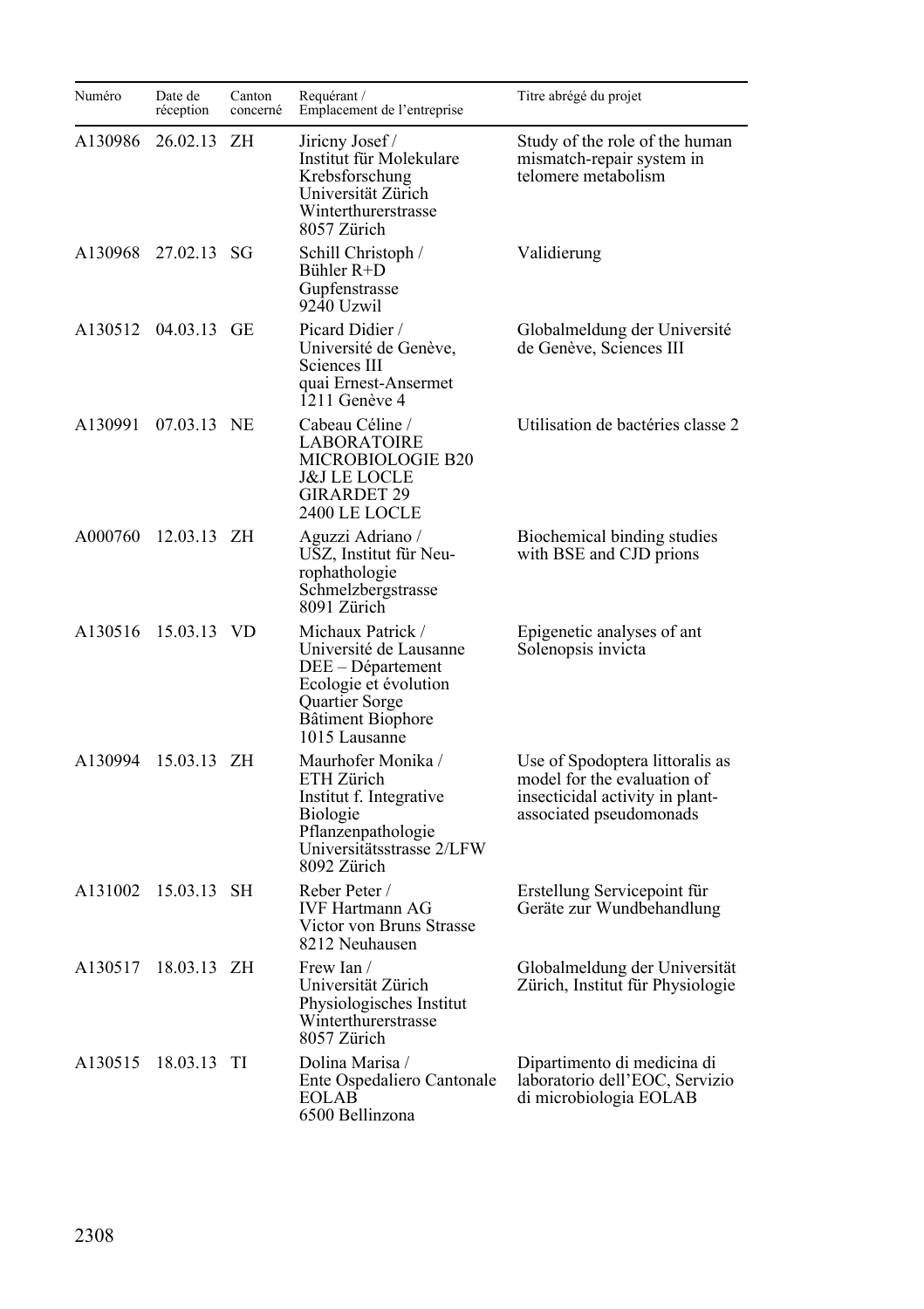| Numéro  | Date de<br>réception | Canton<br>concerné | Requérant /<br>Emplacement de l'entreprise                                                                                                        | Titre abrégé du projet                                                                                                       |
|---------|----------------------|--------------------|---------------------------------------------------------------------------------------------------------------------------------------------------|------------------------------------------------------------------------------------------------------------------------------|
| A130986 | 26.02.13             | ΖH                 | Jirieny Josef /<br>Institut für Molekulare<br>Krebsforschung<br>Universität Zürich<br>Winterthurerstrasse<br>8057 Zürich                          | Study of the role of the human<br>mismatch-repair system in<br>telomere metabolism                                           |
| A130968 | 27.02.13 SG          |                    | Schill Christoph /<br>Bühler R+D<br>Gupfenstrasse<br>9240 Uzwil                                                                                   | Validierung                                                                                                                  |
| A130512 | 04.03.13 GE          |                    | Picard Didier /<br>Université de Genève,<br>Sciences III<br>quai Ernest-Ansermet<br>1211 Genève 4                                                 | Globalmeldung der Université<br>de Genève, Sciences III                                                                      |
| A130991 | 07.03.13 NE          |                    | Cabeau Céline /<br><b>LABORATOIRE</b><br>MICROBIOLOGIE B20<br>J&J LE LOCLE<br><b>GIRARDET 29</b><br>2400 LE LOCLE                                 | Utilisation de bactéries classe 2                                                                                            |
| A000760 | 12.03.13 ZH          |                    | Aguzzi Adriano /<br>USZ, Institut für Neu-<br>rophathologie<br>Schmelzbergstrasse<br>8091 Zürich                                                  | Biochemical binding studies<br>with BSE and CJD prions                                                                       |
| A130516 | 15.03.13 VD          |                    | Michaux Patrick /<br>Université de Lausanne<br>DEE – Département<br>Ecologie et évolution<br>Quartier Sorge<br>Bâtiment Biophore<br>1015 Lausanne | Epigenetic analyses of ant<br>Solenopsis invicta                                                                             |
| A130994 | 15.03.13 ZH          |                    | Maurhofer Monika /<br>ETH Zürich<br>Institut f. Integrative<br>Biologie<br>Pflanzenpathologie<br>Universitätsstrasse 2/LFW<br>8092 Zürich         | Use of Spodoptera littoralis as<br>model for the evaluation of<br>insecticidal activity in plant-<br>associated pseudomonads |
| A131002 | 15.03.13 SH          |                    | Reber Peter /<br><b>IVF Hartmann AG</b><br>Victor von Bruns Strasse<br>8212 Neuhausen                                                             | Erstellung Servicepoint für<br>Geräte zur Wundbehandlung                                                                     |
| A130517 | 18.03.13 ZH          |                    | Frew Ian /<br>Universität Zürich<br>Physiologisches Institut<br>Winterthurerstrasse<br>8057 Zürich                                                | Globalmeldung der Universität<br>Zürich, Institut für Physiologie                                                            |
| A130515 | 18.03.13 TI          |                    | Dolina Marisa /<br>Ente Ospedaliero Cantonale<br>EOLAB<br>6500 Bellinzona                                                                         | Dipartimento di medicina di<br>laboratorio dell'EOC, Servizio<br>di microbiologia EOLAB                                      |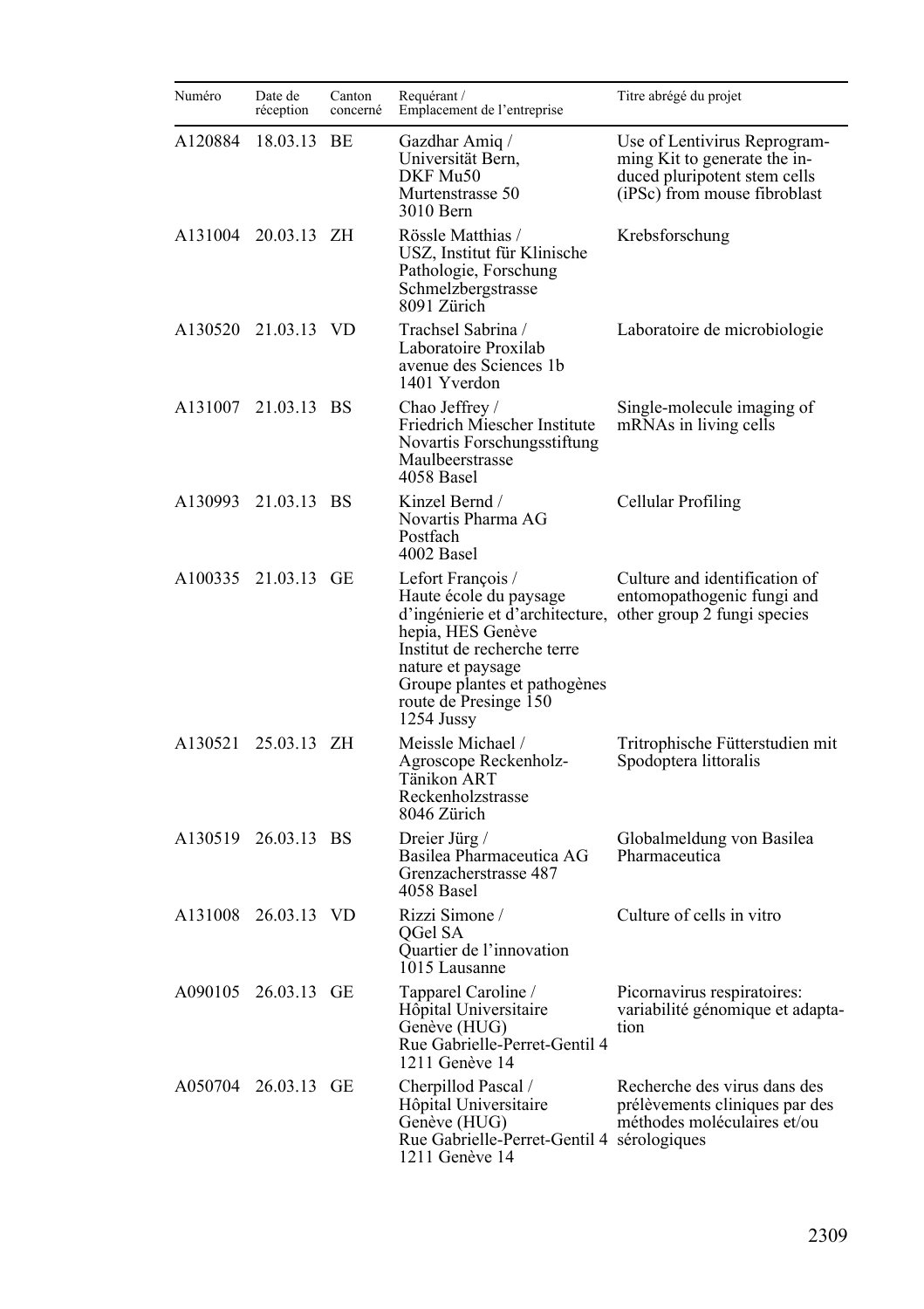| Numéro  | Date de<br>réception | Canton<br>concerné | Requérant /<br>Emplacement de l'entreprise                                                                                                                                                                                                                | Titre abrégé du projet                                                                                                       |
|---------|----------------------|--------------------|-----------------------------------------------------------------------------------------------------------------------------------------------------------------------------------------------------------------------------------------------------------|------------------------------------------------------------------------------------------------------------------------------|
| A120884 | 18.03.13 BE          |                    | Gazdhar Amig /<br>Universität Bern,<br>DKF Mu50<br>Murtenstrasse 50<br>3010 Bern                                                                                                                                                                          | Use of Lentivirus Reprogram-<br>ming Kit to generate the in-<br>duced pluripotent stem cells<br>(iPSc) from mouse fibroblast |
| A131004 | 20.03.13 ZH          |                    | Rössle Matthias /<br>USZ, Institut für Klinische<br>Pathologie, Forschung<br>Schmelzbergstrasse<br>8091 Zürich                                                                                                                                            | Krebsforschung                                                                                                               |
| A130520 | 21.03.13 VD          |                    | Trachsel Sabrina /<br>Laboratoire Proxilab<br>avenue des Sciences 1b<br>1401 Yverdon                                                                                                                                                                      | Laboratoire de microbiologie                                                                                                 |
| A131007 | 21.03.13 BS          |                    | Chao Jeffrey /<br>Friedrich Miescher Institute<br>Novartis Forschungsstiftung<br>Maulbeerstrasse<br>4058 Basel                                                                                                                                            | Single-molecule imaging of<br>mRNAs in living cells                                                                          |
| A130993 | 21.03.13 BS          |                    | Kinzel Bernd /<br>Novartis Pharma AG<br>Postfach<br>4002 Basel                                                                                                                                                                                            | Cellular Profiling                                                                                                           |
| A100335 | 21.03.13 GE          |                    | Lefort Francois/<br>Haute école du paysage<br>d'ingénierie et d'architecture, other group 2 fungi species<br>hepia, HES Genève<br>Institut de recherche terre<br>nature et paysage<br>Groupe plantes et pathogènes<br>route de Presinge 150<br>1254 Jussy | Culture and identification of<br>entomopathogenic fungi and                                                                  |
|         | A130521 25.03.13 ZH  |                    | Meissle Michael /<br>Agroscope Reckenholz-<br>Tänikon ART<br>Reckenholzstrasse<br>8046 Zürich                                                                                                                                                             | Tritrophische Fütterstudien mit<br>Spodoptera littoralis                                                                     |
| A130519 | 26.03.13 BS          |                    | Dreier Jürg /<br>Basilea Pharmaceutica AG<br>Grenzacherstrasse 487<br>4058 Basel                                                                                                                                                                          | Globalmeldung von Basilea<br>Pharmaceutica                                                                                   |
| A131008 | 26.03.13 VD          |                    | Rizzi Simone /<br>OGel SA<br>Quartier de l'innovation<br>1015 Lausanne                                                                                                                                                                                    | Culture of cells in vitro                                                                                                    |
| A090105 | 26.03.13 GE          |                    | Tapparel Caroline /<br>Hôpital Universitaire<br>Genève (HUG)<br>Rue Gabrielle-Perret-Gentil 4<br>1211 Genève 14                                                                                                                                           | Picornavirus respiratoires:<br>variabilité génomique et adapta-<br>tion                                                      |
| A050704 | 26.03.13 GE          |                    | Cherpillod Pascal /<br>Hôpital Universitaire<br>Genève (HUG)<br>Rue Gabrielle-Perret-Gentil 4 sérologiques<br>1211 Genève 14                                                                                                                              | Recherche des virus dans des<br>prélèvements cliniques par des<br>méthodes moléculaires et/ou                                |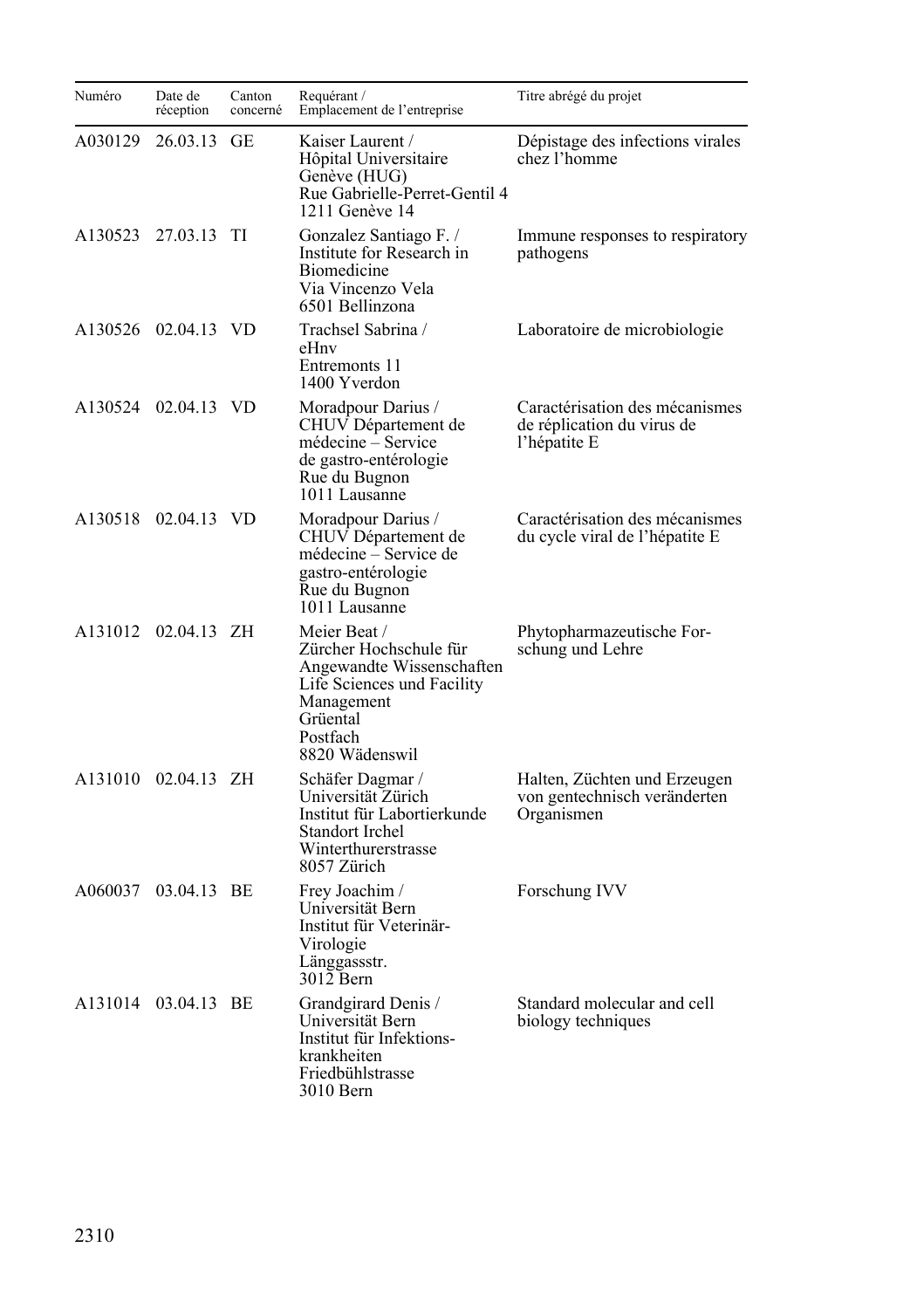| Numéro  | Date de<br>réception | Canton<br>concerné | Requérant /<br>Emplacement de l'entreprise                                                                                                                | Titre abrégé du projet                                                       |
|---------|----------------------|--------------------|-----------------------------------------------------------------------------------------------------------------------------------------------------------|------------------------------------------------------------------------------|
| A030129 | 26.03.13             | GE                 | Kaiser Laurent /<br>Hôpital Universitaire<br>Genève (HUG)<br>Rue Gabrielle-Perret-Gentil 4<br>1211 Genève 14                                              | Dépistage des infections virales<br>chez l'homme                             |
| A130523 | 27.03.13 TI          |                    | Gonzalez Santiago F. /<br>Institute for Research in<br><b>Biomedicine</b><br>Via Vincenzo Vela<br>6501 Bellinzona                                         | Immune responses to respiratory<br>pathogens                                 |
|         | A130526 02.04.13 VD  |                    | Trachsel Sabrina /<br>eHnv<br>Entremonts 11<br>1400 Yverdon                                                                                               | Laboratoire de microbiologie                                                 |
|         | A130524 02.04.13 VD  |                    | Moradpour Darius /<br>CHUV Département de<br>médecine - Service<br>de gastro-entérologie<br>Rue du Bugnon<br>1011 Lausanne                                | Caractérisation des mécanismes<br>de réplication du virus de<br>l'hépatite E |
|         | A130518 02.04.13 VD  |                    | Moradpour Darius /<br>CHUV Département de<br>médecine - Service de<br>gastro-entérologie<br>Rue du Bugnon<br>1011 Lausanne                                | Caractérisation des mécanismes<br>du cycle viral de l'hépatite E             |
| A131012 | 02.04.13 ZH          |                    | Meier Beat /<br>Zürcher Hochschule für<br>Angewandte Wissenschaften<br>Life Sciences und Facility<br>Management<br>Grüental<br>Postfach<br>8820 Wädenswil | Phytopharmazeutische For-<br>schung und Lehre                                |
|         | A131010 02.04.13 ZH  |                    | Schäfer Dagmar /<br>Universität Zürich<br>Institut für Labortierkunde<br>Standort Irchel<br>Winterthurerstrasse<br>8057 Zürich                            | Halten, Züchten und Erzeugen<br>von gentechnisch veränderten<br>Organismen   |
| A060037 | 03.04.13 BE          |                    | Frey Joachim /<br>Universität Bern<br>Institut für Veterinär-<br>Virologie<br>Länggassstr.<br>3012 Bern                                                   | Forschung IVV                                                                |
|         | A131014 03.04.13 BE  |                    | Grandgirard Denis /<br>Universität Bern<br>Institut für Infektions-<br>krankheiten<br>Friedbühlstrasse<br>3010 Bern                                       | Standard molecular and cell<br>biology techniques                            |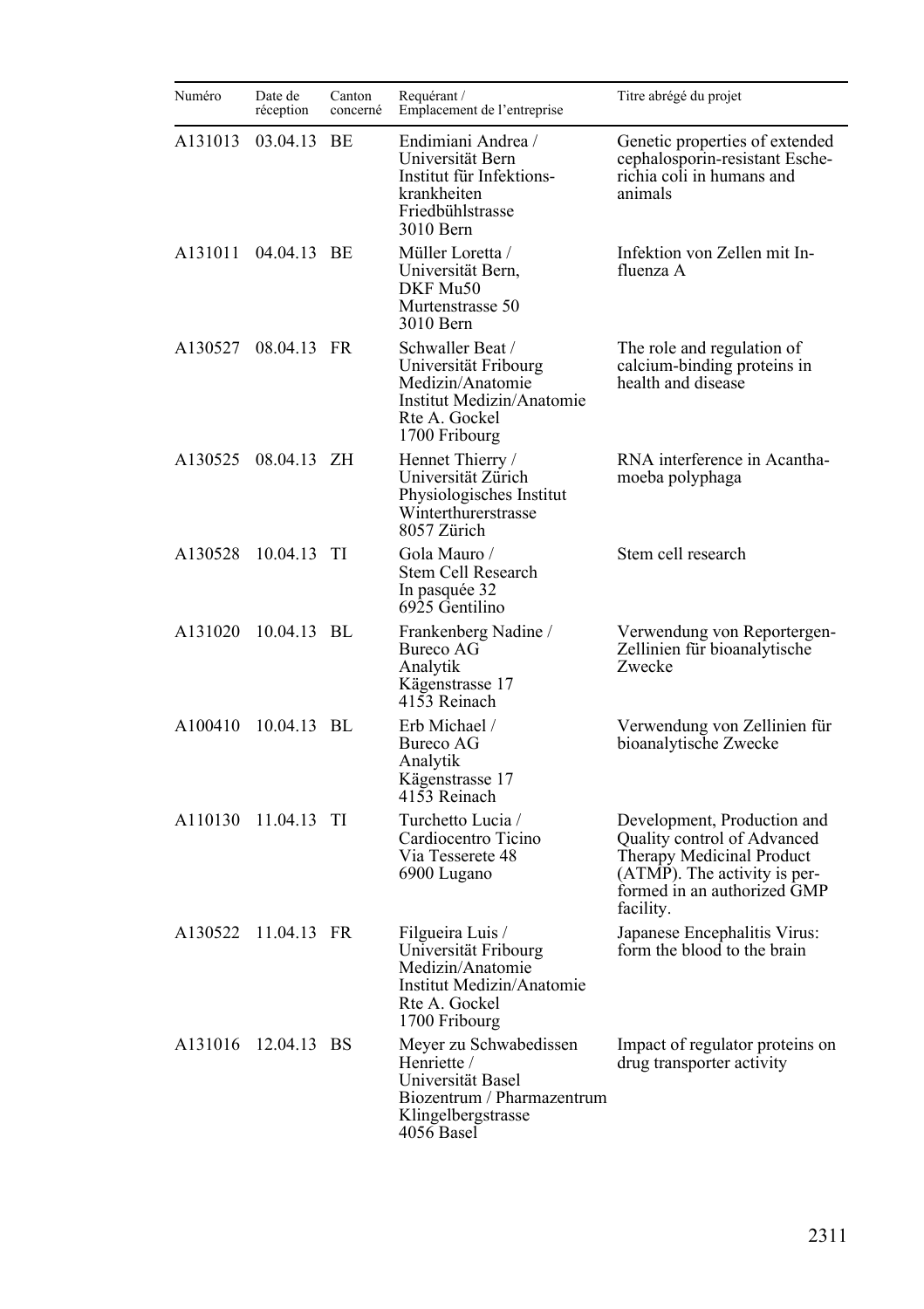| Numéro  | Date de<br>réception | Canton<br>concerné | Requérant /<br>Emplacement de l'entreprise                                                                                   | Titre abrégé du projet                                                                                                                                              |
|---------|----------------------|--------------------|------------------------------------------------------------------------------------------------------------------------------|---------------------------------------------------------------------------------------------------------------------------------------------------------------------|
| A131013 | 03.04.13             | <b>BE</b>          | Endimiani Andrea /<br>Universität Bern<br>Institut für Infektions-<br>krankheiten<br>Friedbühlstrasse<br>3010 Bern           | Genetic properties of extended<br>cephalosporin-resistant Esche-<br>richia coli in humans and<br>animals                                                            |
|         | A131011 04.04.13 BE  |                    | Müller Loretta /<br>Universität Bern,<br>DKF Mu50<br>Murtenstrasse 50<br>3010 Bern                                           | Infektion von Zellen mit In-<br>fluenza A                                                                                                                           |
| A130527 | 08.04.13 FR          |                    | Schwaller Beat /<br>Universität Fribourg<br>Medizin/Anatomie<br>Institut Medizin/Anatomie<br>Rte A. Gockel<br>1700 Fribourg  | The role and regulation of<br>calcium-binding proteins in<br>health and disease                                                                                     |
| A130525 | 08.04.13 ZH          |                    | Hennet Thierry /<br>Universität Zürich<br>Physiologisches Institut<br>Winterthurerstrasse<br>8057 Zürich                     | RNA interference in Acantha-<br>moeba polyphaga                                                                                                                     |
| A130528 | 10.04.13 TI          |                    | Gola Mauro /<br>Stem Cell Research<br>In pasquée 32<br>6925 Gentilino                                                        | Stem cell research                                                                                                                                                  |
| A131020 | 10.04.13 BL          |                    | Frankenberg Nadine /<br>Bureco AG<br>Analytik<br>Kägenstrasse 17<br>4153 Reinach                                             | Verwendung von Reportergen-<br>Zellinien für bioanalytische<br>Zwecke                                                                                               |
| A100410 | 10.04.13 BL          |                    | Erb Michael /<br>Bureco AG<br>Analytik<br>Kägenstrasse 17<br>4153 Reinach                                                    | Verwendung von Zellinien für<br>bioanalytische Zwecke                                                                                                               |
|         | A110130 11.04.13 TI  |                    | Turchetto Lucia /<br>Cardiocentro Ticino<br>Via Tesserete 48<br>6900 Lugano                                                  | Development, Production and<br>Quality control of Advanced<br>Therapy Medicinal Product<br>(ATMP). The activity is per-<br>formed in an authorized GMP<br>facility. |
| A130522 | 11.04.13 FR          |                    | Filgueira Luis /<br>Universität Fribourg<br>Medizin/Anatomie<br>Institut Medizin/Anatomie<br>Rte A. Gockel<br>1700 Fribourg  | Japanese Encephalitis Virus:<br>form the blood to the brain                                                                                                         |
| A131016 | 12.04.13 BS          |                    | Meyer zu Schwabedissen<br>Henriette /<br>Universität Basel<br>Biozentrum / Pharmazentrum<br>Klingelbergstrasse<br>4056 Basel | Impact of regulator proteins on<br>drug transporter activity                                                                                                        |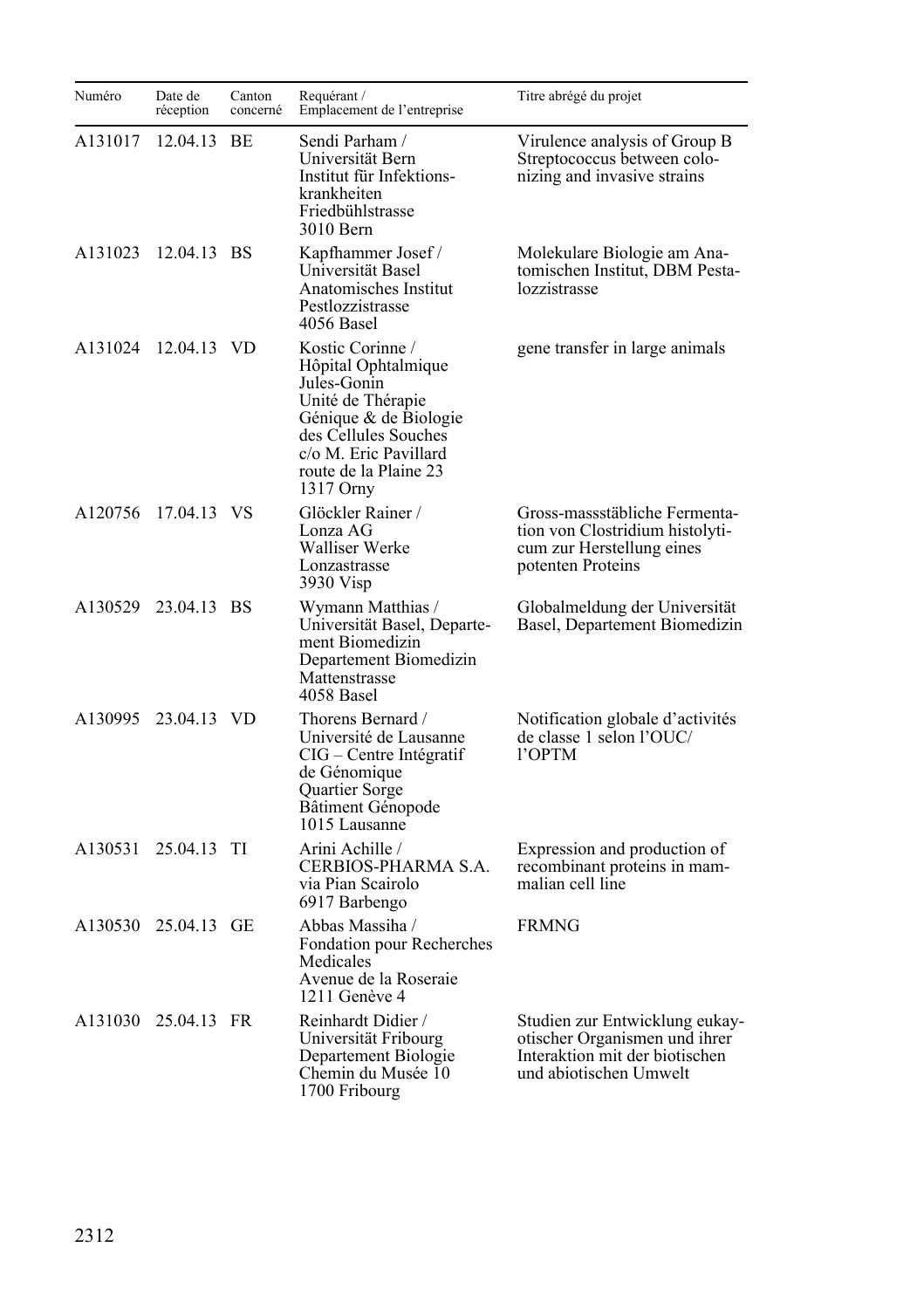| Numéro  | Date de<br>réception | Canton<br>concerné | Requérant /<br>Emplacement de l'entreprise                                                                                                                                                  | Titre abrégé du projet                                                                                                      |
|---------|----------------------|--------------------|---------------------------------------------------------------------------------------------------------------------------------------------------------------------------------------------|-----------------------------------------------------------------------------------------------------------------------------|
| A131017 | 12.04.13             | BE.                | Sendi Parham /<br>Universität Bern<br>Institut für Infektions-<br>krankheiten<br>Friedbühlstrasse<br>3010 Bern                                                                              | Virulence analysis of Group B<br>Streptococcus between colo-<br>nizing and invasive strains                                 |
| A131023 | 12.04.13 BS          |                    | Kapfhammer Josef /<br>Universität Basel<br>Anatomisches Institut<br>Pestlozzistrasse<br>4056 Basel                                                                                          | Molekulare Biologie am Ana-<br>tomischen Institut, DBM Pesta-<br>lozzistrasse                                               |
| A131024 | 12.04.13 VD          |                    | Kostic Corinne /<br>Hôpital Ophtalmique<br>Jules-Gonin<br>Unité de Thérapie<br>Génique & de Biologie<br>des Cellules Souches<br>c/o M. Eric Pavillard<br>route de la Plaine 23<br>1317 Orny | gene transfer in large animals                                                                                              |
| A120756 | 17.04.13 VS          |                    | Glöckler Rainer /<br>Lonza AG<br>Walliser Werke<br>Lonzastrasse<br>3930 Visp                                                                                                                | Gross-massstäbliche Fermenta-<br>tion von Clostridium histolyti-<br>cum zur Herstellung eines<br>potenten Proteins          |
|         | A130529 23.04.13 BS  |                    | Wymann Matthias /<br>Universität Basel, Departe-<br>ment Biomedizin<br>Departement Biomedizin<br>Mattenstrasse<br>4058 Basel                                                                | Globalmeldung der Universität<br>Basel, Departement Biomedizin                                                              |
| A130995 | 23.04.13 VD          |                    | Thorens Bernard /<br>Université de Lausanne<br>CIG – Centre Intégratif<br>de Génomique<br>Quartier Sorge<br>Bâtiment Génopode<br>1015 Lausanne                                              | Notification globale d'activités<br>de classe 1 selon l'OUC/<br>l'OPTM                                                      |
| A130531 | 25.04.13             | TI                 | Arini Achille /<br>CERBIOS-PHARMA S.A.<br>via Pian Scairolo<br>6917 Barbengo                                                                                                                | Expression and production of<br>recombinant proteins in mam-<br>malian cell line                                            |
|         | A130530 25.04.13 GE  |                    | Abbas Massiha /<br>Fondation pour Recherches<br>Medicales<br>Avenue de la Roseraie<br>1211 Genève 4                                                                                         | <b>FRMNG</b>                                                                                                                |
|         | A131030 25.04.13 FR  |                    | Reinhardt Didier /<br>Universität Fribourg<br>Departement Biologie<br>Chemin du Musée 10<br>1700 Fribourg                                                                                   | Studien zur Entwicklung eukay-<br>otischer Organismen und ihrer<br>Interaktion mit der biotischen<br>und abiotischen Umwelt |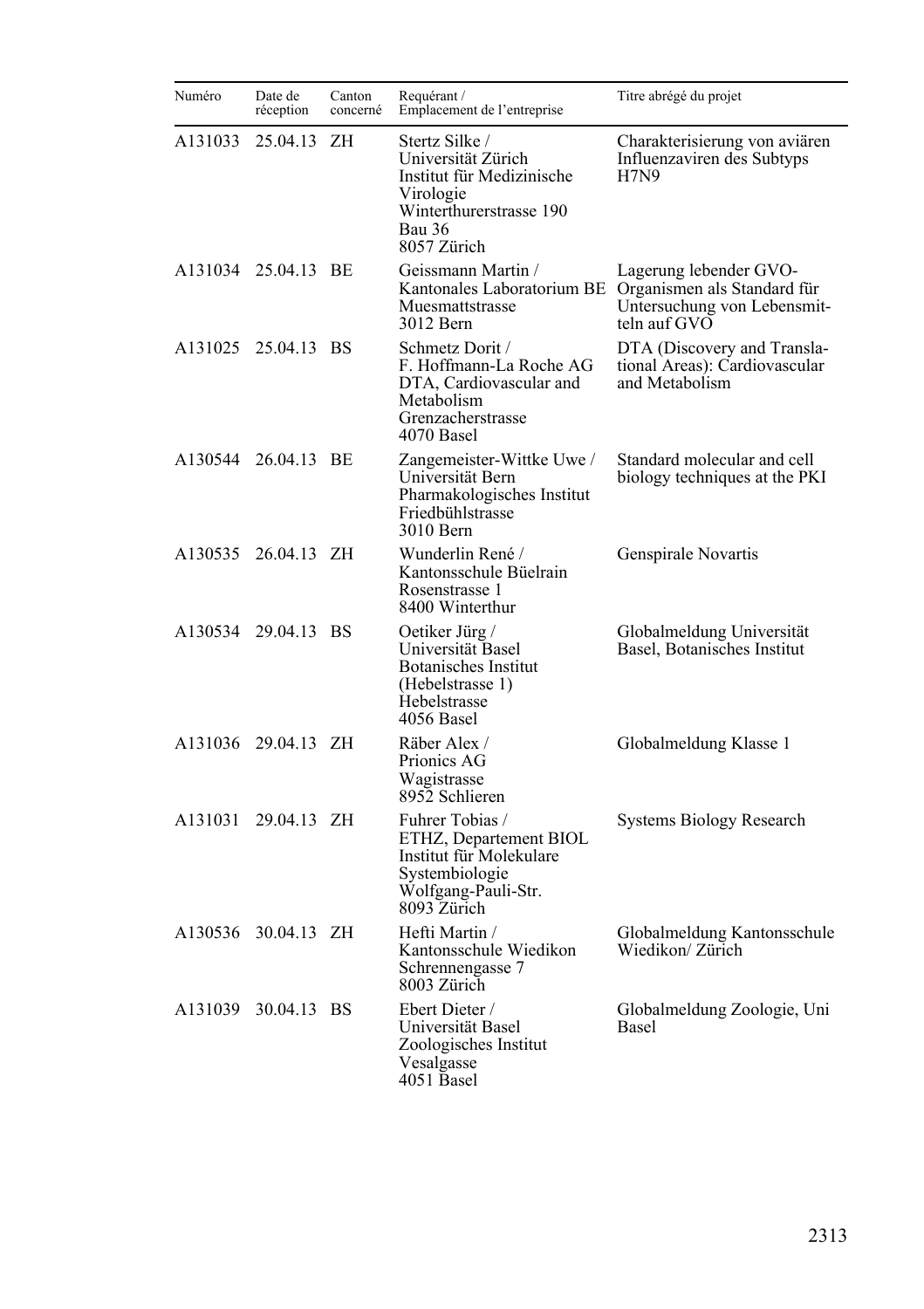| Numéro  | Date de<br>réception | Canton<br>concerné | Requérant /<br>Emplacement de l'entreprise                                                                                         | Titre abrégé du projet                                                         |
|---------|----------------------|--------------------|------------------------------------------------------------------------------------------------------------------------------------|--------------------------------------------------------------------------------|
| A131033 | 25.04.13             | ΖH                 | Stertz Silke /<br>Universität Zürich<br>Institut für Medizinische<br>Virologie<br>Winterthurerstrasse 190<br>Bau 36<br>8057 Zürich | Charakterisierung von aviären<br>Influenzaviren des Subtyps<br><b>H7N9</b>     |
|         | A131034 25.04.13 BE  |                    | Geissmann Martin /<br>Kantonales Laboratorium BE Organismen als Standard für<br>Muesmattstrasse<br>3012 Bern                       | Lagerung lebender GVO-<br>Untersuchung von Lebensmit-<br>teln auf GVO          |
|         | A131025 25.04.13 BS  |                    | Schmetz Dorit /<br>F. Hoffmann-La Roche AG<br>DTA, Cardiovascular and<br>Metabolism<br>Grenzacherstrasse<br>4070 Basel             | DTA (Discovery and Transla-<br>tional Areas): Cardiovascular<br>and Metabolism |
|         | A130544 26.04.13 BE  |                    | Zangemeister-Wittke Uwe /<br>Universität Bern<br>Pharmakologisches Institut<br>Friedbühlstrasse<br>3010 Bern                       | Standard molecular and cell<br>biology techniques at the PKI                   |
| A130535 | 26.04.13 ZH          |                    | Wunderlin René /<br>Kantonsschule Büelrain<br>Rosenstrasse 1<br>8400 Winterthur                                                    | Genspirale Novartis                                                            |
| A130534 | 29.04.13 BS          |                    | Oetiker Jürg /<br>Universität Basel<br>Botanisches Institut<br>(Hebelstrasse 1)<br>Hebelstrasse<br>4056 Basel                      | Globalmeldung Universität<br>Basel, Botanisches Institut                       |
|         | A131036 29.04.13 ZH  |                    | Räber Alex /<br>Prionics AG<br>Wagistrasse<br>8952 Schlieren                                                                       | Globalmeldung Klasse 1                                                         |
| A131031 | 29.04.13 ZH          |                    | Fuhrer Tobias /<br>ETHZ, Departement BIOL<br>Institut für Molekulare<br>Systembiologie<br>Wolfgang-Pauli-Str.<br>8093 Zürich       | Systems Biology Research                                                       |
|         | A130536 30.04.13 ZH  |                    | Hefti Martin /<br>Kantonsschule Wiedikon<br>Schrennengasse 7<br>8003 Zürich                                                        | Globalmeldung Kantonsschule<br>Wiedikon/Zürich                                 |
| A131039 | 30.04.13 BS          |                    | Ebert Dieter /<br>Universität Basel<br>Zoologisches Institut<br>Vesalgasse<br>4051 Basel                                           | Globalmeldung Zoologie, Uni<br><b>Basel</b>                                    |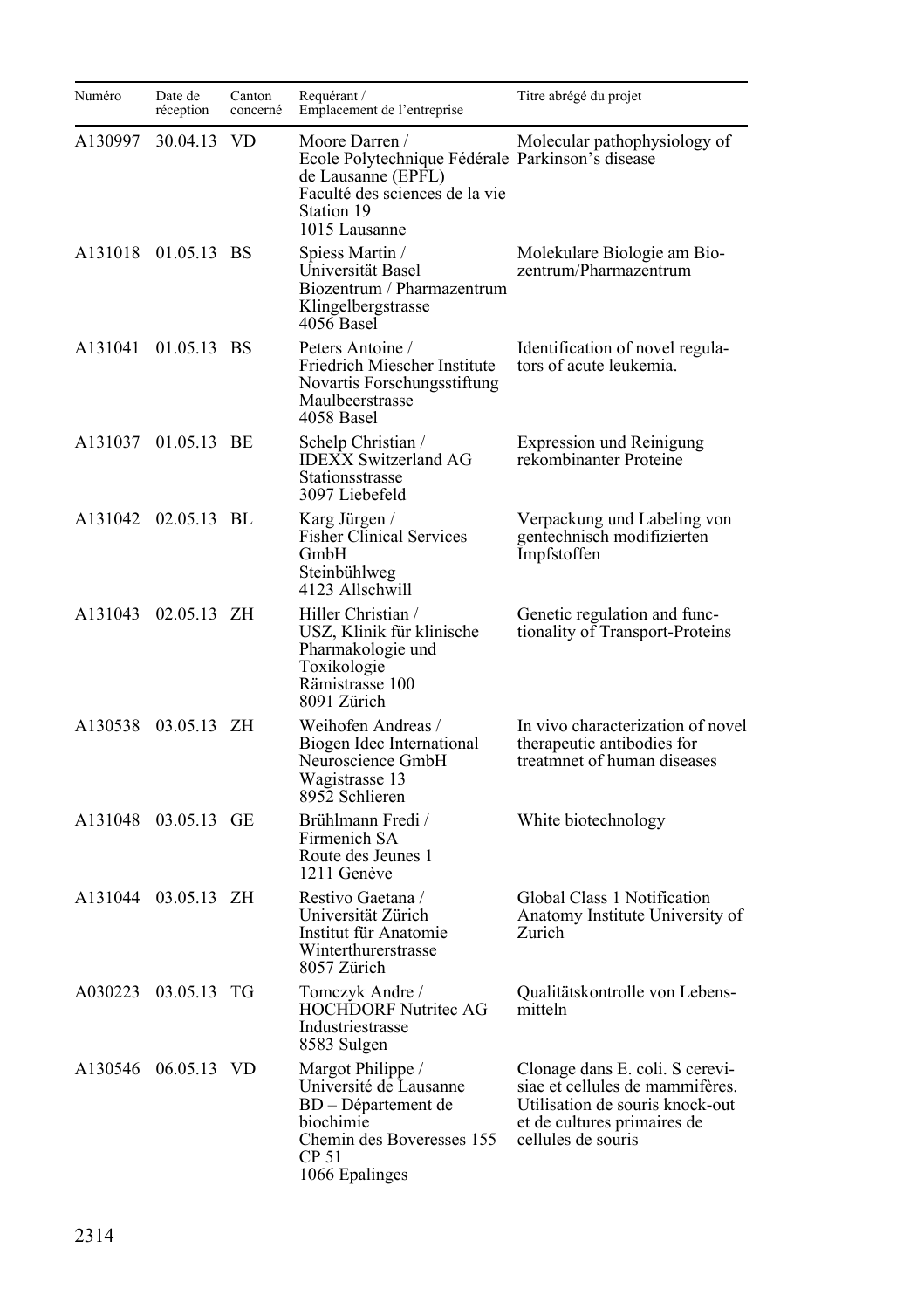| Numéro  | Date de<br>réception | Canton<br>concerné | Requérant /<br>Emplacement de l'entreprise                                                                                                                | Titre abrégé du projet                                                                                                                                     |
|---------|----------------------|--------------------|-----------------------------------------------------------------------------------------------------------------------------------------------------------|------------------------------------------------------------------------------------------------------------------------------------------------------------|
| A130997 | 30.04.13             | VD.                | Moore Darren /<br>Ecole Polytechnique Fédérale Parkinson's disease<br>de Lausanne (EPFL)<br>Faculté des sciences de la vie<br>Station 19<br>1015 Lausanne | Molecular pathophysiology of                                                                                                                               |
|         | A131018 01.05.13 BS  |                    | Spiess Martin /<br>Universität Basel<br>Biozentrum / Pharmazentrum<br>Klingelbergstrasse<br>4056 Basel                                                    | Molekulare Biologie am Bio-<br>zentrum/Pharmazentrum                                                                                                       |
| A131041 | 01.05.13 BS          |                    | Peters Antoine /<br>Friedrich Miescher Institute<br>Novartis Forschungsstiftung<br>Maulbeerstrasse<br>4058 Basel                                          | Identification of novel regula-<br>tors of acute leukemia.                                                                                                 |
| A131037 | 01.05.13 BE          |                    | Schelp Christian /<br><b>IDEXX Switzerland AG</b><br>Stationsstrasse<br>3097 Liebefeld                                                                    | <b>Expression und Reinigung</b><br>rekombinanter Proteine                                                                                                  |
|         | A131042 02.05.13 BL  |                    | Karg Jürgen /<br><b>Fisher Clinical Services</b><br>GmbH<br>Steinbühlweg<br>4123 Allschwill                                                               | Verpackung und Labeling von<br>gentechnisch modifizierten<br>Impfstoffen                                                                                   |
| A131043 | 02.05.13 ZH          |                    | Hiller Christian /<br>USZ, Klinik für klinische<br>Pharmakologie und<br>Toxikologie<br>Rämistrasse 100<br>8091 Zürich                                     | Genetic regulation and func-<br>tionality of Transport-Proteins                                                                                            |
|         | A130538 03.05.13 ZH  |                    | Weihofen Andreas /<br>Biogen Idec International<br>Neuroscience GmbH<br>Wagistrasse 13<br>8952 Schlieren                                                  | In vivo characterization of novel<br>therapeutic antibodies for<br>treatmnet of human diseases                                                             |
|         | A131048 03.05.13 GE  |                    | Brühlmann Fredi /<br>Firmenich SA<br>Route des Jeunes 1<br>1211 Genève                                                                                    | White biotechnology                                                                                                                                        |
| A131044 | 03.05.13 ZH          |                    | Restivo Gaetana /<br>Universität Zürich<br>Institut für Anatomie<br>Winterthurerstrasse<br>8057 Zürich                                                    | Global Class 1 Notification<br>Anatomy Institute University of<br>Zurich                                                                                   |
|         | A030223 03.05.13 TG  |                    | Tomczyk Andre /<br>HOCHDORF Nutritec AG<br>Industriestrasse<br>8583 Sulgen                                                                                | Qualitätskontrolle von Lebens-<br>mitteln                                                                                                                  |
| A130546 | 06.05.13 VD          |                    | Margot Philippe /<br>Université de Lausanne<br>BD - Département de<br>biochimie<br>Chemin des Boveresses 155<br>CP 51<br>1066 Epalinges                   | Clonage dans E. coli. S cerevi-<br>siae et cellules de mammifères.<br>Utilisation de souris knock-out<br>et de cultures primaires de<br>cellules de souris |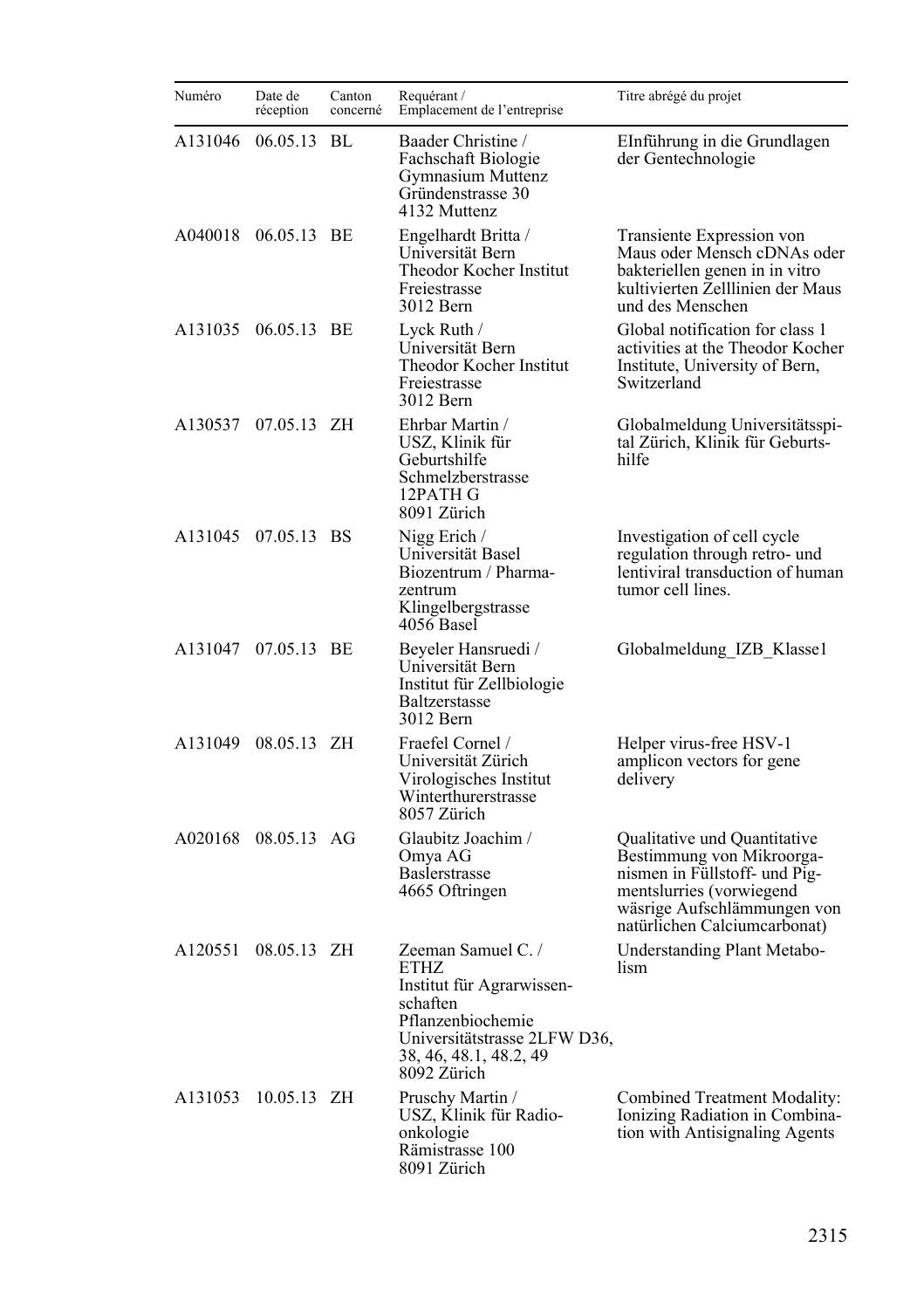| Numéro  | Date de<br>réception | Canton<br>concerné | Requérant /<br>Emplacement de l'entreprise                                                                                                                       | Titre abrégé du projet                                                                                                                                                                |
|---------|----------------------|--------------------|------------------------------------------------------------------------------------------------------------------------------------------------------------------|---------------------------------------------------------------------------------------------------------------------------------------------------------------------------------------|
| A131046 | 06.05.13             | BL                 | Baader Christine /<br>Fachschaft Biologie<br>Gymnasium Muttenz<br>Gründenstrasse 30<br>4132 Muttenz                                                              | EInführung in die Grundlagen<br>der Gentechnologie                                                                                                                                    |
| A040018 | 06.05.13 BE          |                    | Engelhardt Britta /<br>Universität Bern<br>Theodor Kocher Institut<br>Freiestrasse<br>3012 Bern                                                                  | Transiente Expression von<br>Maus oder Mensch cDNAs oder<br>bakteriellen genen in in vitro<br>kultivierten Zelllinien der Maus<br>und des Menschen                                    |
| A131035 | 06.05.13 BE          |                    | Lyck Ruth /<br>Universität Bern<br>Theodor Kocher Institut<br>Freiestrasse<br>3012 Bern                                                                          | Global notification for class 1<br>activities at the Theodor Kocher<br>Institute, University of Bern,<br>Switzerland                                                                  |
|         | A130537 07.05.13 ZH  |                    | Ehrbar Martin /<br>USZ, Klinik für<br>Geburtshilfe<br>Schmelzberstrasse<br>12PATH G<br>8091 Zürich                                                               | Globalmeldung Universitätsspi-<br>tal Zürich, Klinik für Geburts-<br>hilfe                                                                                                            |
|         | A131045 07.05.13 BS  |                    | Nigg Erich /<br>Universität Basel<br>Biozentrum / Pharma-<br>zentrum<br>Klingelbergstrasse<br>4056 Basel                                                         | Investigation of cell cycle<br>regulation through retro- und<br>lentiviral transduction of human<br>tumor cell lines.                                                                 |
|         | A131047 07.05.13 BE  |                    | Beyeler Hansruedi /<br>Universität Bern<br>Institut für Zellbiologie<br><b>Baltzerstasse</b><br>3012 Bern                                                        | Globalmeldung IZB Klassel                                                                                                                                                             |
| A131049 | 08.05.13 ZH          |                    | Fraefel Cornel /<br>Universität Zürich<br>Virologisches Institut<br>Winterthurerstrasse<br>8057 Zürich                                                           | Helper virus-free HSV-1<br>amplicon vectors for gene<br>delivery                                                                                                                      |
|         | A020168 08.05.13 AG  |                    | Glaubitz Joachim /<br>Omya AG<br><b>Baslerstrasse</b><br>4665 Oftringen                                                                                          | Qualitative und Quantitative<br>Bestimmung von Mikroorga-<br>nismen in Füllstoff- und Pig-<br>mentslurries (vorwiegend<br>wäsrige Aufschlämmungen von<br>natürlichen Calciumcarbonat) |
| A120551 | 08.05.13 ZH          |                    | Zeeman Samuel C./<br>ETHZ<br>Institut für Agrarwissen-<br>schaften<br>Pflanzenbiochemie<br>Universitätstrasse 2LFW D36,<br>38, 46, 48.1, 48.2, 49<br>8092 Zürich | Understanding Plant Metabo-<br>lism                                                                                                                                                   |
| A131053 | 10.05.13 ZH          |                    | Pruschy Martin /<br>USZ, Klinik für Radio-<br>onkologie<br>Rämistrasse 100<br>8091 Zürich                                                                        | Combined Treatment Modality:<br>Ionizing Radiation in Combina-<br>tion with Antisignaling Agents                                                                                      |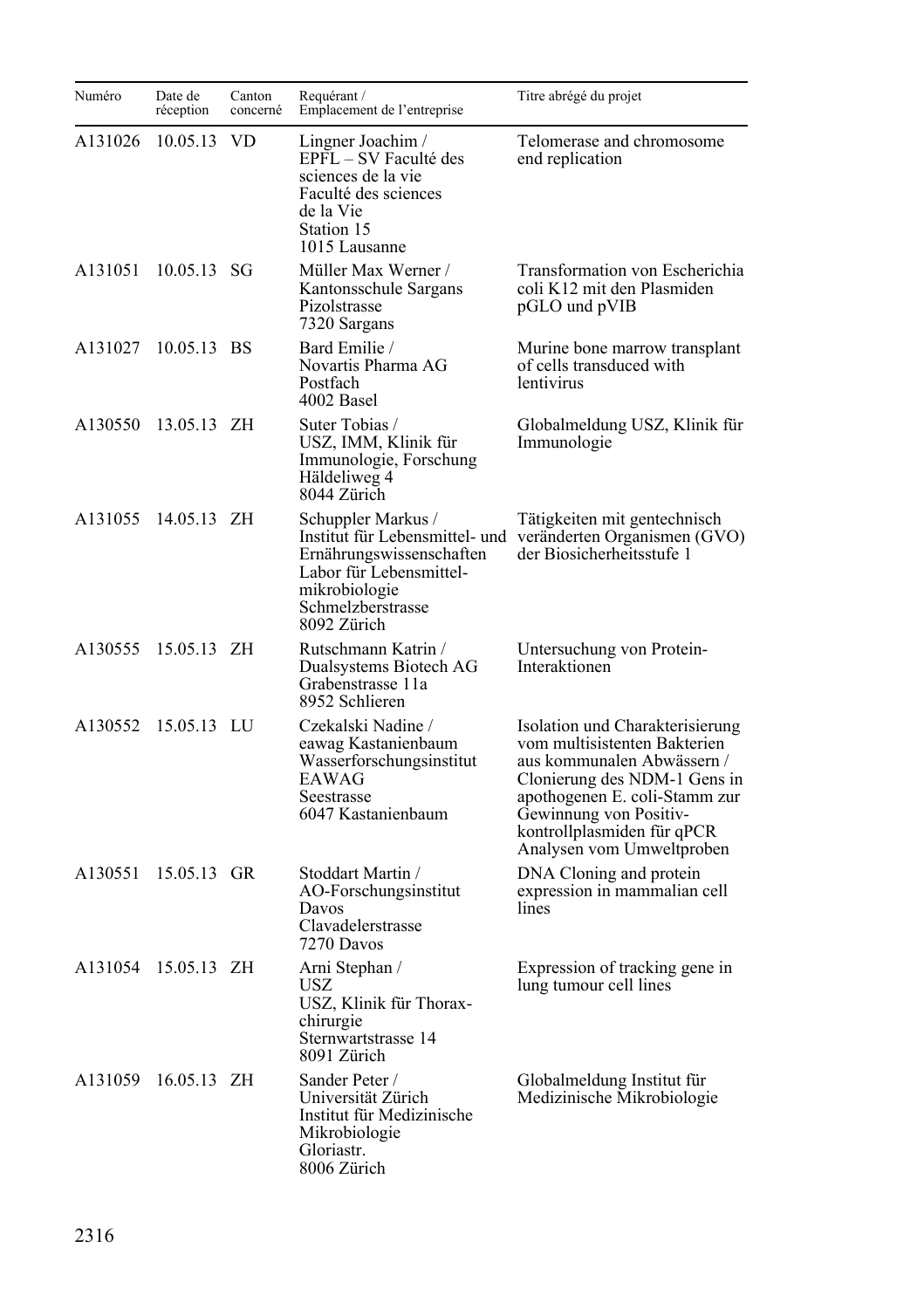| Numéro  | Date de<br>réception | Canton<br>concerné | Requérant /<br>Emplacement de l'entreprise                                                                                           | Titre abrégé du projet                                                                                                                                                                                                                              |
|---------|----------------------|--------------------|--------------------------------------------------------------------------------------------------------------------------------------|-----------------------------------------------------------------------------------------------------------------------------------------------------------------------------------------------------------------------------------------------------|
| A131026 | 10.05.13             | <b>VD</b>          | Lingner Joachim /<br>EPFL – SV Faculté des<br>sciences de la vie<br>Faculté des sciences<br>de la Vie<br>Station 15<br>1015 Lausanne | Telomerase and chromosome<br>end replication                                                                                                                                                                                                        |
| A131051 | 10.05.13 SG          |                    | Müller Max Werner /<br>Kantonsschule Sargans<br>Pizolstrasse<br>7320 Sargans                                                         | Transformation von Escherichia<br>coli K12 mit den Plasmiden<br>pGLO und pVIB                                                                                                                                                                       |
| A131027 | 10.05.13 BS          |                    | Bard Emilie /<br>Novartis Pharma AG<br>Postfach<br>4002 Basel                                                                        | Murine bone marrow transplant<br>of cells transduced with<br>lentivirus                                                                                                                                                                             |
| A130550 | 13.05.13 ZH          |                    | Suter Tobias /<br>USZ, IMM, Klinik für<br>Immunologie, Forschung<br>Häldeliweg 4<br>8044 Zürich                                      | Globalmeldung USZ, Klinik für<br>Immunologie                                                                                                                                                                                                        |
| A131055 | 14.05.13 ZH          |                    | Schuppler Markus /<br>Ernährungswissenschaften<br>Labor für Lebensmittel-<br>mikrobiologie<br>Schmelzberstrasse<br>8092 Zürich       | Tätigkeiten mit gentechnisch<br>Institut für Lebensmittel- und veränderten Organismen (GVO)<br>der Biosicherheitsstufe 1                                                                                                                            |
| A130555 | 15.05.13 ZH          |                    | Rutschmann Katrin /<br>Dualsystems Biotech AG<br>Grabenstrasse 11a<br>8952 Schlieren                                                 | Untersuchung von Protein-<br>Interaktionen                                                                                                                                                                                                          |
| A130552 | 15.05.13 LU          |                    | Czekalski Nadine /<br>eawag Kastanienbaum<br>Wasserforschungsinstitut<br>EAWAG<br>Seestrasse<br>6047 Kastanienbaum                   | Isolation und Charakterisierung<br>vom multisistenten Bakterien<br>aus kommunalen Abwässern /<br>Clonierung des NDM-1 Gens in<br>apothogenen E. coli-Stamm zur<br>Gewinnung von Positiv-<br>kontrollplasmiden für qPCR<br>Analysen vom Umweltproben |
| A130551 | 15.05.13 GR          |                    | Stoddart Martin /<br>AO-Forschungsinstitut<br>Davos<br>Clavadelerstrasse<br>7270 Davos                                               | DNA Cloning and protein<br>expression in mammalian cell<br>lines                                                                                                                                                                                    |
| A131054 | 15.05.13 ZH          |                    | Arni Stephan /<br>USZ<br>USZ, Klinik für Thorax-<br>chirurgie<br>Sternwartstrasse 14<br>8091 Zürich                                  | Expression of tracking gene in<br>lung tumour cell lines                                                                                                                                                                                            |
| A131059 | 16.05.13 ZH          |                    | Sander Peter /<br>Universität Zürich<br>Institut für Medizinische<br>Mikrobiologie<br>Gloriastr.<br>8006 Zürich                      | Globalmeldung Institut für<br>Medizinische Mikrobiologie                                                                                                                                                                                            |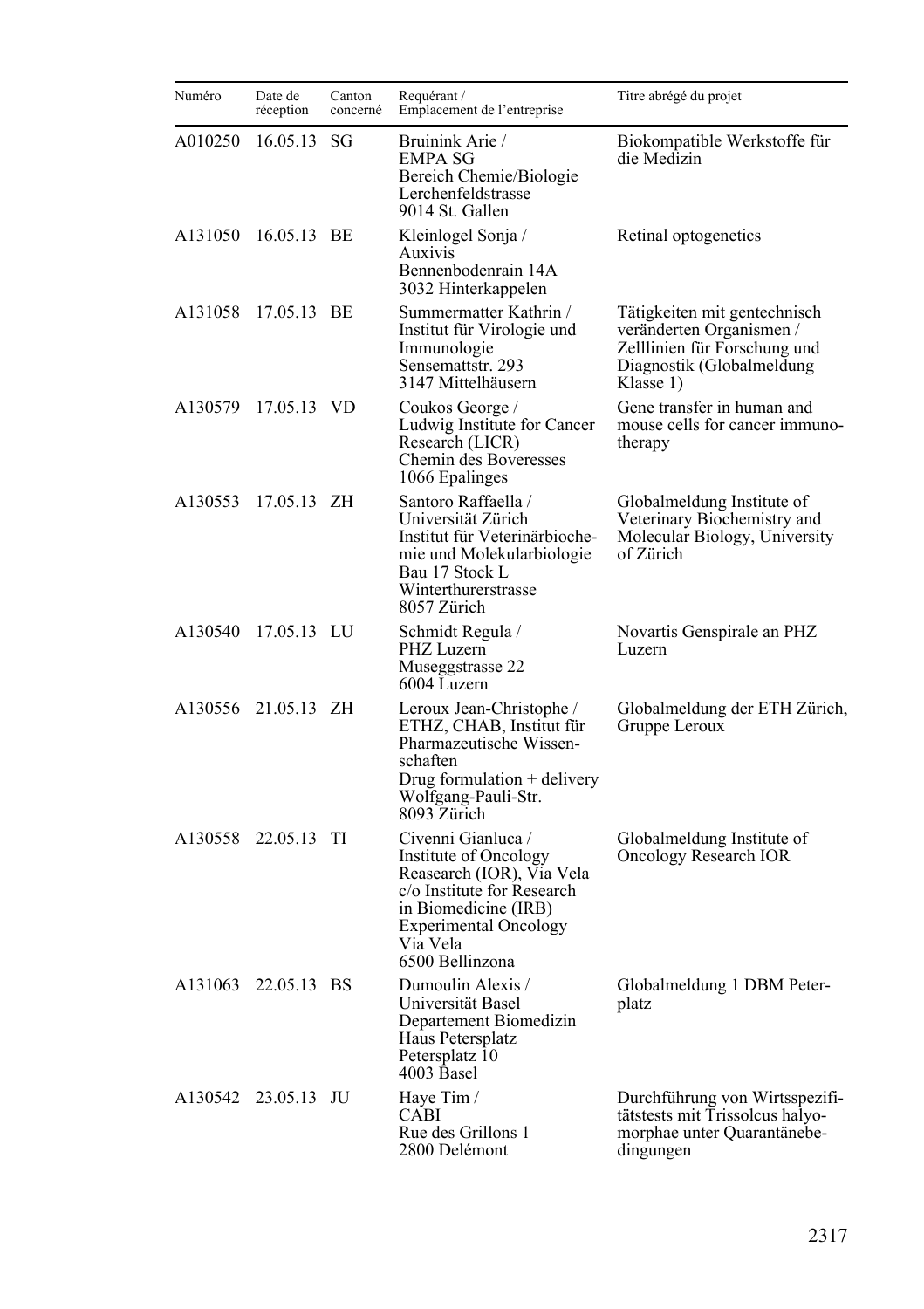| Numéro  | Date de<br>réception | Canton<br>concerné | Requérant /<br>Emplacement de l'entreprise                                                                                                                                                    | Titre abrégé du projet                                                                                                             |
|---------|----------------------|--------------------|-----------------------------------------------------------------------------------------------------------------------------------------------------------------------------------------------|------------------------------------------------------------------------------------------------------------------------------------|
| A010250 | 16.05.13             | SG                 | Bruinink Arie /<br><b>EMPA SG</b><br>Bereich Chemie/Biologie<br>Lerchenfeldstrasse<br>9014 St. Gallen                                                                                         | Biokompatible Werkstoffe für<br>die Medizin                                                                                        |
| A131050 | 16.05.13 BE          |                    | Kleinlogel Sonja /<br>Auxivis<br>Bennenbodenrain 14A<br>3032 Hinterkappelen                                                                                                                   | Retinal optogenetics                                                                                                               |
| A131058 | 17.05.13 BE          |                    | Summermatter Kathrin /<br>Institut für Virologie und<br>Immunologie<br>Sensemattstr. 293<br>3147 Mittelhäusern                                                                                | Tätigkeiten mit gentechnisch<br>veränderten Organismen /<br>Zelllinien für Forschung und<br>Diagnostik (Globalmeldung<br>Klasse 1) |
| A130579 | 17.05.13 VD          |                    | Coukos George /<br>Ludwig Institute for Cancer<br>Research (LICR)<br>Chemin des Boveresses<br>1066 Epalinges                                                                                  | Gene transfer in human and<br>mouse cells for cancer immuno-<br>therapy                                                            |
| A130553 | 17.05.13 ZH          |                    | Santoro Raffaella /<br>Universität Zürich<br>Institut für Veterinärbioche-<br>mie und Molekularbiologie<br>Bau 17 Stock L<br>Winterthurerstrasse<br>8057 Zürich                               | Globalmeldung Institute of<br>Veterinary Biochemistry and<br>Molecular Biology, University<br>of Zürich                            |
|         | A130540 17.05.13 LU  |                    | Schmidt Regula /<br>PHZ Luzern<br>Museggstrasse 22<br>6004 Luzern                                                                                                                             | Novartis Genspirale an PHZ<br>Luzern                                                                                               |
|         | A130556 21.05.13 ZH  |                    | Leroux Jean-Christophe /<br>ETHZ, CHAB, Institut für<br>Pharmazeutische Wissen-<br>schaften<br>Drug formulation $+$ delivery<br>Wolfgang-Pauli-Str.<br>8093 Zürich                            | Globalmeldung der ETH Zürich,<br>Gruppe Leroux                                                                                     |
|         | A130558 22.05.13 TI  |                    | Civenni Gianluca /<br>Institute of Oncology<br>Reasearch (IOR), Via Vela<br>c/o Institute for Research<br>in Biomedicine (IRB)<br><b>Experimental Oncology</b><br>Via Vela<br>6500 Bellinzona | Globalmeldung Institute of<br>Oncology Research IOR                                                                                |
|         | A131063 22.05.13 BS  |                    | Dumoulin Alexis /<br>Universität Basel<br>Departement Biomedizin<br>Haus Petersplatz<br>Petersplatz 10<br>4003 Basel                                                                          | Globalmeldung 1 DBM Peter-<br>platz                                                                                                |
|         | A130542 23.05.13 JU  |                    | Haye Tim /<br>CABI<br>Rue des Grillons 1<br>2800 Delémont                                                                                                                                     | Durchführung von Wirtsspezifi-<br>tätstests mit Trissolcus halyo-<br>morphae unter Quarantänebe-<br>dingungen                      |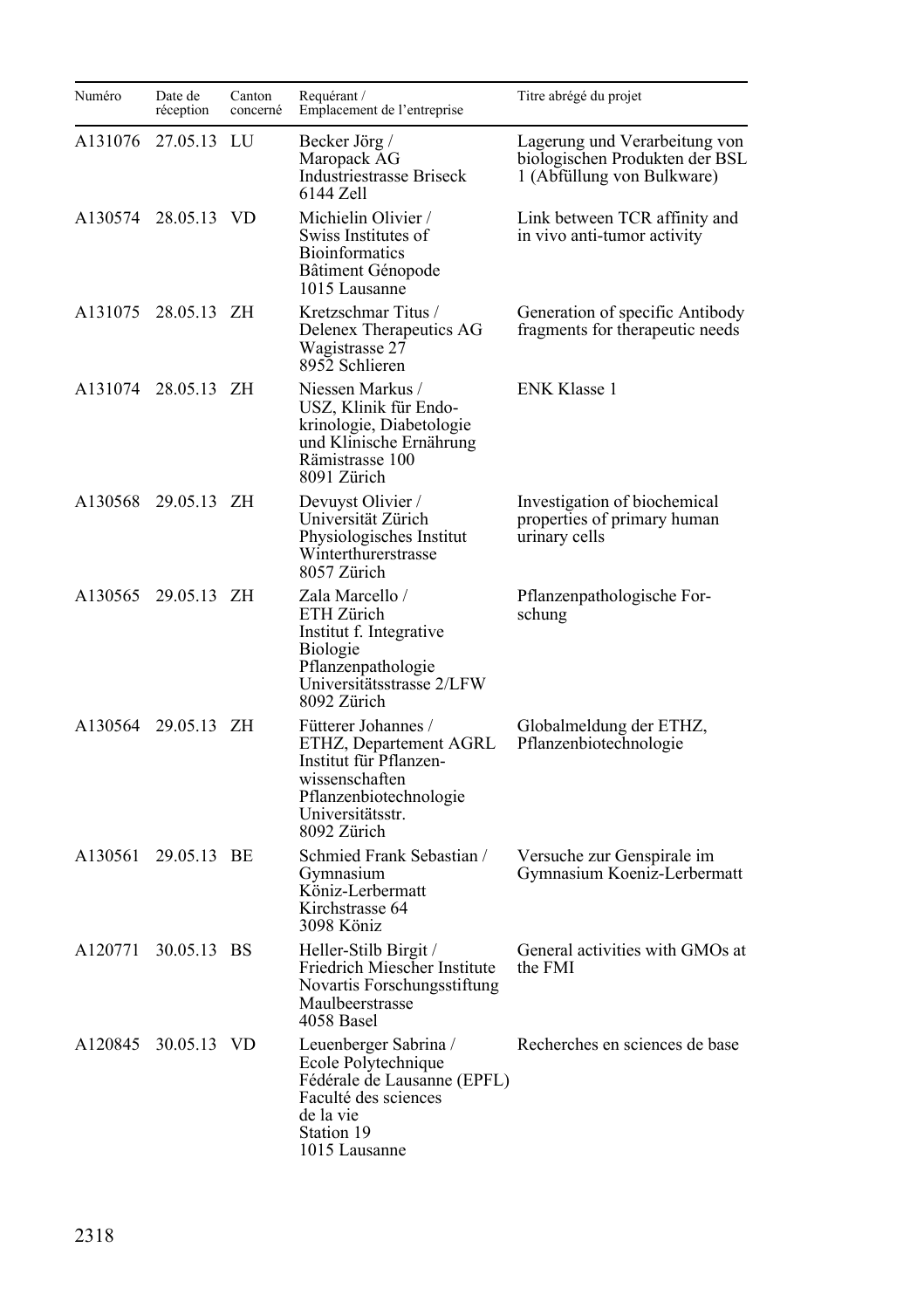| Numéro  | Date de<br>réception | Canton<br>concerné | Requérant /<br>Emplacement de l'entreprise                                                                                                             | Titre abrégé du projet                                                                        |
|---------|----------------------|--------------------|--------------------------------------------------------------------------------------------------------------------------------------------------------|-----------------------------------------------------------------------------------------------|
| A131076 | 27.05.13             | LU                 | Becker Jörg /<br>Maropack AG<br><b>Industriestrasse Briseck</b><br>6144 Zell                                                                           | Lagerung und Verarbeitung von<br>biologischen Produkten der BSL<br>1 (Abfüllung von Bulkware) |
| A130574 | 28.05.13 VD          |                    | Michielin Olivier /<br>Swiss Institutes of<br><b>Bioinformatics</b><br>Bâtiment Génopode<br>1015 Lausanne                                              | Link between TCR affinity and<br>in vivo anti-tumor activity                                  |
|         | A131075 28.05.13 ZH  |                    | Kretzschmar Titus /<br>Delenex Therapeutics AG<br>Wagistrasse 27<br>8952 Schlieren                                                                     | Generation of specific Antibody<br>fragments for therapeutic needs                            |
| A131074 | 28.05.13 ZH          |                    | Niessen Markus /<br>USZ, Klinik für Endo-<br>krinologie, Diabetologie<br>und Klinische Ernährung<br>Rämistrasse 100<br>8091 Zürich                     | <b>ENK Klasse 1</b>                                                                           |
| A130568 | 29.05.13 ZH          |                    | Devuyst Olivier /<br>Universität Zürich<br>Physiologisches Institut<br>Winterthurerstrasse<br>8057 Zürich                                              | Investigation of biochemical<br>properties of primary human<br>urinary cells                  |
|         | A130565 29.05.13 ZH  |                    | Zala Marcello /<br>ETH Zürich<br>Institut f. Integrative<br><b>Biologie</b><br>Pflanzenpathologie<br>Universitätsstrasse 2/LFW<br>8092 Zürich          | Pflanzenpathologische For-<br>schung                                                          |
|         | A130564 29.05.13 ZH  |                    | Fütterer Johannes /<br>ETHZ, Departement AGRL<br>Institut für Pflanzen-<br>wissenschaften<br>Pflanzenbiotechnologie<br>Universitätsstr.<br>8092 Zürich | Globalmeldung der ETHZ,<br>Pflanzenbiotechnologie                                             |
| A130561 | 29.05.13 BE          |                    | Schmied Frank Sebastian /<br>Gymnasium<br>Köniz-Lerbermatt<br>Kirchstrasse 64<br>3098 Köniz                                                            | Versuche zur Genspirale im<br>Gymnasium Koeniz-Lerbermatt                                     |
| A120771 | 30.05.13 BS          |                    | Heller-Stilb Birgit /<br>Friedrich Miescher Institute<br>Novartis Forschungsstiftung<br>Maulbeerstrasse<br>4058 Basel                                  | General activities with GMOs at<br>the FMI                                                    |
| A120845 | 30.05.13 VD          |                    | Leuenberger Sabrina /<br>Ecole Polytechnique<br>Fédérale de Lausanne (EPFL)<br>Faculté des sciences<br>de la vie<br>Station 19<br>1015 Lausanne        | Recherches en sciences de base                                                                |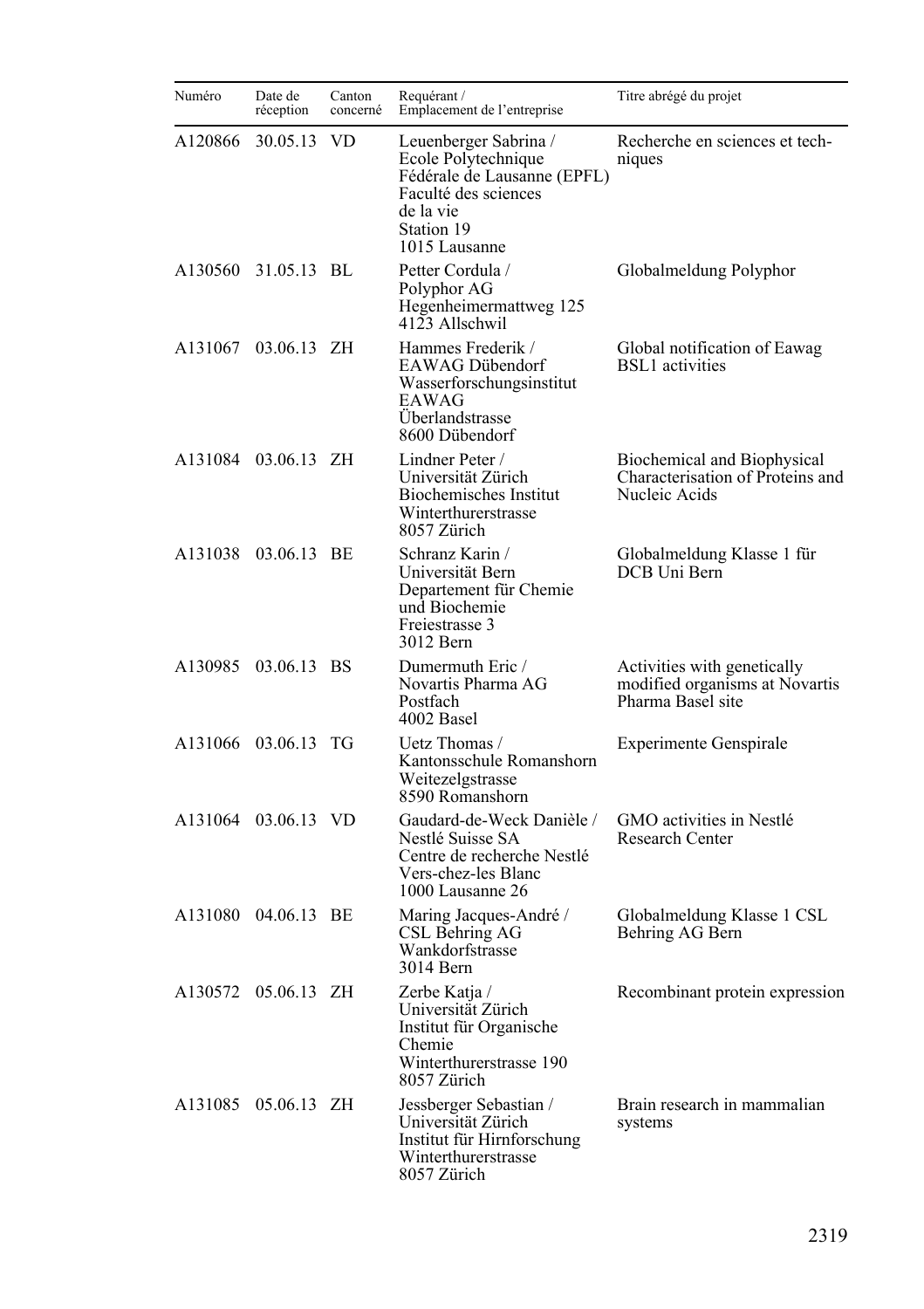| Numéro  | Date de<br>réception | Canton<br>concerné | Requérant /<br>Emplacement de l'entreprise                                                                                                      | Titre abrégé du projet                                                             |
|---------|----------------------|--------------------|-------------------------------------------------------------------------------------------------------------------------------------------------|------------------------------------------------------------------------------------|
| A120866 | 30.05.13             | VD.                | Leuenberger Sabrina /<br>Ecole Polytechnique<br>Fédérale de Lausanne (EPFL)<br>Faculté des sciences<br>de la vie<br>Station 19<br>1015 Lausanne | Recherche en sciences et tech-<br>niques                                           |
| A130560 | 31.05.13 BL          |                    | Petter Cordula /<br>Polyphor AG<br>Hegenheimermattweg 125<br>4123 Allschwil                                                                     | Globalmeldung Polyphor                                                             |
| A131067 | 03.06.13 ZH          |                    | Hammes Frederik /<br>EAWAG Dübendorf<br>Wasserforschungsinstitut<br>EAWAG<br>Überlandstrasse<br>8600 Dübendorf                                  | Global notification of Eawag<br><b>BSL1</b> activities                             |
|         | A131084 03.06.13 ZH  |                    | Lindner Peter /<br>Universität Zürich<br><b>Biochemisches Institut</b><br>Winterthurerstrasse<br>8057 Zürich                                    | Biochemical and Biophysical<br>Characterisation of Proteins and<br>Nucleic Acids   |
| A131038 | 03.06.13 BE          |                    | Schranz Karin /<br>Universität Bern<br>Departement für Chemie<br>und Biochemie<br>Freiestrasse 3<br>3012 Bern                                   | Globalmeldung Klasse 1 für<br>DCB Uni Bern                                         |
|         | A130985 03.06.13 BS  |                    | Dumermuth Eric /<br>Novartis Pharma AG<br>Postfach<br>4002 Basel                                                                                | Activities with genetically<br>modified organisms at Novartis<br>Pharma Basel site |
| A131066 | 03.06.13 TG          |                    | Uetz Thomas /<br>Kantonsschule Romanshorn<br>Weitezelgstrasse<br>8590 Romanshorn                                                                | <b>Experimente Genspirale</b>                                                      |
|         | A131064 03.06.13 VD  |                    | Gaudard-de-Weck Danièle /<br>Nestlé Suisse SA<br>Centre de recherche Nestlé<br>Vers-chez-les Blanc<br>1000 Lausanne 26                          | GMO activities in Nestlé<br>Research Center                                        |
| A131080 | 04.06.13 BE          |                    | Maring Jacques-André /<br>CSL Behring AG<br>Wankdorfstrasse<br>3014 Bern                                                                        | Globalmeldung Klasse 1 CSL<br>Behring AG Bern                                      |
|         | A130572 05.06.13 ZH  |                    | Zerbe Katja /<br>Universität Zürich<br>Institut für Organische<br>Chemie<br>Winterthurerstrasse 190<br>8057 Zürich                              | Recombinant protein expression                                                     |
| A131085 | 05.06.13 ZH          |                    | Jessberger Sebastian /<br>Universität Zürich<br>Institut für Hirnforschung<br>Winterthurerstrasse<br>8057 Zürich                                | Brain research in mammalian<br>systems                                             |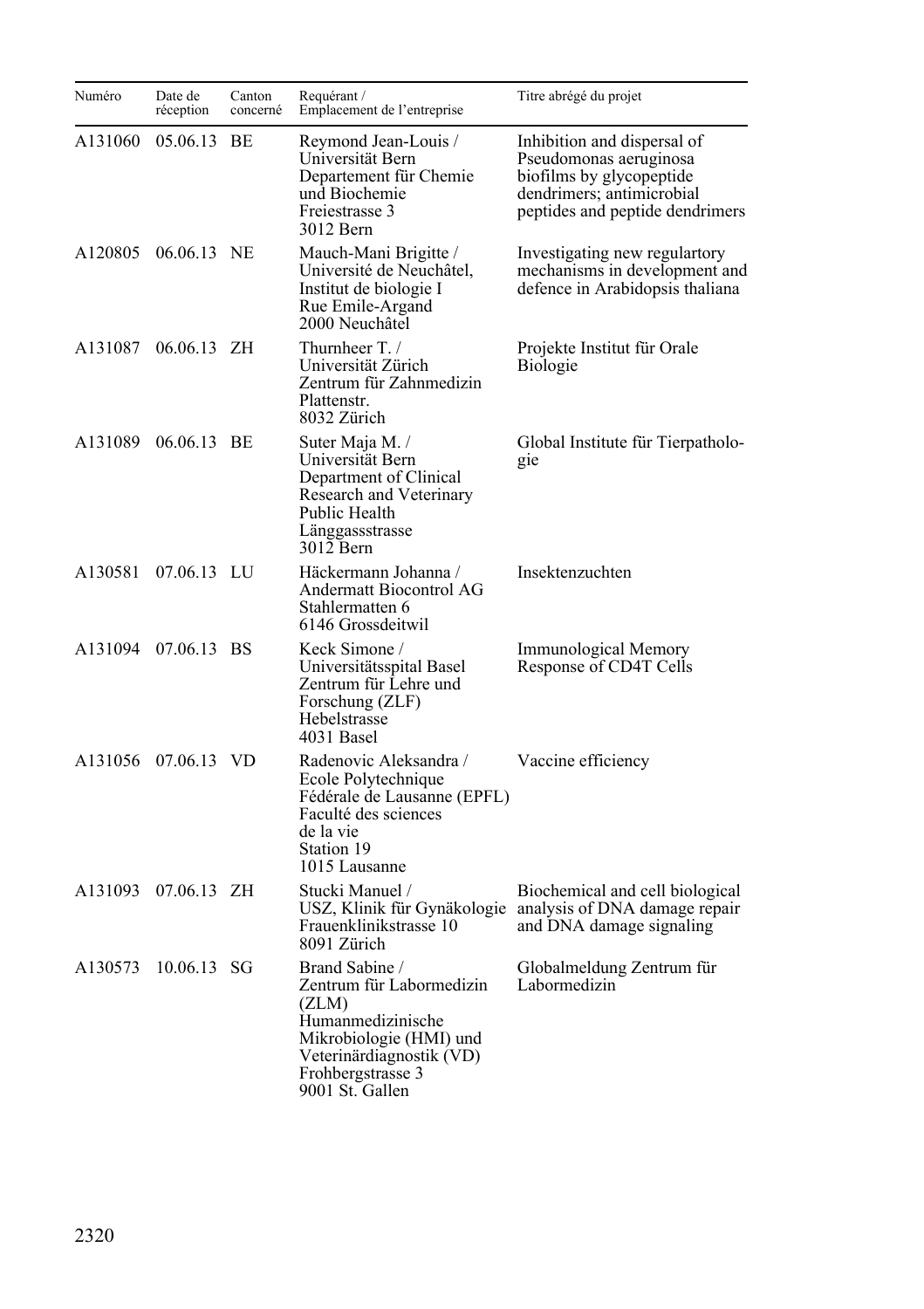| Numéro  | Date de<br>réception | Canton<br>concerné | Requérant /<br>Emplacement de l'entreprise                                                                                                                              | Titre abrégé du projet                                                                                                                            |
|---------|----------------------|--------------------|-------------------------------------------------------------------------------------------------------------------------------------------------------------------------|---------------------------------------------------------------------------------------------------------------------------------------------------|
| A131060 | 05.06.13 BE          |                    | Reymond Jean-Louis /<br>Universität Bern<br>Departement für Chemie<br>und Biochemie<br>Freiestrasse 3<br>3012 Bern                                                      | Inhibition and dispersal of<br>Pseudomonas aeruginosa<br>biofilms by glycopeptide<br>dendrimers; antimicrobial<br>peptides and peptide dendrimers |
| A120805 | 06.06.13 NE          |                    | Mauch-Mani Brigitte /<br>Université de Neuchâtel,<br>Institut de biologie I<br>Rue Emile-Argand<br>2000 Neuchâtel                                                       | Investigating new regulartory<br>mechanisms in development and<br>defence in Arabidopsis thaliana                                                 |
| A131087 | 06.06.13 ZH          |                    | Thurnheer T./<br>Universität Zürich<br>Zentrum für Zahnmedizin<br>Plattenstr.<br>8032 Zürich                                                                            | Projekte Institut für Orale<br><b>Biologie</b>                                                                                                    |
| A131089 | 06.06.13 BE          |                    | Suter Maja M. /<br>Universität Bern<br>Department of Clinical<br>Research and Veterinary<br>Public Health<br>Länggassstrasse<br>3012 Bern                               | Global Institute für Tierpatholo-<br>gie                                                                                                          |
| A130581 | 07.06.13 LU          |                    | Häckermann Johanna /<br>Andermatt Biocontrol AG<br>Stahlermatten 6<br>6146 Grossdeitwil                                                                                 | Insektenzuchten                                                                                                                                   |
|         | A131094 07.06.13 BS  |                    | Keck Simone /<br>Universitätsspital Basel<br>Zentrum für Lehre und<br>Forschung (ZLF)<br>Hebelstrasse<br>4031 Basel                                                     | Immunological Memory<br>Response of CD4T Cells                                                                                                    |
|         | A131056 07.06.13 VD  |                    | Radenovic Aleksandra /<br>Ecole Polytechnique<br>Fédérale de Lausanne (EPFL)<br>Faculté des sciences<br>de la vie<br>Station 19<br>1015 Lausanne                        | Vaccine efficiency                                                                                                                                |
| A131093 | 07.06.13 ZH          |                    | Stucki Manuel /<br>USZ, Klinik für Gynäkologie<br>Frauenklinikstrasse 10<br>8091 Zürich                                                                                 | Biochemical and cell biological<br>analysis of DNA damage repair<br>and DNA damage signaling                                                      |
| A130573 | 10.06.13 SG          |                    | Brand Sabine /<br>Zentrum für Labormedizin<br>(ZLM)<br>Humanmedizinische<br>Mikrobiologie (HMI) und<br>Veterinärdiagnostik (VD)<br>Frohbergstrasse 3<br>9001 St. Gallen | Globalmeldung Zentrum für<br>Labormedizin                                                                                                         |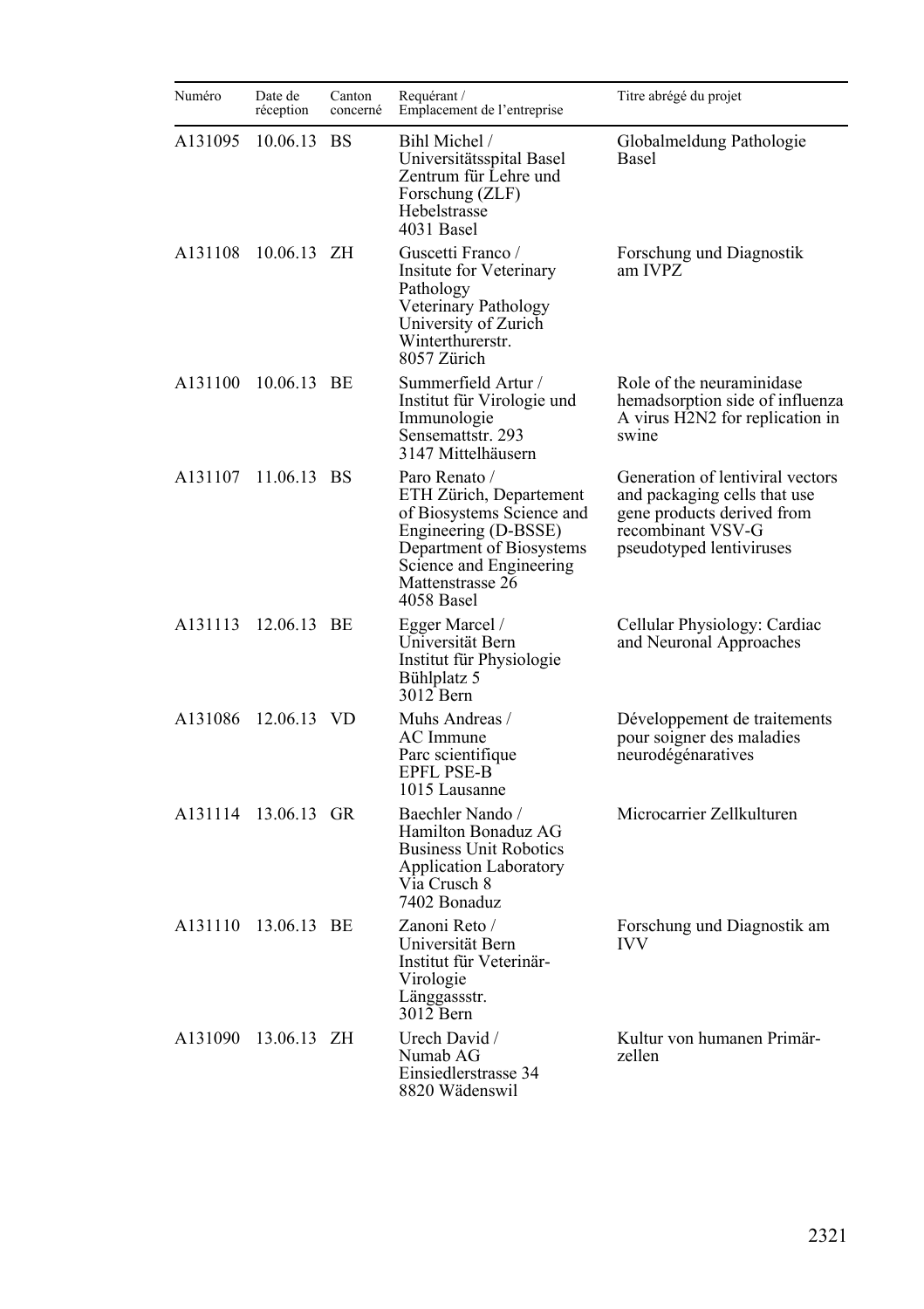| Numéro  | Date de<br>réception | Canton<br>concerné | Requérant /<br>Emplacement de l'entreprise                                                                                                                                             | Titre abrégé du projet                                                                                                                          |
|---------|----------------------|--------------------|----------------------------------------------------------------------------------------------------------------------------------------------------------------------------------------|-------------------------------------------------------------------------------------------------------------------------------------------------|
| A131095 | 10.06.13 BS          |                    | Bihl Michel /<br>Universitätsspital Basel<br>Zentrum für Lehre und<br>Forschung (ZLF)<br>Hebelstrasse<br>4031 Basel                                                                    | Globalmeldung Pathologie<br>Basel                                                                                                               |
| A131108 | 10.06.13 ZH          |                    | Guscetti Franco /<br>Insitute for Veterinary<br>Pathology<br>Veterinary Pathology<br>University of Zurich<br>Winterthurerstr.<br>8057 Zürich                                           | Forschung und Diagnostik<br>am IVPZ                                                                                                             |
| A131100 | 10.06.13 BE          |                    | Summerfield Artur /<br>Institut für Virologie und<br>Immunologie<br>Sensemattstr. 293<br>3147 Mittelhäusern                                                                            | Role of the neuraminidase<br>hemadsorption side of influenza<br>A virus H2N2 for replication in<br>swine                                        |
| A131107 | 11.06.13 BS          |                    | Paro Renato /<br>ETH Zürich, Departement<br>of Biosystems Science and<br>Engineering (D-BSSE)<br>Department of Biosystems<br>Science and Engineering<br>Mattenstrasse 26<br>4058 Basel | Generation of lentiviral vectors<br>and packaging cells that use<br>gene products derived from<br>recombinant VSV-G<br>pseudotyped lentiviruses |
| A131113 | 12.06.13 BE          |                    | Egger Marcel /<br>Universität Bern<br>Institut für Physiologie<br>Bühlplatz 5<br>3012 Bern                                                                                             | Cellular Physiology: Cardiac<br>and Neuronal Approaches                                                                                         |
| A131086 | 12.06.13 VD          |                    | Muhs Andreas /<br>AC Immune<br>Parc scientifique<br><b>EPFL PSE-B</b><br>1015 Lausanne                                                                                                 | Développement de traitements<br>pour soigner des maladies<br>neurodégénaratives                                                                 |
| A131114 | 13.06.13 GR          |                    | Baechler Nando /<br>Hamilton Bonaduz AG<br><b>Business Unit Robotics</b><br><b>Application Laboratory</b><br>Via Crusch 8<br>7402 Bonaduz                                              | Microcarrier Zellkulturen                                                                                                                       |
|         | A131110 13.06.13 BE  |                    | Zanoni Reto /<br>Universität Bern<br>Institut für Veterinär-<br>Virologie<br>Länggassstr.<br>$3012$ Bern                                                                               | Forschung und Diagnostik am<br><b>IVV</b>                                                                                                       |
| A131090 | 13.06.13 ZH          |                    | Urech David /<br>Numab AG<br>Einsiedlerstrasse 34<br>8820 Wädenswil                                                                                                                    | Kultur von humanen Primär-<br>zellen                                                                                                            |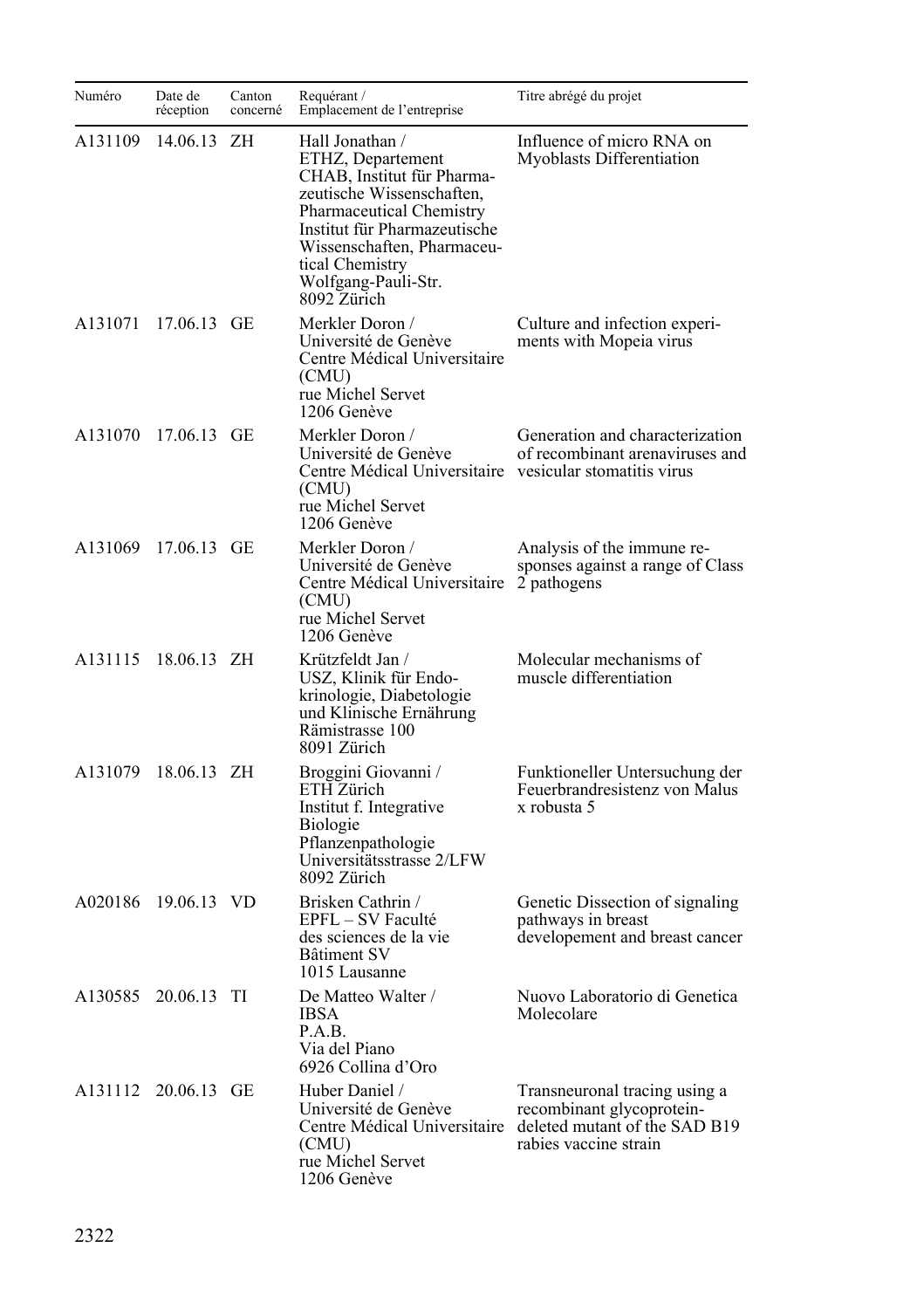| Numéro  | Date de<br>réception | Canton<br>concerné | Requérant /<br>Emplacement de l'entreprise                                                                                                                                                                                                         | Titre abrégé du projet                                                                                               |
|---------|----------------------|--------------------|----------------------------------------------------------------------------------------------------------------------------------------------------------------------------------------------------------------------------------------------------|----------------------------------------------------------------------------------------------------------------------|
| A131109 | 14.06.13             | ΖH                 | Hall Jonathan /<br>ETHZ, Departement<br>CHAB, Institut für Pharma-<br>zeutische Wissenschaften,<br>Pharmaceutical Chemistry<br>Institut für Pharmazeutische<br>Wissenschaften, Pharmaceu-<br>tical Chemistry<br>Wolfgang-Pauli-Str.<br>8092 Zürich | Influence of micro RNA on<br>Myoblasts Differentiation                                                               |
| A131071 | 17.06.13 GE          |                    | Merkler Doron /<br>Université de Genève<br>Centre Médical Universitaire<br>(CMU)<br>rue Michel Servet<br>1206 Genève                                                                                                                               | Culture and infection experi-<br>ments with Mopeia virus                                                             |
|         | A131070 17.06.13 GE  |                    | Merkler Doron /<br>Université de Genève<br>Centre Médical Universitaire vesicular stomatitis virus<br>(CMU)<br>rue Michel Servet<br>1206 Genève                                                                                                    | Generation and characterization<br>of recombinant arenaviruses and                                                   |
| A131069 | 17.06.13 GE          |                    | Merkler Doron /<br>Université de Genève<br>Centre Médical Universitaire 2 pathogens<br>(CMU)<br>rue Michel Servet<br>1206 Genève                                                                                                                   | Analysis of the immune re-<br>sponses against a range of Class                                                       |
|         | A131115 18.06.13 ZH  |                    | Krützfeldt Jan /<br>USZ, Klinik für Endo-<br>krinologie, Diabetologie<br>und Klinische Ernährung<br>Rämistrasse 100<br>8091 Zürich                                                                                                                 | Molecular mechanisms of<br>muscle differentiation                                                                    |
| A131079 | 18.06.13 ZH          |                    | Broggini Giovanni /<br>ETH Zürich<br>Institut f. Integrative<br><b>Biologie</b><br>Pflanzenpathologie<br>Universitätsstrasse 2/LFW<br>8092 Zürich                                                                                                  | Funktioneller Untersuchung der<br>Feuerbrandresistenz von Malus<br>x robusta 5                                       |
| A020186 | 19.06.13 VD          |                    | Brisken Cathrin /<br>EPFL - SV Faculté<br>des sciences de la vie<br>Bâtiment SV<br>1015 Lausanne                                                                                                                                                   | Genetic Dissection of signaling<br>pathways in breast<br>developement and breast cancer                              |
| A130585 | 20.06.13 TI          |                    | De Matteo Walter /<br>IBSA<br>P.A.B.<br>Via del Piano<br>6926 Collina d'Oro                                                                                                                                                                        | Nuovo Laboratorio di Genetica<br>Molecolare                                                                          |
|         | A131112 20.06.13 GE  |                    | Huber Daniel /<br>Université de Genève<br>Centre Médical Universitaire<br>(CMU)<br>rue Michel Servet<br>1206 Genève                                                                                                                                | Transneuronal tracing using a<br>recombinant glycoprotein-<br>deleted mutant of the SAD B19<br>rabies vaccine strain |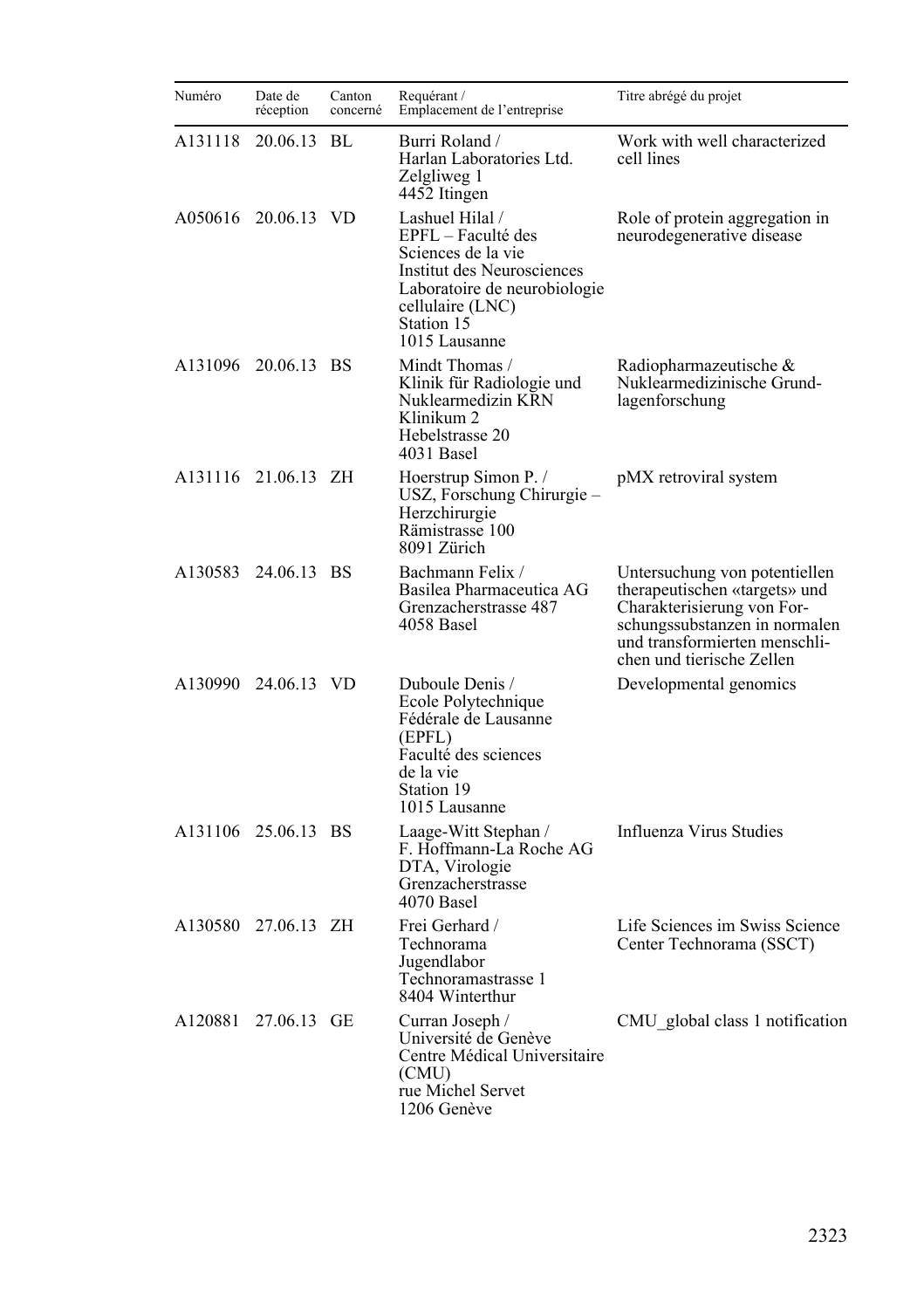| Numéro  | Date de<br>réception | Canton<br>concerné | Requérant /<br>Emplacement de l'entreprise                                                                                                                                   | Titre abrégé du projet                                                                                                                                                                      |
|---------|----------------------|--------------------|------------------------------------------------------------------------------------------------------------------------------------------------------------------------------|---------------------------------------------------------------------------------------------------------------------------------------------------------------------------------------------|
| A131118 | 20.06.13 BL          |                    | Burri Roland /<br>Harlan Laboratories Ltd.<br>Zelgliweg 1<br>4452 Itingen                                                                                                    | Work with well characterized<br>cell lines                                                                                                                                                  |
|         | A050616 20.06.13 VD  |                    | Lashuel Hilal /<br>EPFL – Faculté des<br>Sciences de la vie<br>Institut des Neurosciences<br>Laboratoire de neurobiologie<br>cellulaire (LNC)<br>Station 15<br>1015 Lausanne | Role of protein aggregation in<br>neurodegenerative disease                                                                                                                                 |
| A131096 | 20.06.13 BS          |                    | Mindt Thomas /<br>Klinik für Radiologie und<br>Nuklearmedizin KRN<br>Klinikum 2<br>Hebelstrasse 20<br>4031 Basel                                                             | Radiopharmazeutische &<br>Nuklearmedizinische Grund-<br>lagenforschung                                                                                                                      |
|         | A131116 21.06.13 ZH  |                    | Hoerstrup Simon P. /<br>USZ, Forschung Chirurgie –<br>Herzchirurgie<br>Rämistrasse 100<br>8091 Zürich                                                                        | pMX retroviral system                                                                                                                                                                       |
|         | A130583 24.06.13 BS  |                    | Bachmann Felix /<br>Basilea Pharmaceutica AG<br>Grenzacherstrasse 487<br>4058 Basel                                                                                          | Untersuchung von potentiellen<br>therapeutischen «targets» und<br>Charakterisierung von For-<br>schungssubstanzen in normalen<br>und transformierten menschli-<br>chen und tierische Zellen |
|         | A130990 24.06.13 VD  |                    | Duboule Denis /<br>Ecole Polytechnique<br>Fédérale de Lausanne<br>(EPFL)<br>Faculté des sciences<br>de la vie<br>Station 19<br>1015 Lausanne                                 | Developmental genomics                                                                                                                                                                      |
|         | A131106 25.06.13 BS  |                    | Laage-Witt Stephan /<br>F. Hoffmann-La Roche AG<br>DTA, Virologie<br>Grenzacherstrasse<br>4070 Basel                                                                         | Influenza Virus Studies                                                                                                                                                                     |
|         | A130580 27.06.13 ZH  |                    | Frei Gerhard /<br>Technorama<br>Jugendlabor<br>Technoramastrasse 1<br>8404 Winterthur                                                                                        | Life Sciences im Swiss Science<br>Center Technorama (SSCT)                                                                                                                                  |
| A120881 | 27.06.13 GE          |                    | Curran Joseph /<br>Université de Genève<br>Centre Médical Universitaire<br>(CMU)<br>rue Michel Servet<br>1206 Genève                                                         | CMU global class 1 notification                                                                                                                                                             |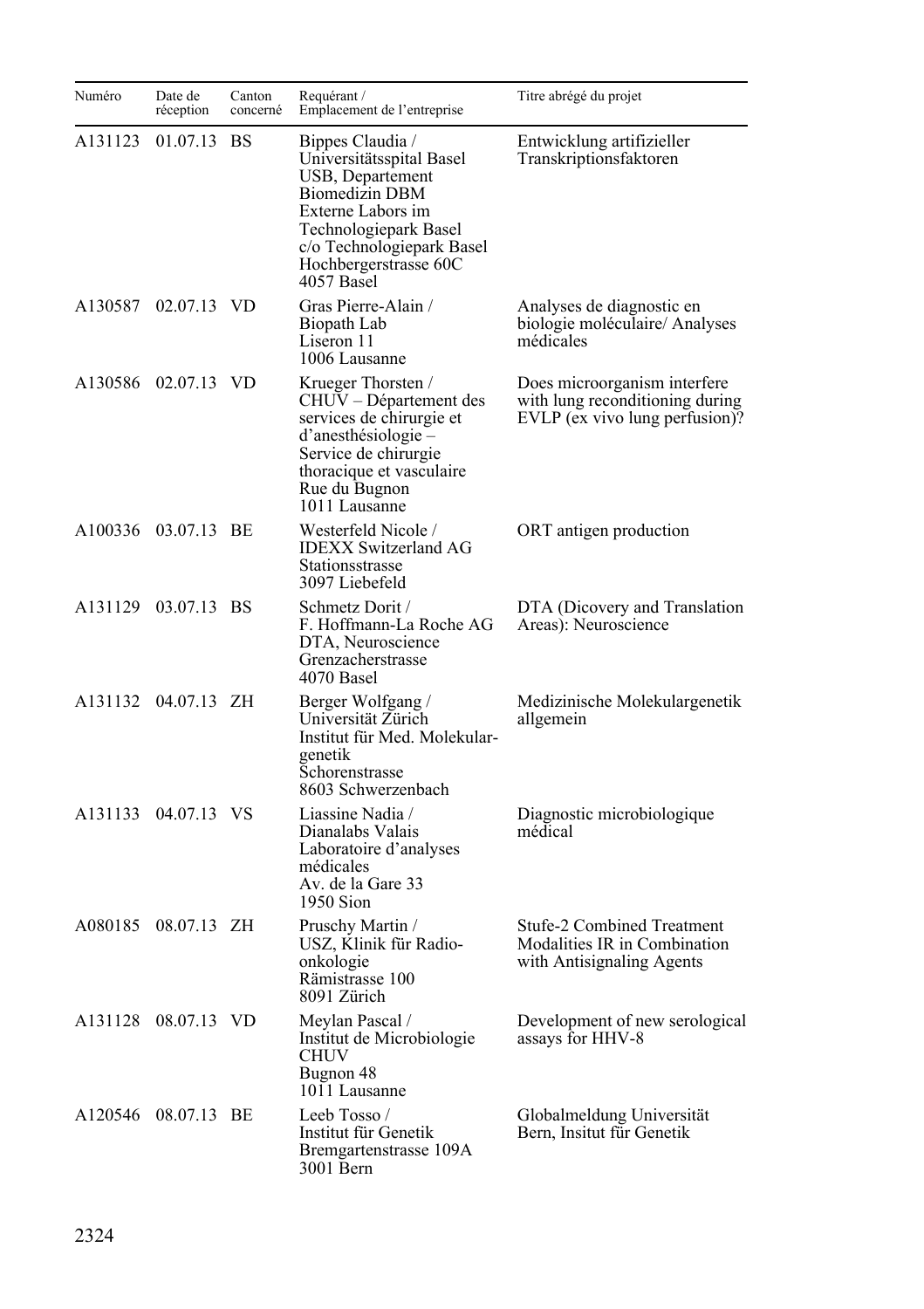| Numéro  | Date de<br>réception | Canton<br>concerné | Requérant /<br>Emplacement de l'entreprise                                                                                                                                                                  | Titre abrégé du projet                                                                            |
|---------|----------------------|--------------------|-------------------------------------------------------------------------------------------------------------------------------------------------------------------------------------------------------------|---------------------------------------------------------------------------------------------------|
| A131123 | 01.07.13 BS          |                    | Bippes Claudia /<br>Universitätsspital Basel<br>USB, Departement<br><b>Biomedizin DBM</b><br>Externe Labors im<br>Technologiepark Basel<br>c/o Technologiepark Basel<br>Hochbergerstrasse 60C<br>4057 Basel | Entwicklung artifizieller<br>Transkriptionsfaktoren                                               |
|         | A130587 02.07.13 VD  |                    | Gras Pierre-Alain /<br>Biopath Lab<br>Liseron 11<br>1006 Lausanne                                                                                                                                           | Analyses de diagnostic en<br>biologie moléculaire/ Analyses<br>médicales                          |
|         | A130586 02.07.13 VD  |                    | Krueger Thorsten /<br>CHUV - Département des<br>services de chirurgie et<br>d'anesthésiologie –<br>Service de chirurgie<br>thoracique et vasculaire<br>Rue du Bugnon<br>1011 Lausanne                       | Does microorganism interfere<br>with lung reconditioning during<br>EVLP (ex vivo lung perfusion)? |
|         | A100336 03.07.13 BE  |                    | Westerfeld Nicole /<br><b>IDEXX Switzerland AG</b><br>Stationsstrasse<br>3097 Liebefeld                                                                                                                     | ORT antigen production                                                                            |
|         | A131129 03.07.13 BS  |                    | Schmetz Dorit /<br>F. Hoffmann-La Roche AG<br>DTA, Neuroscience<br>Grenzacherstrasse<br>4070 Basel                                                                                                          | DTA (Dicovery and Translation<br>Areas): Neuroscience                                             |
|         | A131132 04.07.13 ZH  |                    | Berger Wolfgang /<br>Universität Zürich<br>Institut für Med. Molekular-<br>genetik<br>Schorenstrasse<br>8603 Schwerzenbach                                                                                  | Medizinische Molekulargenetik<br>allgemein                                                        |
|         | A131133 04.07.13 VS  |                    | Liassine Nadia /<br>Dianalabs Valais<br>Laboratoire d'analyses<br>médicales<br>Av. de la Gare 33<br>1950 Sion                                                                                               | Diagnostic microbiologique<br>médical                                                             |
|         | A080185 08.07.13 ZH  |                    | Pruschy Martin /<br>USZ, Klinik für Radio-<br>onkologie<br>Rämistrasse 100<br>8091 Zürich                                                                                                                   | <b>Stufe-2 Combined Treatment</b><br>Modalities IR in Combination<br>with Antisignaling Agents    |
|         | A131128 08.07.13 VD  |                    | Meylan Pascal /<br>Institut de Microbiologie<br>CHUV<br>Bugnon 48<br>1011 Lausanne                                                                                                                          | Development of new serological<br>assays for HHV-8                                                |
|         | A120546 08.07.13 BE  |                    | Leeb Tosso /<br>Institut für Genetik<br>Bremgartenstrasse 109A<br>3001 Bern                                                                                                                                 | Globalmeldung Universität<br>Bern, Insitut für Genetik                                            |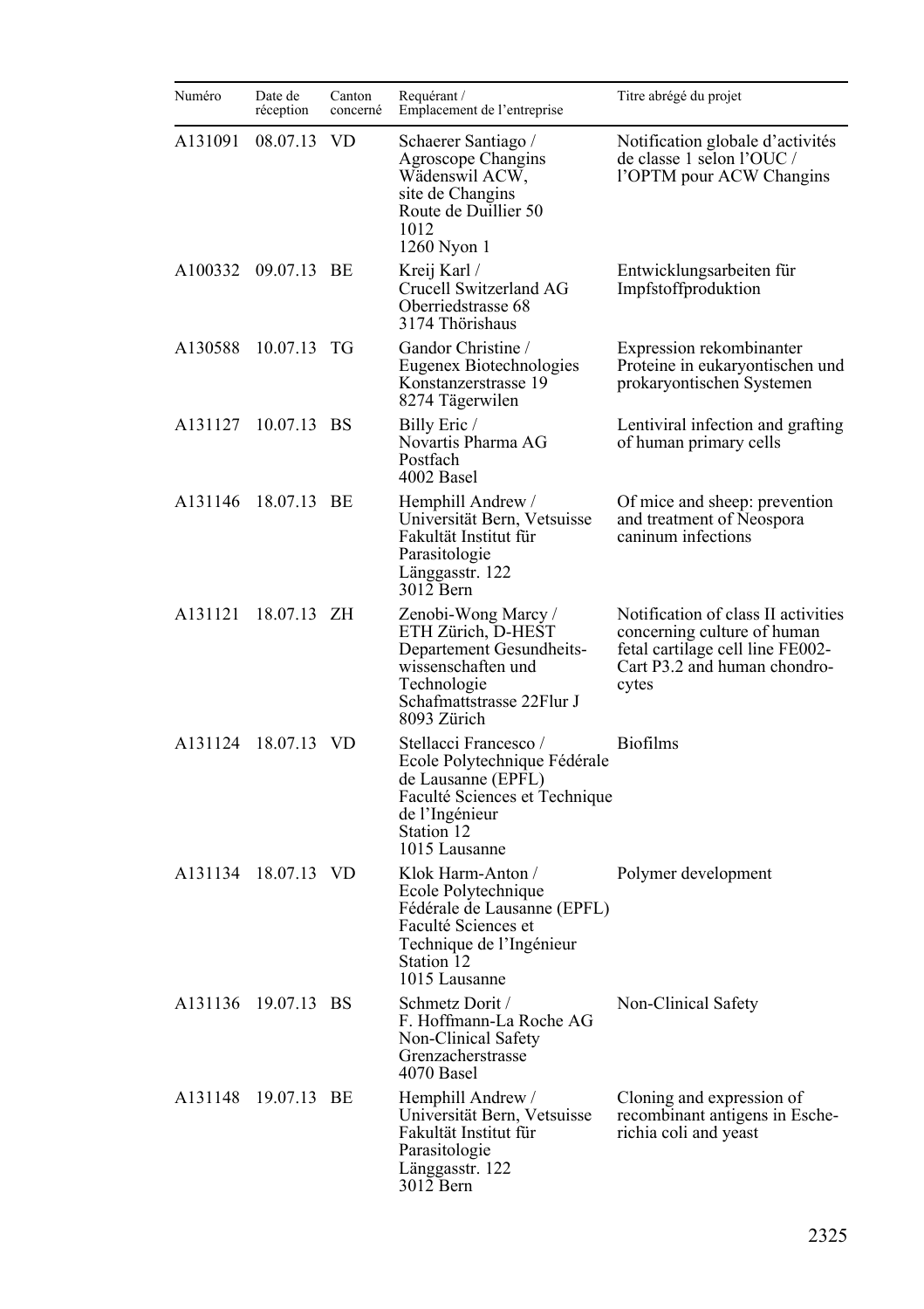| Numéro  | Date de<br>réception | Canton<br>concerné | Requérant /<br>Emplacement de l'entreprise                                                                                                                    | Titre abrégé du projet                                                                                                                          |
|---------|----------------------|--------------------|---------------------------------------------------------------------------------------------------------------------------------------------------------------|-------------------------------------------------------------------------------------------------------------------------------------------------|
| A131091 | 08.07.13             | <b>VD</b>          | Schaerer Santiago /<br>Agroscope Changins<br>Wädenswil ACW,<br>site de Changins<br>Route de Duillier 50<br>1012<br>1260 Nyon 1                                | Notification globale d'activités<br>de classe 1 selon l'OUC /<br>l'OPTM pour ACW Changins                                                       |
| A100332 | 09.07.13 BE          |                    | Kreij Karl /<br>Crucell Switzerland AG<br>Oberriedstrasse 68<br>3174 Thörishaus                                                                               | Entwicklungsarbeiten für<br>Impfstoffproduktion                                                                                                 |
| A130588 | 10.07.13 TG          |                    | Gandor Christine /<br>Eugenex Biotechnologies<br>Konstanzerstrasse 19<br>8274 Tägerwilen                                                                      | Expression rekombinanter<br>Proteine in eukaryontischen und<br>prokaryontischen Systemen                                                        |
| A131127 | 10.07.13 BS          |                    | Billy Eric /<br>Novartis Pharma AG<br>Postfach<br>4002 Basel                                                                                                  | Lentiviral infection and grafting<br>of human primary cells                                                                                     |
| A131146 | 18.07.13 BE          |                    | Hemphill Andrew /<br>Universität Bern, Vetsuisse<br>Fakultät Institut für<br>Parasitologie<br>Länggasstr. 122<br>3012 Bern                                    | Of mice and sheep: prevention<br>and treatment of Neospora<br>caninum infections                                                                |
| A131121 | 18.07.13 ZH          |                    | Zenobi-Wong Marcy /<br>ETH Zürich, D-HEST<br>Departement Gesundheits-<br>wissenschaften und<br>Technologie<br>Schafmattstrasse 22Flur J<br>8093 Zürich        | Notification of class II activities<br>concerning culture of human<br>fetal cartilage cell line FE002-<br>Cart P3.2 and human chondro-<br>cytes |
| A131124 | 18.07.13 VD          |                    | Stellacci Francesco /<br>Ecole Polytechnique Fédérale<br>de Lausanne (EPFL)<br>Faculté Sciences et Technique<br>de l'Ingénieur<br>Station 12<br>1015 Lausanne | <b>Biofilms</b>                                                                                                                                 |
| A131134 | 18.07.13 VD          |                    | Klok Harm-Anton /<br>Ecole Polytechnique<br>Fédérale de Lausanne (EPFL)<br>Faculté Sciences et<br>Technique de l'Ingénieur<br>Station 12<br>1015 Lausanne     | Polymer development                                                                                                                             |
| A131136 | 19.07.13 BS          |                    | Schmetz Dorit /<br>F. Hoffmann-La Roche AG<br>Non-Clinical Safety<br>Grenzacherstrasse<br>4070 Basel                                                          | Non-Clinical Safety                                                                                                                             |
| A131148 | 19.07.13 BE          |                    | Hemphill Andrew /<br>Universität Bern, Vetsuisse<br>Fakultät Institut für<br>Parasitologie<br>Länggasstr. 122<br>3012 Bern                                    | Cloning and expression of<br>recombinant antigens in Esche-<br>richia coli and yeast                                                            |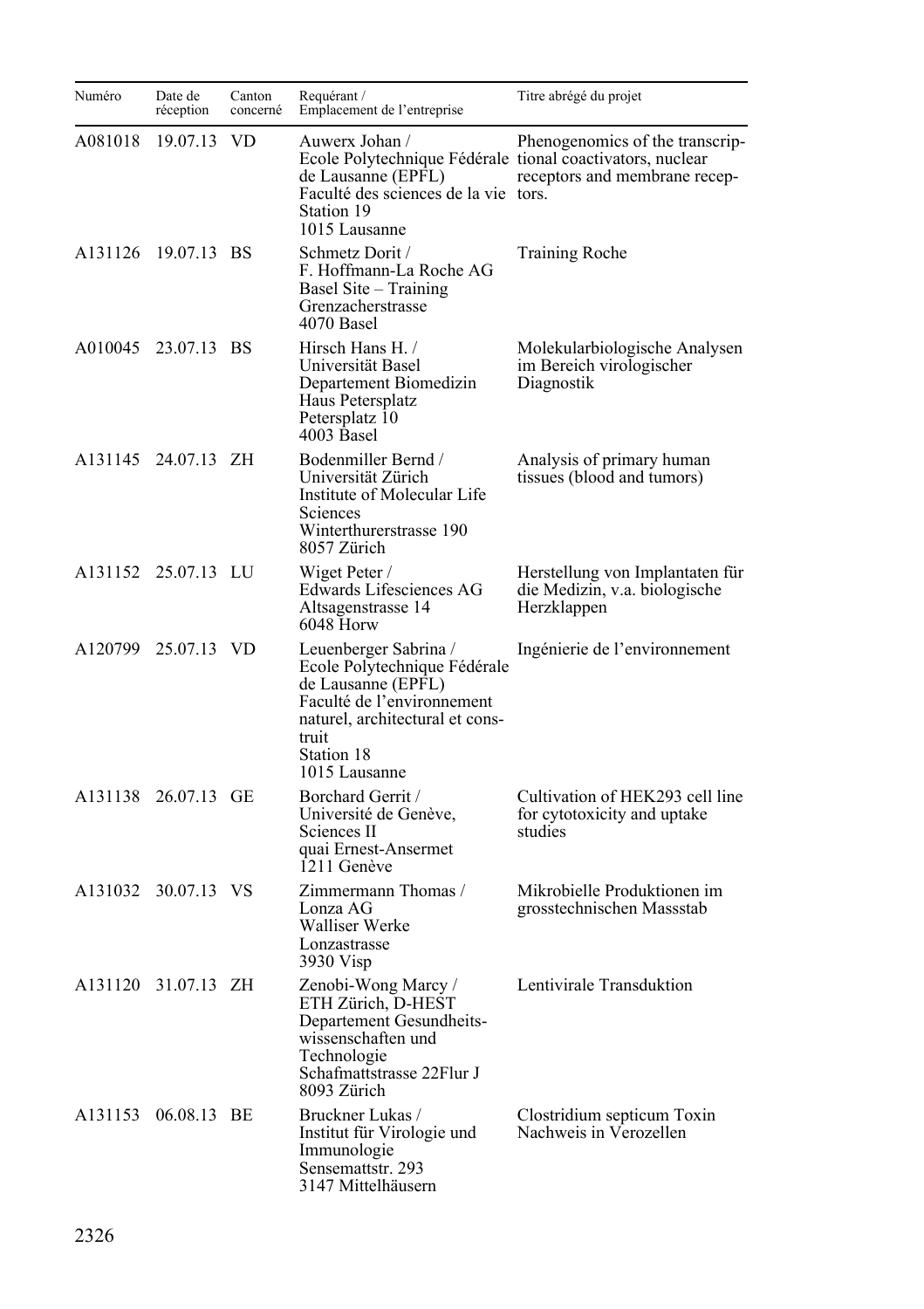| Numéro  | Date de<br>réception | Canton<br>concerné | Requérant /<br>Emplacement de l'entreprise                                                                                                                                           | Titre abrégé du projet                                                          |
|---------|----------------------|--------------------|--------------------------------------------------------------------------------------------------------------------------------------------------------------------------------------|---------------------------------------------------------------------------------|
| A081018 | 19.07.13             | <b>VD</b>          | Auwerx Johan /<br>Ecole Polytechnique Fédérale tional coactivators, nuclear<br>de Lausanne (EPFL)<br>Faculté des sciences de la vie tors.<br>Station 19<br>1015 Lausanne             | Phenogenomics of the transcrip-<br>receptors and membrane recep-                |
|         | A131126 19.07.13 BS  |                    | Schmetz Dorit /<br>F. Hoffmann-La Roche AG<br>Basel Site – Training<br>Grenzacherstrasse<br>4070 Basel                                                                               | Training Roche                                                                  |
|         | A010045 23.07.13 BS  |                    | Hirsch Hans H. /<br>Universität Basel<br>Departement Biomedizin<br>Haus Petersplatz<br>Petersplatz 10<br>4003 Basel                                                                  | Molekularbiologische Analysen<br>im Bereich virologischer<br>Diagnostik         |
|         | A131145 24.07.13 ZH  |                    | Bodenmiller Bernd /<br>Universität Zürich<br>Institute of Molecular Life<br>Sciences<br>Winterthurerstrasse 190<br>8057 Zürich                                                       | Analysis of primary human<br>tissues (blood and tumors)                         |
|         | A131152 25.07.13 LU  |                    | Wiget Peter /<br>Edwards Lifesciences AG<br>Altsagenstrasse 14<br>$6048$ Horw                                                                                                        | Herstellung von Implantaten für<br>die Medizin, v.a. biologische<br>Herzklappen |
| A120799 | 25.07.13 VD          |                    | Leuenberger Sabrina /<br>Ecole Polytechnique Fédérale<br>de Lausanne (EPFL)<br>Faculté de l'environnement<br>naturel, architectural et cons-<br>truit<br>Station 18<br>1015 Lausanne | Ingénierie de l'environnement                                                   |
|         | A131138 26.07.13 GE  |                    | Borchard Gerrit /<br>Université de Genève,<br>Sciences II<br>quai Ernest-Ansermet<br>1211 Genève                                                                                     | Cultivation of HEK293 cell line<br>for cytotoxicity and uptake<br>studies       |
| A131032 | 30.07.13 VS          |                    | Zimmermann Thomas /<br>Lonza AG<br>Walliser Werke<br>Lonzastrasse<br>3930 Visp                                                                                                       | Mikrobielle Produktionen im<br>grosstechnischen Massstab                        |
|         | A131120 31.07.13 ZH  |                    | Zenobi-Wong Marcy /<br>ETH Zürich, D-HEST<br>Departement Gesundheits-<br>wissenschaften und<br>Technologie<br>Schafmattstrasse 22Flur J<br>8093 Zürich                               | Lentivirale Transduktion                                                        |
| A131153 | 06.08.13 BE          |                    | Bruckner Lukas /<br>Institut für Virologie und<br>Immunologie<br>Sensemattstr. 293<br>3147 Mittelhäusern                                                                             | Clostridium septicum Toxin<br>Nachweis in Verozellen                            |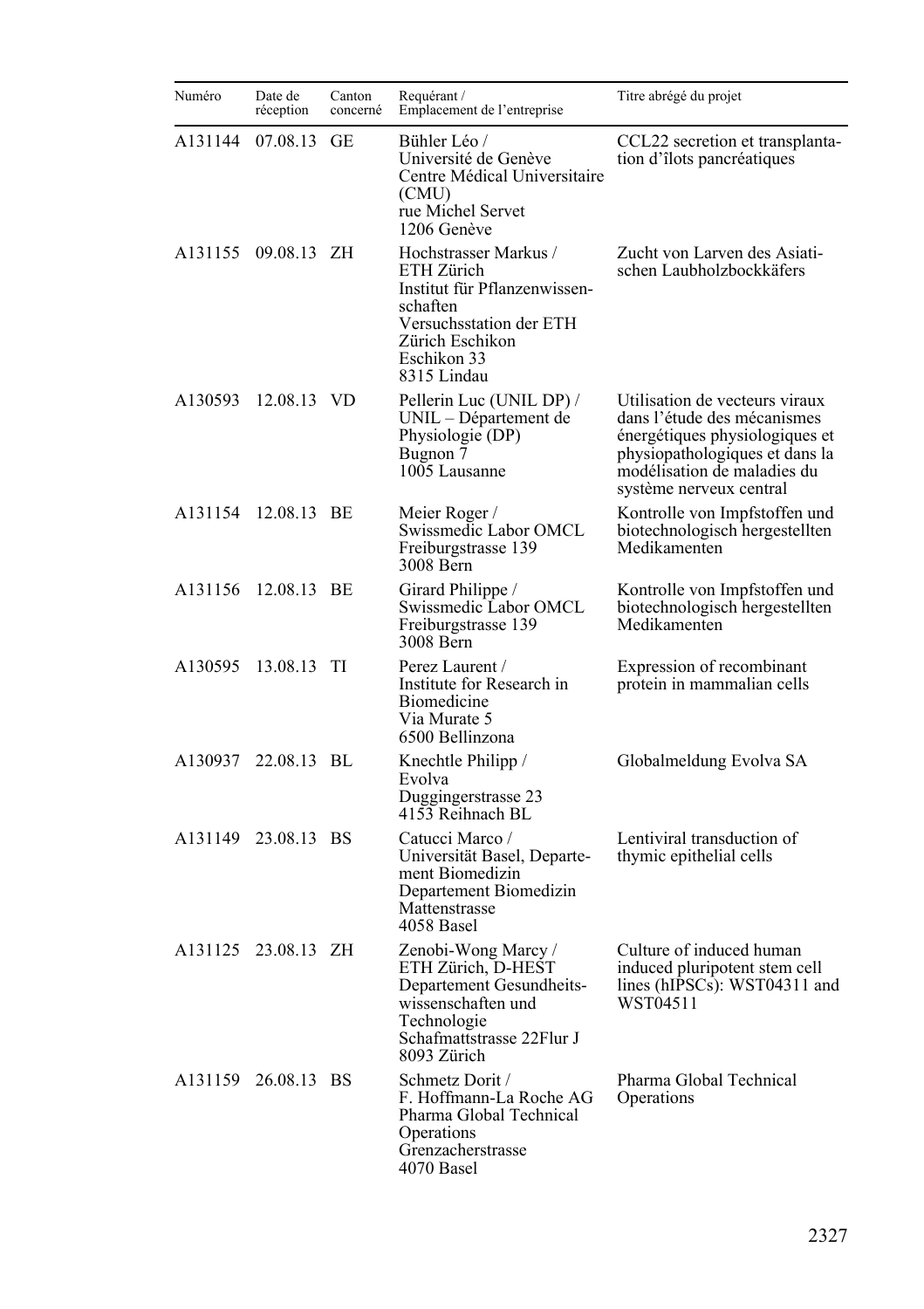| Numéro  | Date de<br>réception | Canton<br>concerné | Requérant /<br>Emplacement de l'entreprise                                                                                                                  | Titre abrégé du projet                                                                                                                                                                      |
|---------|----------------------|--------------------|-------------------------------------------------------------------------------------------------------------------------------------------------------------|---------------------------------------------------------------------------------------------------------------------------------------------------------------------------------------------|
| A131144 | 07.08.13 GE          |                    | Bühler Léo /<br>Université de Genève<br>Centre Médical Universitaire<br>(CMU)<br>rue Michel Servet<br>1206 Genève                                           | CCL22 secretion et transplanta-<br>tion d'îlots pancréatiques                                                                                                                               |
|         | A131155 09.08.13 ZH  |                    | Hochstrasser Markus /<br>ETH Zürich<br>Institut für Pflanzenwissen-<br>schaften<br>Versuchsstation der ETH<br>Zürich Eschikon<br>Eschikon 33<br>8315 Lindau | Zucht von Larven des Asiati-<br>schen Laubholzbockkäfers                                                                                                                                    |
| A130593 | 12.08.13 VD          |                    | Pellerin Luc (UNIL DP) /<br>UNIL - Département de<br>Physiologie (DP)<br>Bugnon 7<br>1005 Lausanne                                                          | Utilisation de vecteurs viraux<br>dans l'étude des mécanismes<br>énergétiques physiologiques et<br>physiopathologiques et dans la<br>modélisation de maladies du<br>système nerveux central |
| A131154 | 12.08.13 BE          |                    | Meier Roger/<br>Swissmedic Labor OMCL<br>Freiburgstrasse 139<br>3008 Bern                                                                                   | Kontrolle von Impfstoffen und<br>biotechnologisch hergestellten<br>Medikamenten                                                                                                             |
| A131156 | 12.08.13 BE          |                    | Girard Philippe /<br>Swissmedic Labor OMCL<br>Freiburgstrasse 139<br>3008 Bern                                                                              | Kontrolle von Impfstoffen und<br>biotechnologisch hergestellten<br>Medikamenten                                                                                                             |
| A130595 | 13.08.13 TI          |                    | Perez Laurent /<br>Institute for Research in<br>Biomedicine<br>Via Murate 5<br>6500 Bellinzona                                                              | Expression of recombinant<br>protein in mammalian cells                                                                                                                                     |
| A130937 | 22.08.13 BL          |                    | Knechtle Philipp /<br>Evolva<br>Duggingerstrasse 23<br>4153 Reihnach BL                                                                                     | Globalmeldung Evolva SA                                                                                                                                                                     |
| A131149 | 23.08.13 BS          |                    | Catucci Marco /<br>Universität Basel, Departe-<br>ment Biomedizin<br>Departement Biomedizin<br>Mattenstrasse<br>4058 Basel                                  | Lentiviral transduction of<br>thymic epithelial cells                                                                                                                                       |
|         | A131125 23.08.13 ZH  |                    | Zenobi-Wong Marcy /<br>ETH Zürich, D-HEST<br>Departement Gesundheits-<br>wissenschaften und<br>Technologie<br>Schafmattstrasse 22Flur J<br>8093 Zürich      | Culture of induced human<br>induced pluripotent stem cell<br>lines (hIPSCs): WST04311 and<br>WST04511                                                                                       |
|         | A131159 26.08.13 BS  |                    | Schmetz Dorit /<br>F. Hoffmann-La Roche AG<br>Pharma Global Technical<br>Operations<br>Grenzacherstrasse<br>4070 Basel                                      | Pharma Global Technical<br>Operations                                                                                                                                                       |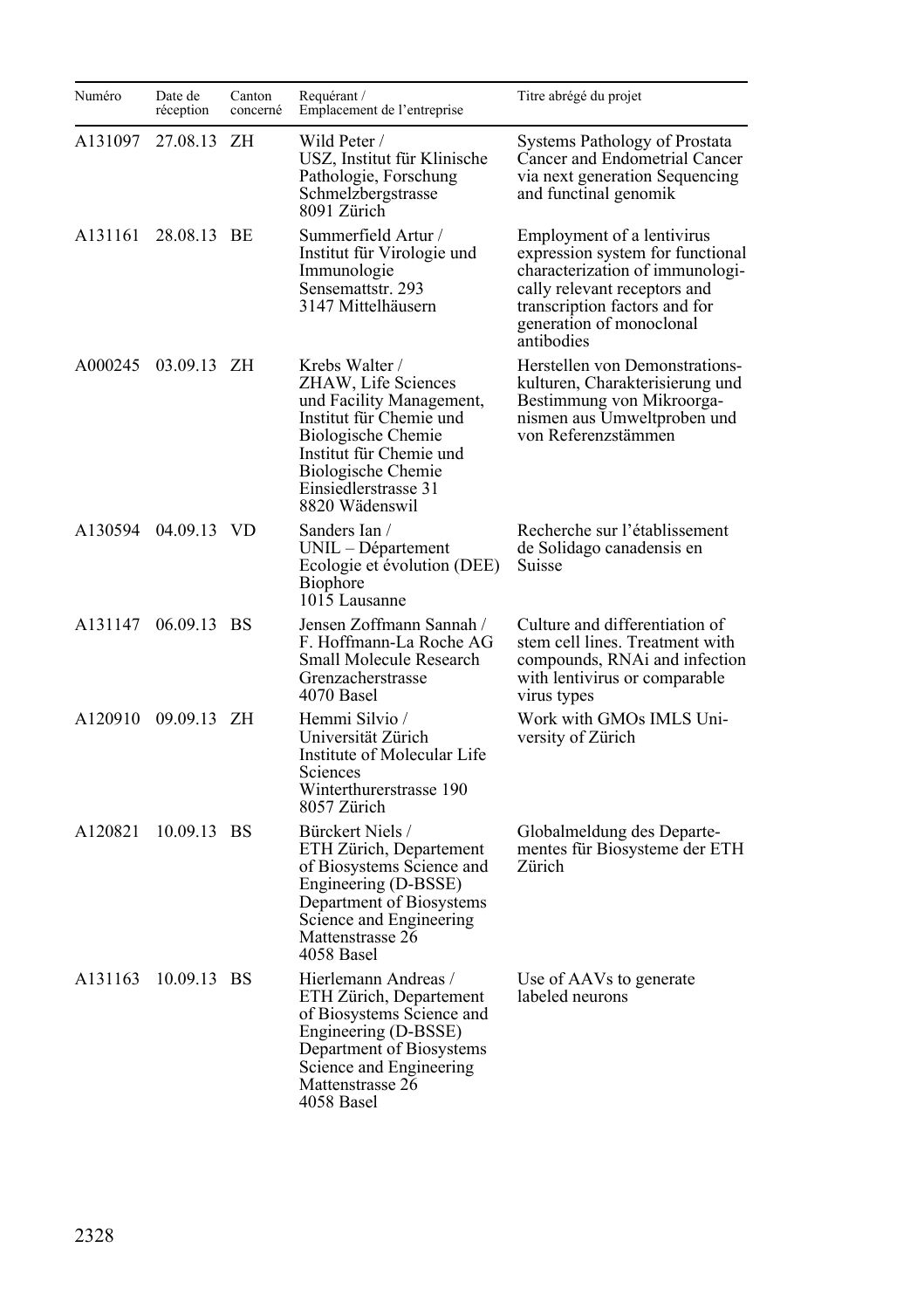| Numéro  | Date de<br>réception | Canton<br>concerné | Requérant /<br>Emplacement de l'entreprise                                                                                                                                                                           | Titre abrégé du projet                                                                                                                                                                                       |
|---------|----------------------|--------------------|----------------------------------------------------------------------------------------------------------------------------------------------------------------------------------------------------------------------|--------------------------------------------------------------------------------------------------------------------------------------------------------------------------------------------------------------|
| A131097 | 27.08.13             | ΖH                 | Wild Peter /<br>USZ, Institut für Klinische<br>Pathologie, Forschung<br>Schmelzbergstrasse<br>8091 Zürich                                                                                                            | Systems Pathology of Prostata<br>Cancer and Endometrial Cancer<br>via next generation Sequencing<br>and functinal genomik                                                                                    |
| A131161 | 28.08.13 BE          |                    | Summerfield Artur /<br>Institut für Virologie und<br>Immunologie<br>Sensemattstr. 293<br>3147 Mittelhäusern                                                                                                          | Employment of a lentivirus<br>expression system for functional<br>characterization of immunologi-<br>cally relevant receptors and<br>transcription factors and for<br>generation of monoclonal<br>antibodies |
| A000245 | 03.09.13 ZH          |                    | Krebs Walter /<br>ZHAW, Life Sciences<br>und Facility Management,<br>Institut für Chemie und<br><b>Biologische Chemie</b><br>Institut für Chemie und<br>Biologische Chemie<br>Einsiedlerstrasse 31<br>8820 Wädenswil | Herstellen von Demonstrations-<br>kulturen, Charakterisierung und<br>Bestimmung von Mikroorga-<br>nismen aus Umweltproben und<br>von Referenzstämmen                                                         |
| A130594 | 04.09.13 VD          |                    | Sanders Ian /<br>UNIL – Département<br>Ecologie et évolution (DEE)<br><b>Biophore</b><br>1015 Lausanne                                                                                                               | Recherche sur l'établissement<br>de Solidago canadensis en<br>Suisse                                                                                                                                         |
| A131147 | 06.09.13 BS          |                    | Jensen Zoffmann Sannah /<br>F. Hoffmann-La Roche AG<br>Small Molecule Research<br>Grenzacherstrasse<br>4070 Basel                                                                                                    | Culture and differentiation of<br>stem cell lines. Treatment with<br>compounds, RNAi and infection<br>with lentivirus or comparable<br>virus types                                                           |
|         | A120910 09.09.13 ZH  |                    | Hemmi Silvio /<br>Universität Zürich<br>Institute of Molecular Life<br><b>Sciences</b><br>Winterthurerstrasse 190<br>8057 Zürich                                                                                     | Work with GMOs IMLS Uni-<br>versity of Zürich                                                                                                                                                                |
| A120821 | 10.09.13 BS          |                    | Bürckert Niels /<br>ETH Zürich, Departement<br>of Biosystems Science and<br>Engineering (D-BSSE)<br>Department of Biosystems<br>Science and Engineering<br>Mattenstrasse 26<br>4058 Basel                            | Globalmeldung des Departe-<br>mentes für Biosysteme der ETH<br>Zürich                                                                                                                                        |
| A131163 | 10.09.13 BS          |                    | Hierlemann Andreas /<br>ETH Zürich, Departement<br>of Biosystems Science and<br>Engineering (D-BSSE)<br>Department of Biosystems<br>Science and Engineering<br>Mattenstrasse 26<br>4058 Basel                        | Use of AAVs to generate<br>labeled neurons                                                                                                                                                                   |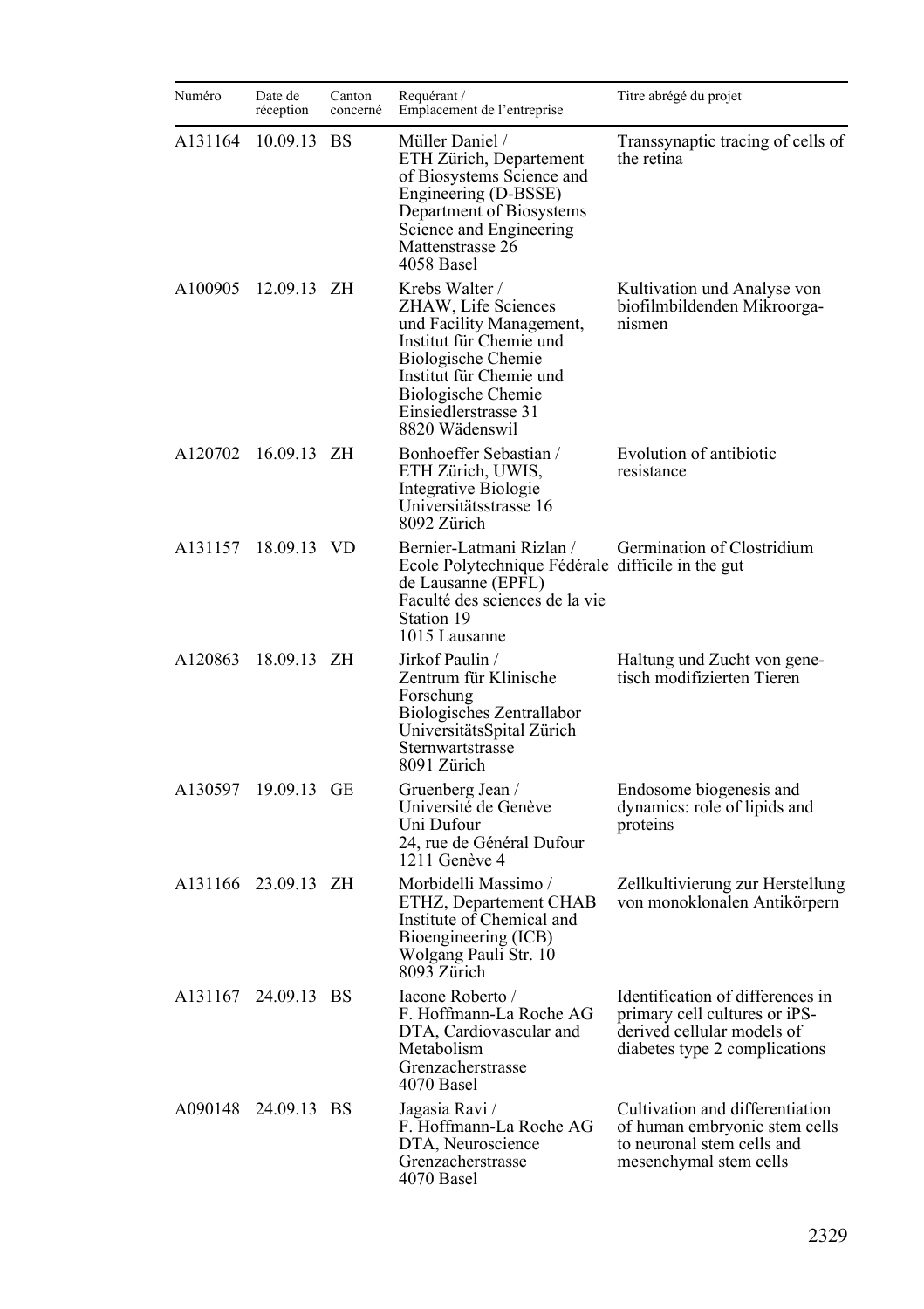| Numéro  | Date de<br>réception | Canton<br>concerné | Requérant /<br>Emplacement de l'entreprise                                                                                                                                                                           | Titre abrégé du projet                                                                                                           |
|---------|----------------------|--------------------|----------------------------------------------------------------------------------------------------------------------------------------------------------------------------------------------------------------------|----------------------------------------------------------------------------------------------------------------------------------|
| A131164 | 10.09.13             | <b>BS</b>          | Müller Daniel /<br>ETH Zürich, Departement<br>of Biosystems Science and<br>Engineering (D-BSSE)<br>Department of Biosystems<br>Science and Engineering<br>Mattenstrasse 26<br>4058 Basel                             | Transsynaptic tracing of cells of<br>the retina                                                                                  |
| A100905 | $12.09.13$ ZH        |                    | Krebs Walter /<br>ZHAW, Life Sciences<br>und Facility Management,<br>Institut für Chemie und<br><b>Biologische Chemie</b><br>Institut für Chemie und<br>Biologische Chemie<br>Einsiedlerstrasse 31<br>8820 Wädenswil | Kultivation und Analyse von<br>biofilmbildenden Mikroorga-<br>nismen                                                             |
| A120702 | 16.09.13 ZH          |                    | Bonhoeffer Sebastian /<br>ETH Zürich, UWIS,<br>Integrative Biologie<br>Universitätsstrasse 16<br>8092 Zürich                                                                                                         | Evolution of antibiotic<br>resistance                                                                                            |
| A131157 | 18.09.13 VD          |                    | Bernier-Latmani Rizlan /<br>Ecole Polytechnique Fédérale difficile in the gut<br>de Lausanne (EPFL)<br>Faculté des sciences de la vie<br>Station 19<br>1015 Lausanne                                                 | Germination of Clostridium                                                                                                       |
| A120863 | 18.09.13 ZH          |                    | Jirkof Paulin /<br>Zentrum für Klinische<br>Forschung<br>Biologisches Zentrallabor<br>UniversitätsSpital Zürich<br>Sternwartstrasse<br>8091 Zürich                                                                   | Haltung und Zucht von gene-<br>tisch modifizierten Tieren                                                                        |
|         | A130597 19.09.13 GE  |                    | Gruenberg Jean /<br>Université de Genève<br>Uni Dufour<br>24, rue de Général Dufour<br>1211 Genève 4                                                                                                                 | Endosome biogenesis and<br>dynamics: role of lipids and<br>proteins                                                              |
|         | A131166 23.09.13 ZH  |                    | Morbidelli Massimo /<br>ETHZ, Departement CHAB<br>Institute of Chemical and<br>Bioengineering (ICB)<br>Wolgang Pauli Str. 10<br>8093 Zürich                                                                          | Zellkultivierung zur Herstellung<br>von monoklonalen Antikörpern                                                                 |
|         | A131167 24.09.13 BS  |                    | Iacone Roberto /<br>F. Hoffmann-La Roche AG<br>DTA, Cardiovascular and<br>Metabolism<br>Grenzacherstrasse<br>4070 Basel                                                                                              | Identification of differences in<br>primary cell cultures or iPS-<br>derived cellular models of<br>diabetes type 2 complications |
|         | A090148 24.09.13 BS  |                    | Jagasia Ravi /<br>F. Hoffmann-La Roche AG<br>DTA, Neuroscience<br>Grenzacherstrasse<br>4070 Basel                                                                                                                    | Cultivation and differentiation<br>of human embryonic stem cells<br>to neuronal stem cells and<br>mesenchymal stem cells         |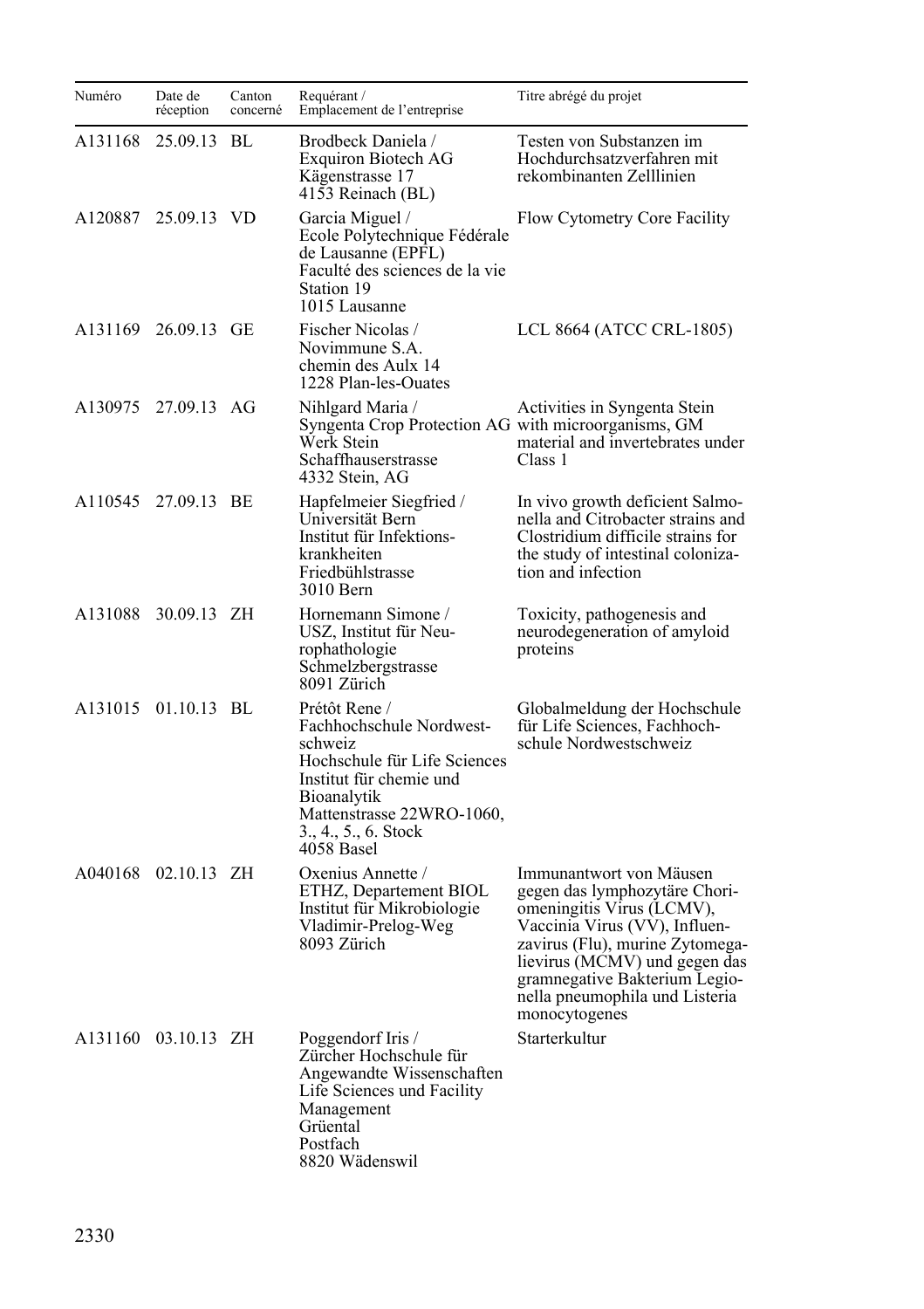| Numéro  | Date de<br>réception | Canton<br>concerné | Requérant /<br>Emplacement de l'entreprise                                                                                                                                                               | Titre abrégé du projet                                                                                                                                                                                                                                                         |
|---------|----------------------|--------------------|----------------------------------------------------------------------------------------------------------------------------------------------------------------------------------------------------------|--------------------------------------------------------------------------------------------------------------------------------------------------------------------------------------------------------------------------------------------------------------------------------|
| A131168 | 25.09.13             | BL                 | Brodbeck Daniela /<br>Exquiron Biotech AG<br>Kägenstrasse 17<br>4153 Reinach (BL)                                                                                                                        | Testen von Substanzen im<br>Hochdurchsatzverfahren mit<br>rekombinanten Zelllinien                                                                                                                                                                                             |
| A120887 | 25.09.13 VD          |                    | Garcia Miguel /<br>Ecole Polytechnique Fédérale<br>de Lausanne (EPFL)<br>Faculté des sciences de la vie<br>Station 19<br>1015 Lausanne                                                                   | Flow Cytometry Core Facility                                                                                                                                                                                                                                                   |
|         | A131169 26.09.13 GE  |                    | Fischer Nicolas /<br>Novimmune S.A.<br>chemin des Aulx 14<br>1228 Plan-les-Ouates                                                                                                                        | LCL 8664 (ATCC CRL-1805)                                                                                                                                                                                                                                                       |
| A130975 | 27.09.13 AG          |                    | Nihlgard Maria /<br>Syngenta Crop Protection AG with microorganisms, GM<br>Werk Stein<br>Schaffhauserstrasse<br>4332 Stein, AG                                                                           | Activities in Syngenta Stein<br>material and invertebrates under<br>Class 1                                                                                                                                                                                                    |
| A110545 | 27.09.13 BE          |                    | Hapfelmeier Siegfried /<br>Universität Bern<br>Institut für Infektions-<br>krankheiten<br>Friedbühlstrasse<br>3010 Bern                                                                                  | In vivo growth deficient Salmo-<br>nella and Citrobacter strains and<br>Clostridium difficile strains for<br>the study of intestinal coloniza-<br>tion and infection                                                                                                           |
| A131088 | 30.09.13 ZH          |                    | Hornemann Simone /<br>USZ, Institut für Neu-<br>rophathologie<br>Schmelzbergstrasse<br>8091 Zürich                                                                                                       | Toxicity, pathogenesis and<br>neurodegeneration of amyloid<br>proteins                                                                                                                                                                                                         |
|         | A131015 01.10.13 BL  |                    | Prétôt Rene /<br>Fachhochschule Nordwest-<br>schweiz<br>Hochschule für Life Sciences<br>Institut für chemie und<br><b>Bioanalytik</b><br>Mattenstrasse 22WRO-1060,<br>3., 4., 5., 6. Stock<br>4058 Basel | Globalmeldung der Hochschule<br>für Life Sciences, Fachhoch-<br>schule Nordwestschweiz                                                                                                                                                                                         |
| A040168 | $02.10.13$ ZH        |                    | Oxenius Annette /<br>ETHZ, Departement BIOL<br>Institut für Mikrobiologie<br>Vladimir-Prelog-Weg<br>8093 Zürich                                                                                          | Immunantwort von Mäusen<br>gegen das lymphozytäre Chori-<br>omeningitis Virus (LCMV),<br>Vaccinia Virus (VV), Influen-<br>zavirus (Flu), murine Zytomega-<br>lievirus (MCMV) und gegen das<br>gramnegative Bakterium Legio-<br>nella pneumophila und Listeria<br>monocytogenes |
|         | A131160 03.10.13 ZH  |                    | Poggendorf Iris /<br>Zürcher Hochschule für<br>Angewandte Wissenschaften<br>Life Sciences und Facility<br>Management<br>Grüental<br>Postfach<br>8820 Wädenswil                                           | Starterkultur                                                                                                                                                                                                                                                                  |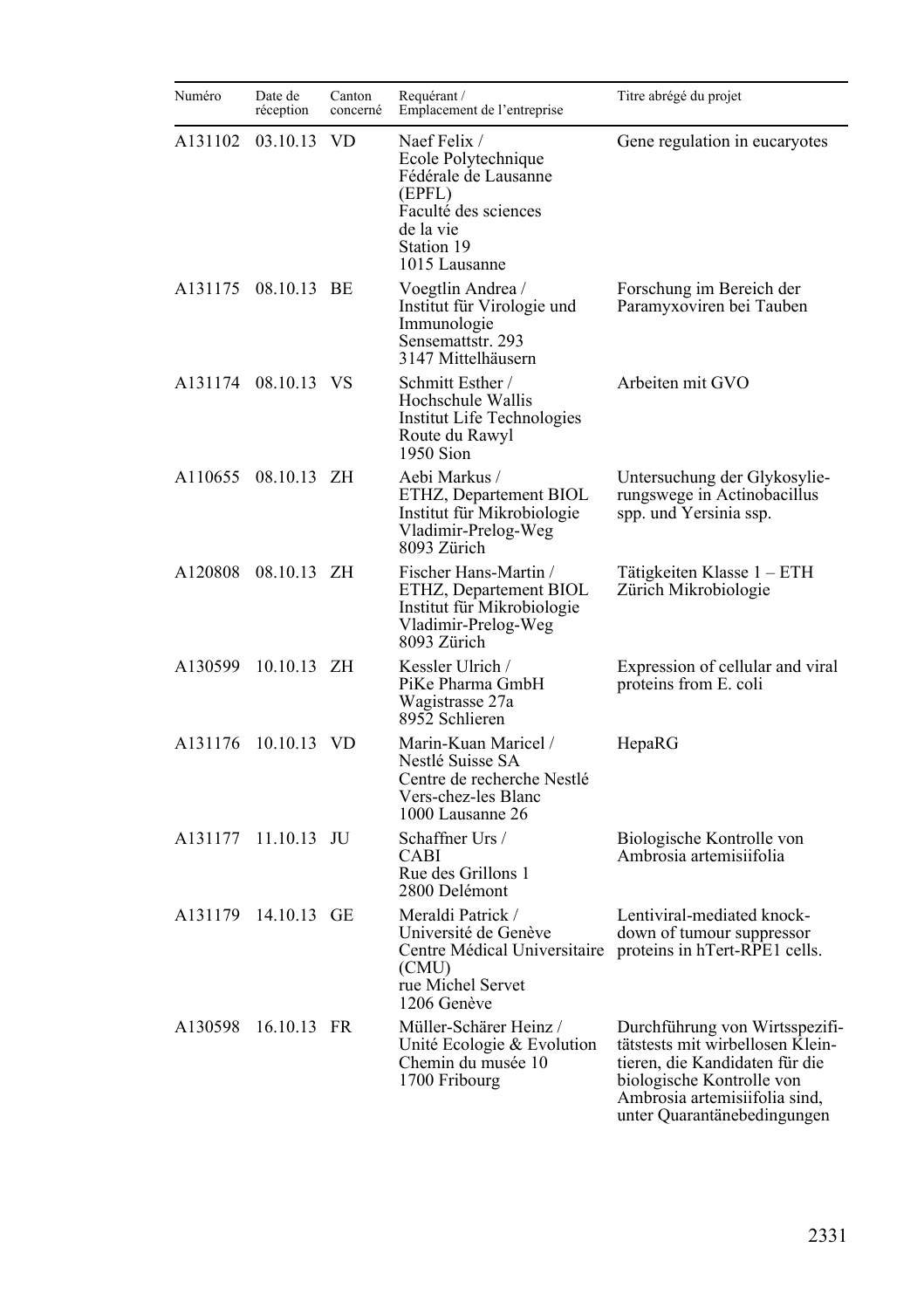| Numéro  | Date de<br>réception | Canton<br>concerné | Requérant /<br>Emplacement de l'entreprise                                                                                                | Titre abrégé du projet                                                                                                                                                                            |
|---------|----------------------|--------------------|-------------------------------------------------------------------------------------------------------------------------------------------|---------------------------------------------------------------------------------------------------------------------------------------------------------------------------------------------------|
| A131102 | 03.10.13             | VD                 | Naef Felix /<br>Ecole Polytechnique<br>Fédérale de Lausanne<br>(EPFL)<br>Faculté des sciences<br>de la vie<br>Station 19<br>1015 Lausanne | Gene regulation in eucaryotes                                                                                                                                                                     |
|         | A131175 08.10.13 BE  |                    | Voegtlin Andrea /<br>Institut für Virologie und<br>Immunologie<br>Sensemattstr. 293<br>3147 Mittelhäusern                                 | Forschung im Bereich der<br>Paramyxoviren bei Tauben                                                                                                                                              |
|         | A131174 08.10.13 VS  |                    | Schmitt Esther /<br>Hochschule Wallis<br>Institut Life Technologies<br>Route du Rawyl<br>1950 Sion                                        | Arbeiten mit GVO                                                                                                                                                                                  |
| A110655 | 08.10.13 ZH          |                    | Aebi Markus /<br>ETHZ, Departement BIOL<br>Institut für Mikrobiologie<br>Vladimir-Prelog-Weg<br>8093 Zürich                               | Untersuchung der Glykosylie-<br>rungswege in Actinobacillus<br>spp. und Yersinia ssp.                                                                                                             |
| A120808 | 08.10.13 ZH          |                    | Fischer Hans-Martin /<br>ETHZ, Departement BIOL<br>Institut für Mikrobiologie<br>Vladimir-Prelog-Weg<br>8093 Zürich                       | Tätigkeiten Klasse 1 – ETH<br>Zürich Mikrobiologie                                                                                                                                                |
| A130599 | 10.10.13 ZH          |                    | Kessler Ulrich /<br>PiKe Pharma GmbH<br>Wagistrasse 27a<br>8952 Schlieren                                                                 | Expression of cellular and viral<br>proteins from E. coli                                                                                                                                         |
| A131176 | 10.10.13 VD          |                    | Marin-Kuan Maricel /<br>Nestlé Suisse SA<br>Centre de recherche Nestlé<br>Vers-chez-les Blanc<br>1000 Lausanne 26                         | HepaRG                                                                                                                                                                                            |
| A131177 | $11.10.13$ JU        |                    | Schaffner Urs /<br>CABI<br>Rue des Grillons 1<br>2800 Delémont                                                                            | Biologische Kontrolle von<br>Ambrosia artemisiifolia                                                                                                                                              |
| A131179 | 14.10.13 GE          |                    | Meraldi Patrick /<br>Université de Genève<br>Centre Médical Universitaire<br>(CMU)<br>rue Michel Servet<br>1206 Genève                    | Lentiviral-mediated knock-<br>down of tumour suppressor<br>proteins in hTert-RPE1 cells.                                                                                                          |
| A130598 | 16.10.13 FR          |                    | Müller-Schärer Heinz /<br>Unité Ecologie & Evolution<br>Chemin du musée 10<br>1700 Fribourg                                               | Durchführung von Wirtsspezifi-<br>tätstests mit wirbellosen Klein-<br>tieren, die Kandidaten für die<br>biologische Kontrolle von<br>Ambrosia artemisiifolia sind,<br>unter Quarantänebedingungen |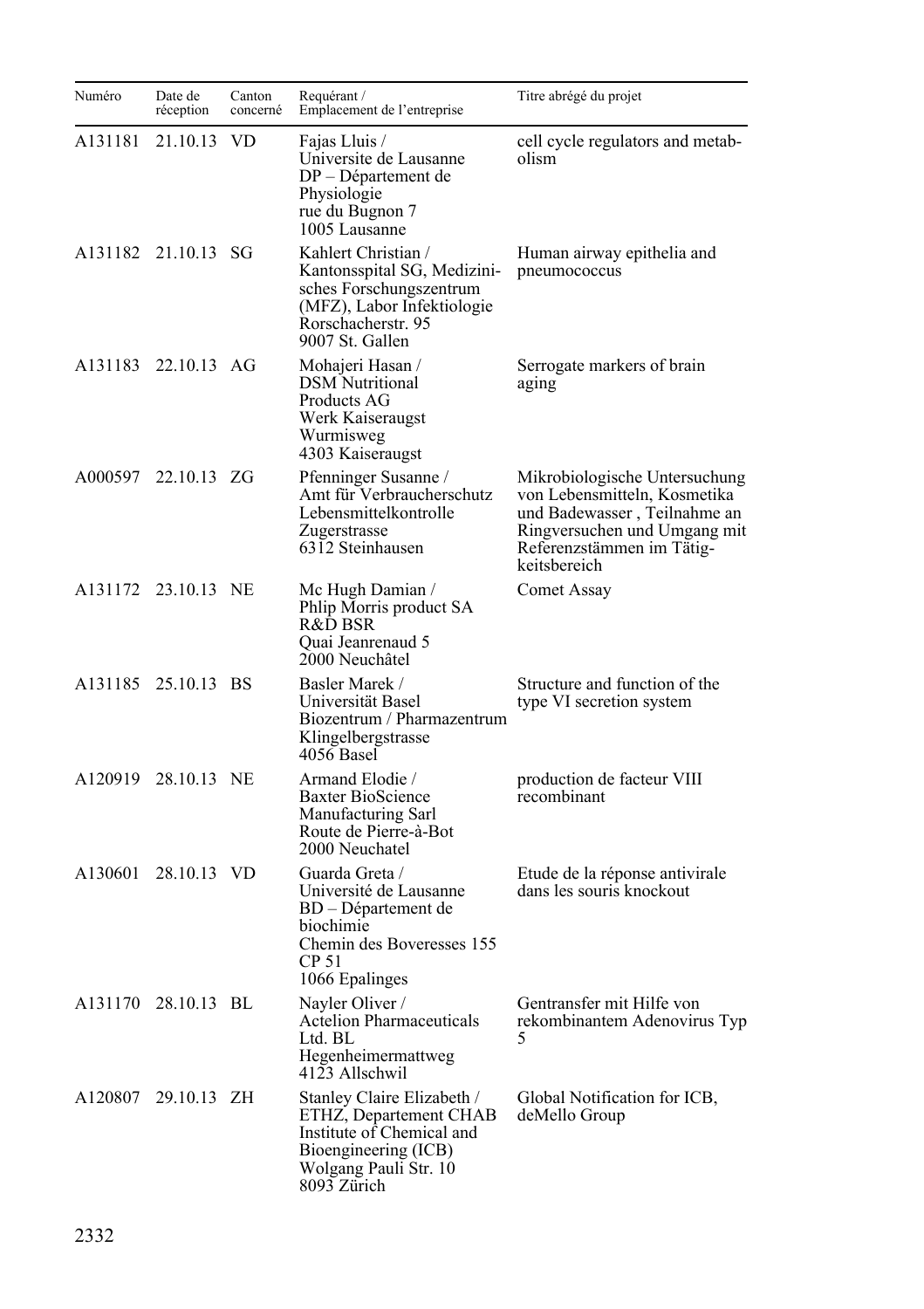| Numéro  | Date de<br>réception | Canton<br>concerné | Requérant /<br>Emplacement de l'entreprise                                                                                                           | Titre abrégé du projet                                                                                                                                                     |
|---------|----------------------|--------------------|------------------------------------------------------------------------------------------------------------------------------------------------------|----------------------------------------------------------------------------------------------------------------------------------------------------------------------------|
| A131181 | 21.10.13             | <b>VD</b>          | Fajas Lluis /<br>Universite de Lausanne<br>DP – Département de<br>Physiologie<br>rue du Bugnon 7<br>1005 Lausanne                                    | cell cycle regulators and metab-<br>olism                                                                                                                                  |
|         | A131182 21.10.13 SG  |                    | Kahlert Christian /<br>Kantonsspital SG, Medizini-<br>sches Forschungszentrum<br>(MFZ), Labor Infektiologie<br>Rorschacherstr. 95<br>9007 St. Gallen | Human airway epithelia and<br>pneumococcus                                                                                                                                 |
|         | A131183 22.10.13 AG  |                    | Mohajeri Hasan /<br><b>DSM</b> Nutritional<br>Products AG<br>Werk Kaiseraugst<br>Wurmisweg<br>4303 Kaiseraugst                                       | Serrogate markers of brain<br>aging                                                                                                                                        |
| A000597 | 22.10.13 ZG          |                    | Pfenninger Susanne /<br>Amt für Verbraucherschutz<br>Lebensmittelkontrolle<br>Zugerstrasse<br>6312 Steinhausen                                       | Mikrobiologische Untersuchung<br>von Lebensmitteln, Kosmetika<br>und Badewasser, Teilnahme an<br>Ringversuchen und Umgang mit<br>Referenzstämmen im Tätig-<br>keitsbereich |
|         | A131172 23.10.13 NE  |                    | Mc Hugh Damian /<br>Phlip Morris product SA<br>R&D BSR<br>Quai Jeanrenaud 5<br>2000 Neuchâtel                                                        | Comet Assay                                                                                                                                                                |
|         | A131185 25.10.13 BS  |                    | Basler Marek /<br>Universität Basel<br>Biozentrum / Pharmazentrum<br>Klingelbergstrasse<br>4056 Basel                                                | Structure and function of the<br>type VI secretion system                                                                                                                  |
| A120919 | 28.10.13 NE          |                    | Armand Elodie /<br><b>Baxter BioScience</b><br>Manufacturing Sarl<br>Route de Pierre-à-Bot<br>2000 Neuchatel                                         | production de facteur VIII<br>recombinant                                                                                                                                  |
| A130601 | 28.10.13 VD          |                    | Guarda Greta /<br>Université de Lausanne<br>BD – Département de<br>biochimie<br>Chemin des Boveresses 155<br>CP 51<br>1066 Epalinges                 | Etude de la réponse antivirale<br>dans les souris knockout                                                                                                                 |
|         | A131170 28.10.13 BL  |                    | Nayler Oliver /<br><b>Actelion Pharmaceuticals</b><br>Ltd. BL<br>Hegenheimermattweg<br>4123 Allschwil                                                | Gentransfer mit Hilfe von<br>rekombinantem Adenovirus Typ<br>5                                                                                                             |
|         | A120807 29.10.13 ZH  |                    | Stanley Claire Elizabeth /<br>ETHZ, Departement CHAB<br>Institute of Chemical and<br>Bioengineering (ICB)<br>Wolgang Pauli Str. 10<br>8093 Zürich    | Global Notification for ICB,<br>deMello Group                                                                                                                              |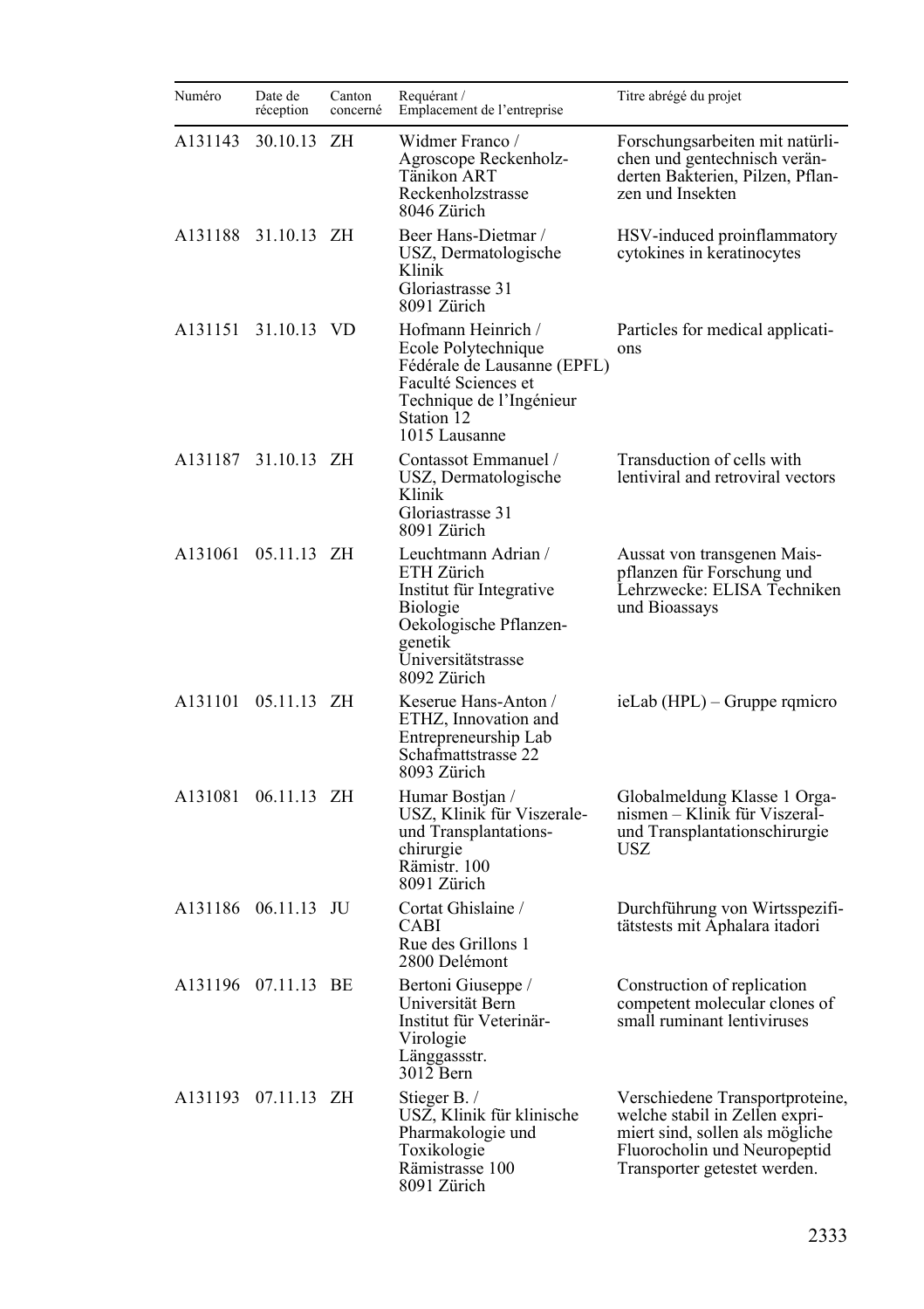| Numéro  | Date de<br>réception | Canton<br>concerné | Requérant /<br>Emplacement de l'entreprise                                                                                                                 | Titre abrégé du projet                                                                                                                                               |
|---------|----------------------|--------------------|------------------------------------------------------------------------------------------------------------------------------------------------------------|----------------------------------------------------------------------------------------------------------------------------------------------------------------------|
| A131143 | 30.10.13             | ΖH                 | Widmer Franco /<br>Agroscope Reckenholz-<br>Tänikon ART<br>Reckenholzstrasse<br>8046 Zürich                                                                | Forschungsarbeiten mit natürli-<br>chen und gentechnisch verän-<br>derten Bakterien, Pilzen, Pflan-<br>zen und Insekten                                              |
| A131188 | 31.10.13 ZH          |                    | Beer Hans-Dietmar /<br>USZ, Dermatologische<br>Klinik<br>Gloriastrasse 31<br>8091 Zürich                                                                   | HSV-induced proinflammatory<br>cytokines in keratinocytes                                                                                                            |
| A131151 | 31.10.13 VD          |                    | Hofmann Heinrich /<br>Ecole Polytechnique<br>Fédérale de Lausanne (EPFL)<br>Faculté Sciences et<br>Technique de l'Ingénieur<br>Station 12<br>1015 Lausanne | Particles for medical applicati-<br>ons                                                                                                                              |
| A131187 | 31.10.13 ZH          |                    | Contassot Emmanuel /<br>USZ, Dermatologische<br>Klinik<br>Gloriastrasse 31<br>8091 Zürich                                                                  | Transduction of cells with<br>lentiviral and retroviral vectors                                                                                                      |
| A131061 | 05.11.13 ZH          |                    | Leuchtmann Adrian /<br>ETH Zürich<br>Institut für Integrative<br>Biologie<br>Oekologische Pflanzen-<br>genetik<br>Universitätstrasse<br>8092 Zürich        | Aussat von transgenen Mais-<br>pflanzen für Forschung und<br>Lehrzwecke: ELISA Techniken<br>und Bioassays                                                            |
| A131101 | 05.11.13 ZH          |                    | Keserue Hans-Anton /<br>ETHZ, Innovation and<br>Entrepreneurship Lab<br>Schafmattstrasse 22<br>8093 Zürich                                                 | ieLab (HPL) – Gruppe rqmicro                                                                                                                                         |
| A131081 | 06.11.13 ZH          |                    | Humar Bostjan /<br>USZ, Klinik für Viszerale-<br>und Transplantations-<br>chirurgie<br>Rämistr. 100<br>8091 Zürich                                         | Globalmeldung Klasse 1 Orga-<br>nismen – Klinik für Viszeral-<br>und Transplantationschirurgie<br>USZ.                                                               |
| A131186 | 06.11.13 JU          |                    | Cortat Ghislaine /<br>CABI<br>Rue des Grillons 1<br>2800 Delémont                                                                                          | Durchführung von Wirtsspezifi-<br>tätstests mit Aphalara itadori                                                                                                     |
| A131196 | 07.11.13 BE          |                    | Bertoni Giuseppe /<br>Universität Bern<br>Institut für Veterinär-<br>Virologie<br>Länggassstr.<br>3012 Bern                                                | Construction of replication<br>competent molecular clones of<br>small ruminant lentiviruses                                                                          |
|         | A131193 07.11.13 ZH  |                    | Stieger B./<br>USZ, Klinik für klinische<br>Pharmakologie und<br>Toxikologie<br>Rämistrasse 100<br>8091 Zürich                                             | Verschiedene Transportproteine,<br>welche stabil in Zellen expri-<br>miert sind, sollen als mögliche<br>Fluorocholin und Neuropeptid<br>Transporter getestet werden. |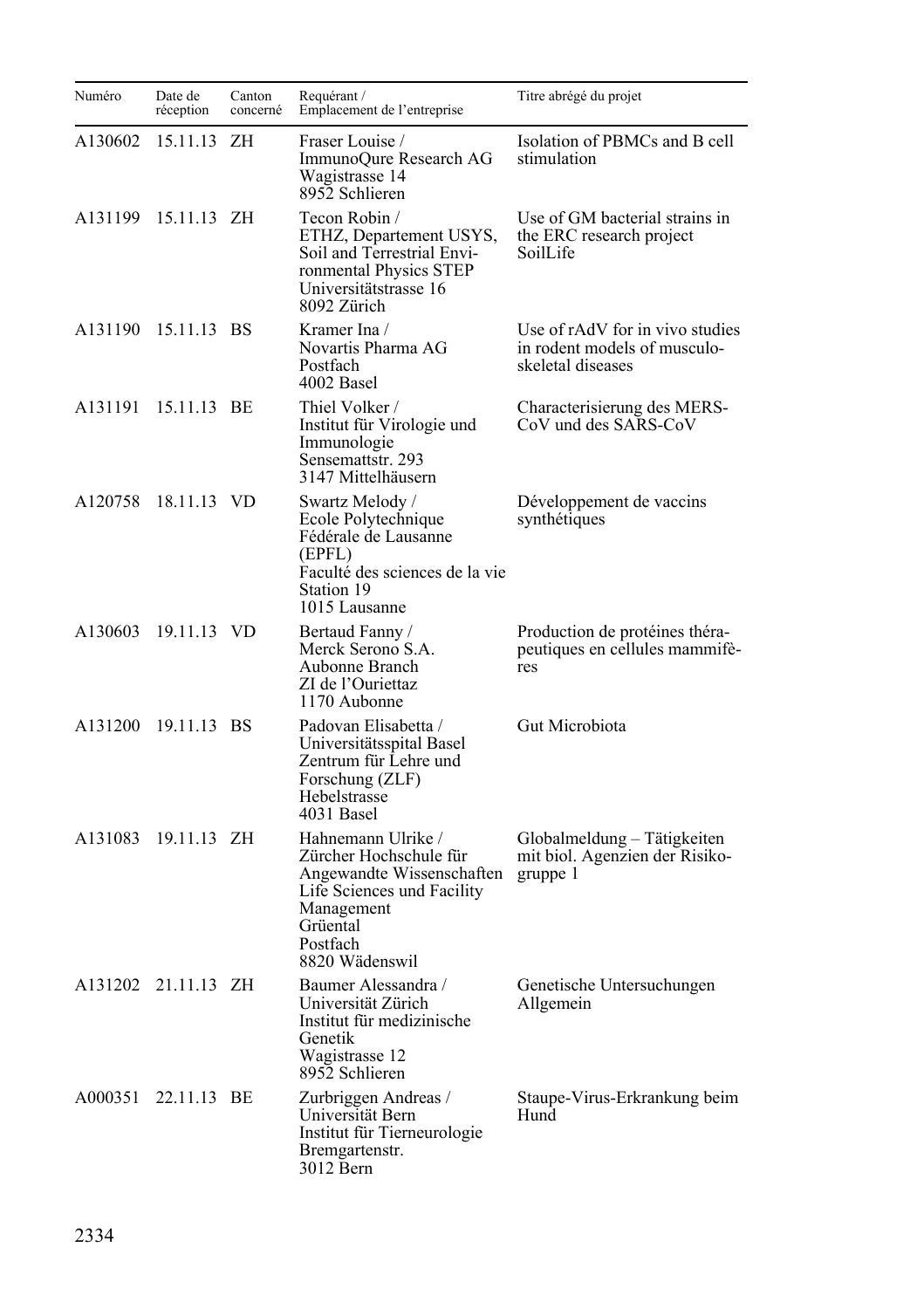| Numéro  | Date de<br>réception | Canton<br>concerné | Requérant /<br>Emplacement de l'entreprise                                                                                                                      | Titre abrégé du projet                                                               |
|---------|----------------------|--------------------|-----------------------------------------------------------------------------------------------------------------------------------------------------------------|--------------------------------------------------------------------------------------|
| A130602 | 15.11.13             | ZH                 | Fraser Louise /<br>ImmunoQure Research AG<br>Wagistrasse 14<br>8952 Schlieren                                                                                   | Isolation of PBMCs and B cell<br>stimulation                                         |
| A131199 | 15.11.13 ZH          |                    | Tecon Robin /<br>ETHZ, Departement USYS,<br>Soil and Terrestrial Envi-<br>ronmental Physics STEP<br>Universitätstrasse 16<br>8092 Zürich                        | Use of GM bacterial strains in<br>the ERC research project<br>SoilLife               |
| A131190 | 15.11.13 BS          |                    | Kramer Ina /<br>Novartis Pharma AG<br>Postfach<br>4002 Basel                                                                                                    | Use of rAdV for in vivo studies<br>in rodent models of musculo-<br>skeletal diseases |
| A131191 | 15.11.13 BE          |                    | Thiel Volker /<br>Institut für Virologie und<br>Immunologie<br>Sensemattstr. 293<br>3147 Mittelhäusern                                                          | Characterisierung des MERS-<br>CoV und des SARS-CoV                                  |
| A120758 | 18.11.13 VD          |                    | Swartz Melody /<br>Ecole Polytechnique<br>Fédérale de Lausanne<br>(EPFL)<br>Faculté des sciences de la vie<br>Station 19<br>1015 Lausanne                       | Développement de vaccins<br>synthétiques                                             |
|         | A130603 19.11.13 VD  |                    | Bertaud Fanny /<br>Merck Serono S.A.<br>Aubonne Branch<br>ZI de l'Ouriettaz<br>1170 Aubonne                                                                     | Production de protéines théra-<br>peutiques en cellules mammifè-<br>res              |
| A131200 | 19.11.13 BS          |                    | Padovan Elisabetta /<br>Universitätsspital Basel<br>Zentrum für Lehre und<br>Forschung (ZLF)<br>Hebelstrasse<br>4031 Basel                                      | Gut Microbiota                                                                       |
| A131083 | 19.11.13 ZH          |                    | Hahnemann Ulrike /<br>Zürcher Hochschule für<br>Angewandte Wissenschaften<br>Life Sciences und Facility<br>Management<br>Grüental<br>Postfach<br>8820 Wädenswil | Globalmeldung – Tätigkeiten<br>mit biol. Agenzien der Risiko-<br>gruppe 1            |
|         | A131202 21.11.13 ZH  |                    | Baumer Alessandra /<br>Universität Zürich<br>Institut für medizinische<br>Genetik<br>Wagistrasse 12<br>8952 Schlieren                                           | Genetische Untersuchungen<br>Allgemein                                               |
| A000351 | 22.11.13 BE          |                    | Zurbriggen Andreas /<br>Universität Bern<br>Institut für Tierneurologie<br>Bremgartenstr.<br>3012 Bern                                                          | Staupe-Virus-Erkrankung beim<br>Hund                                                 |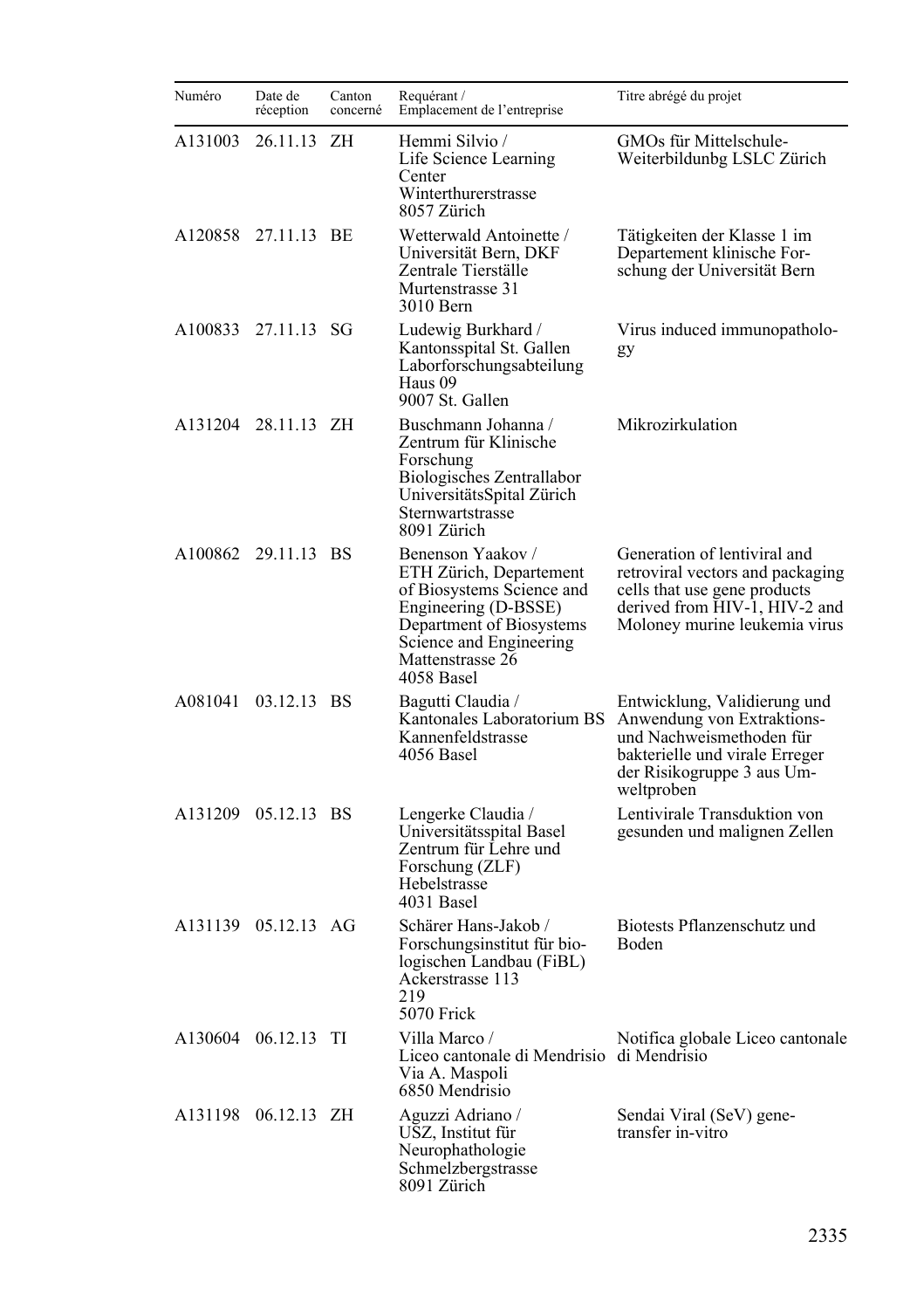| Numéro  | Date de<br>réception | Canton<br>concerné | Requérant /<br>Emplacement de l'entreprise                                                                                                                                                 | Titre abrégé du projet                                                                                                                                               |
|---------|----------------------|--------------------|--------------------------------------------------------------------------------------------------------------------------------------------------------------------------------------------|----------------------------------------------------------------------------------------------------------------------------------------------------------------------|
| A131003 | 26.11.13 ZH          |                    | Hemmi Silvio /<br>Life Science Learning<br>Center<br>Winterthurerstrasse<br>8057 Zürich                                                                                                    | GMOs für Mittelschule-<br>Weiterbildunbg LSLC Zürich                                                                                                                 |
| A120858 | 27.11.13 BE          |                    | Wetterwald Antoinette /<br>Universität Bern, DKF<br>Zentrale Tierställe<br>Murtenstrasse 31<br>3010 Bern                                                                                   | Tätigkeiten der Klasse 1 im<br>Departement klinische For-<br>schung der Universität Bern                                                                             |
|         | A100833 27.11.13 SG  |                    | Ludewig Burkhard /<br>Kantonsspital St. Gallen<br>Laborforschungsabteilung<br>Haus 09<br>9007 St. Gallen                                                                                   | Virus induced immunopatholo-<br>gy                                                                                                                                   |
|         | A131204 28.11.13 ZH  |                    | Buschmann Johanna /<br>Zentrum für Klinische<br>Forschung<br>Biologisches Zentrallabor<br>UniversitätsSpital Zürich<br>Sternwartstrasse<br>8091 Zürich                                     | Mikrozirkulation                                                                                                                                                     |
|         | A100862 29.11.13 BS  |                    | Benenson Yaakov /<br>ETH Zürich, Departement<br>of Biosystems Science and<br>Engineering (D-BSSE)<br>Department of Biosystems<br>Science and Engineering<br>Mattenstrasse 26<br>4058 Basel | Generation of lentiviral and<br>retroviral vectors and packaging<br>cells that use gene products<br>derived from HIV-1, HIV-2 and<br>Moloney murine leukemia virus   |
| A081041 | 03.12.13 BS          |                    | Bagutti Claudia /<br>Kantonales Laboratorium BS<br>Kannenfeldstrasse<br>4056 Basel                                                                                                         | Entwicklung, Validierung und<br>Anwendung von Extraktions-<br>und Nachweismethoden für<br>bakterielle und virale Erreger<br>der Risikogruppe 3 aus Um-<br>weltproben |
| A131209 | 05.12.13 BS          |                    | Lengerke Claudia /<br>Universitätsspital Basel<br>Zentrum für Lehre und<br>Forschung (ZLF)<br>Hebelstrasse<br>4031 Basel                                                                   | Lentivirale Transduktion von<br>gesunden und malignen Zellen                                                                                                         |
| A131139 | 05.12.13 AG          |                    | Schärer Hans-Jakob /<br>Forschungsinstitut für bio-<br>logischen Landbau (FiBL)<br>Ackerstrasse 113<br>219<br>5070 Frick                                                                   | Biotests Pflanzenschutz und<br>Boden                                                                                                                                 |
|         | A130604 06.12.13 TI  |                    | Villa Marco /<br>Liceo cantonale di Mendrisio di Mendrisio<br>Via A. Maspoli<br>6850 Mendrisio                                                                                             | Notifica globale Liceo cantonale                                                                                                                                     |
| A131198 | 06.12.13 ZH          |                    | Aguzzi Adriano /<br>USZ, Institut für<br>Neurophathologie<br>Schmelzbergstrasse<br>8091 Zürich                                                                                             | Sendai Viral (SeV) gene-<br>transfer in-vitro                                                                                                                        |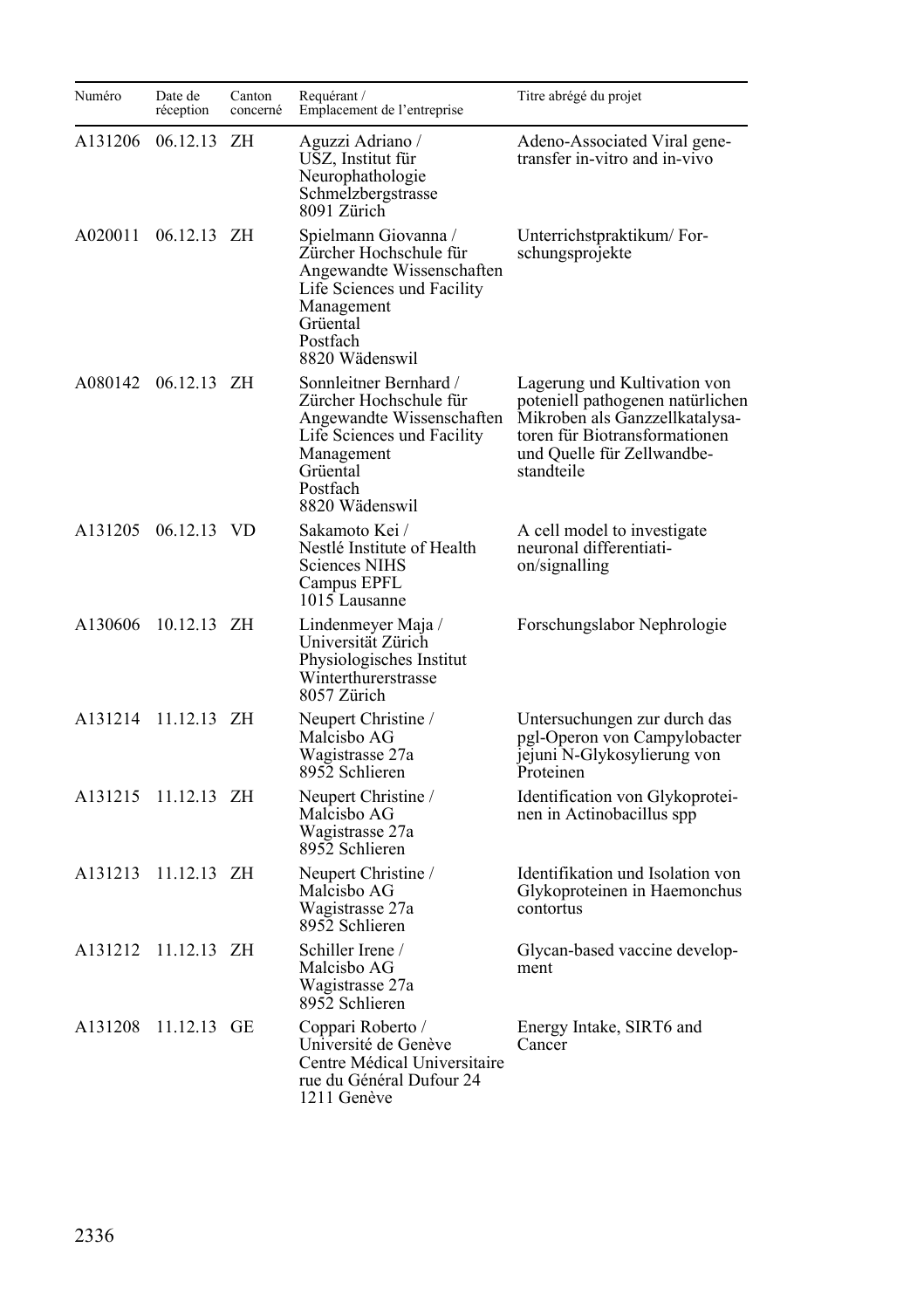| Numéro  | Date de<br>réception | Canton<br>concerné | Requérant /<br>Emplacement de l'entreprise                                                                                                                          | Titre abrégé du projet                                                                                                                                                          |
|---------|----------------------|--------------------|---------------------------------------------------------------------------------------------------------------------------------------------------------------------|---------------------------------------------------------------------------------------------------------------------------------------------------------------------------------|
| A131206 | 06.12.13             | ΖH                 | Aguzzi Adriano /<br>USZ, Institut für<br>Neurophathologie<br>Schmelzbergstrasse<br>8091 Zürich                                                                      | Adeno-Associated Viral gene-<br>transfer in-vitro and in-vivo                                                                                                                   |
| A020011 | 06.12.13 ZH          |                    | Spielmann Giovanna /<br>Zürcher Hochschule für<br>Angewandte Wissenschaften<br>Life Sciences und Facility<br>Management<br>Grüental<br>Postfach<br>8820 Wädenswil   | Unterrichstpraktikum/For-<br>schungsprojekte                                                                                                                                    |
|         | A080142 06.12.13 ZH  |                    | Sonnleitner Bernhard /<br>Zürcher Hochschule für<br>Angewandte Wissenschaften<br>Life Sciences und Facility<br>Management<br>Grüental<br>Postfach<br>8820 Wädenswil | Lagerung und Kultivation von<br>poteniell pathogenen natürlichen<br>Mikroben als Ganzzellkatalysa-<br>toren für Biotransformationen<br>und Quelle für Zellwandbe-<br>standteile |
|         | A131205 06.12.13 VD  |                    | Sakamoto Kei /<br>Nestlé Institute of Health<br><b>Sciences NIHS</b><br>Campus EPFL<br>1015 Lausanne                                                                | A cell model to investigate<br>neuronal differentiati-<br>on/signalling                                                                                                         |
| A130606 | 10.12.13 ZH          |                    | Lindenmeyer Maja /<br>Universität Zürich<br>Physiologisches Institut<br>Winterthurerstrasse<br>8057 Zürich                                                          | Forschungslabor Nephrologie                                                                                                                                                     |
| A131214 | 11.12.13 ZH          |                    | Neupert Christine /<br>Malcisbo AG<br>Wagistrasse 27a<br>8952 Schlieren                                                                                             | Untersuchungen zur durch das<br>pgl-Operon von Campylobacter<br>jejuni N-Glykosylierung von<br>Proteinen                                                                        |
| A131215 | $11.12.13$ ZH        |                    | Neupert Christine /<br>Malcisbo AG<br>Wagistrasse 27a<br>8952 Schlieren                                                                                             | Identification von Glykoprotei-<br>nen in Actinobacillus spp                                                                                                                    |
| A131213 | $11.12.13$ ZH        |                    | Neupert Christine /<br>Malcisbo AG<br>Wagistrasse 27a<br>8952 Schlieren                                                                                             | Identifikation und Isolation von<br>Glykoproteinen in Haemonchus<br>contortus                                                                                                   |
| A131212 | 11.12.13 ZH          |                    | Schiller Irene /<br>Malcisbo AG<br>Wagistrasse 27a<br>8952 Schlieren                                                                                                | Glycan-based vaccine develop-<br>ment                                                                                                                                           |
| A131208 | 11.12.13 GE          |                    | Coppari Roberto /<br>Université de Genève<br>Centre Médical Universitaire<br>rue du Général Dufour 24<br>1211 Genève                                                | Energy Intake, SIRT6 and<br>Cancer                                                                                                                                              |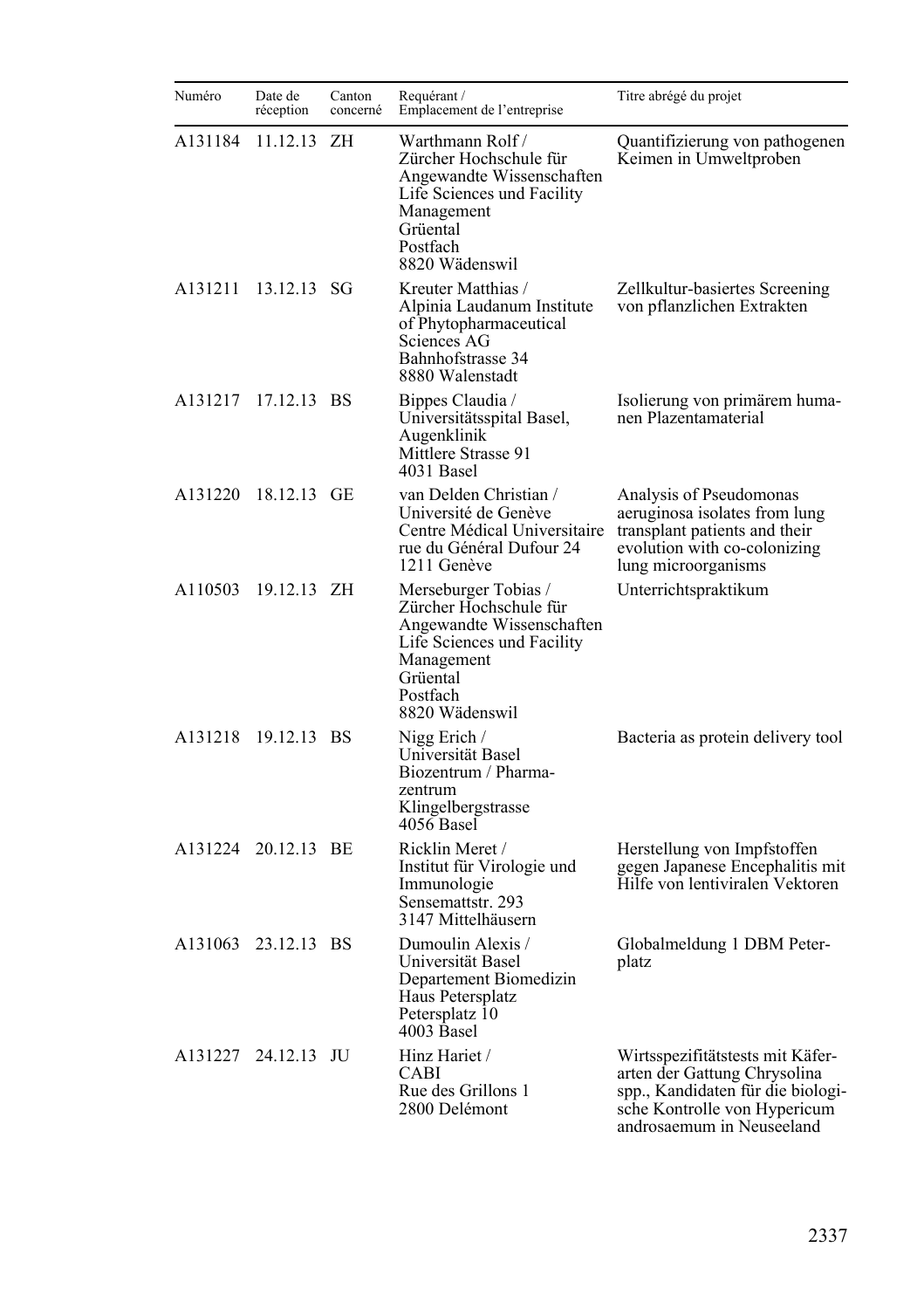| Numéro  | Date de<br>réception | Canton<br>concerné | Requérant /<br>Emplacement de l'entreprise                                                                                                                        | Titre abrégé du projet                                                                                                                                             |
|---------|----------------------|--------------------|-------------------------------------------------------------------------------------------------------------------------------------------------------------------|--------------------------------------------------------------------------------------------------------------------------------------------------------------------|
| A131184 | 11.12.13             | ΖH                 | Warthmann Rolf /<br>Zürcher Hochschule für<br>Angewandte Wissenschaften<br>Life Sciences und Facility<br>Management<br>Grüental<br>Postfach<br>8820 Wädenswil     | Quantifizierung von pathogenen<br>Keimen in Umweltproben                                                                                                           |
| A131211 | 13.12.13 SG          |                    | Kreuter Matthias /<br>Alpinia Laudanum Institute<br>of Phytopharmaceutical<br>Sciences AG<br>Bahnhofstrasse 34<br>8880 Walenstadt                                 | Zellkultur-basiertes Screening<br>von pflanzlichen Extrakten                                                                                                       |
| A131217 | 17.12.13 BS          |                    | Bippes Claudia /<br>Universitätsspital Basel,<br>Augenklinik<br>Mittlere Strasse 91<br>4031 Basel                                                                 | Isolierung von primärem huma-<br>nen Plazentamaterial                                                                                                              |
| A131220 | 18.12.13 GE          |                    | van Delden Christian /<br>Université de Genève<br>Centre Médical Universitaire<br>rue du Général Dufour 24<br>1211 Genève                                         | Analysis of Pseudomonas<br>aeruginosa isolates from lung<br>transplant patients and their<br>evolution with co-colonizing<br>lung microorganisms                   |
| A110503 | 19.12.13 ZH          |                    | Merseburger Tobias /<br>Zürcher Hochschule für<br>Angewandte Wissenschaften<br>Life Sciences und Facility<br>Management<br>Grüental<br>Postfach<br>8820 Wädenswil | Unterrichtspraktikum                                                                                                                                               |
| A131218 | 19.12.13 BS          |                    | Nigg Erich /<br>Universität Basel<br>Biozentrum / Pharma-<br>zentrum<br>Klingelbergstrasse<br>4056 Basel                                                          | Bacteria as protein delivery tool                                                                                                                                  |
| A131224 | 20.12.13 BE          |                    | Ricklin Meret /<br>Institut für Virologie und<br>Immunologie<br>Sensemattstr. 293<br>3147 Mittelhäusern                                                           | Herstellung von Impfstoffen<br>gegen Japanese Encephalitis mit<br>Hilfe von lentiviralen Vektoren                                                                  |
| A131063 | 23.12.13 BS          |                    | Dumoulin Alexis /<br>Universität Basel<br>Departement Biomedizin<br>Haus Petersplatz<br>Petersplatz 10<br>4003 Basel                                              | Globalmeldung 1 DBM Peter-<br>platz                                                                                                                                |
|         | A131227 24.12.13 JU  |                    | Hinz Hariet /<br>CABI<br>Rue des Grillons 1<br>2800 Delémont                                                                                                      | Wirtsspezifitätstests mit Käfer-<br>arten der Gattung Chrysolina<br>spp., Kandidaten für die biologi-<br>sche Kontrolle von Hypericum<br>androsaemum in Neuseeland |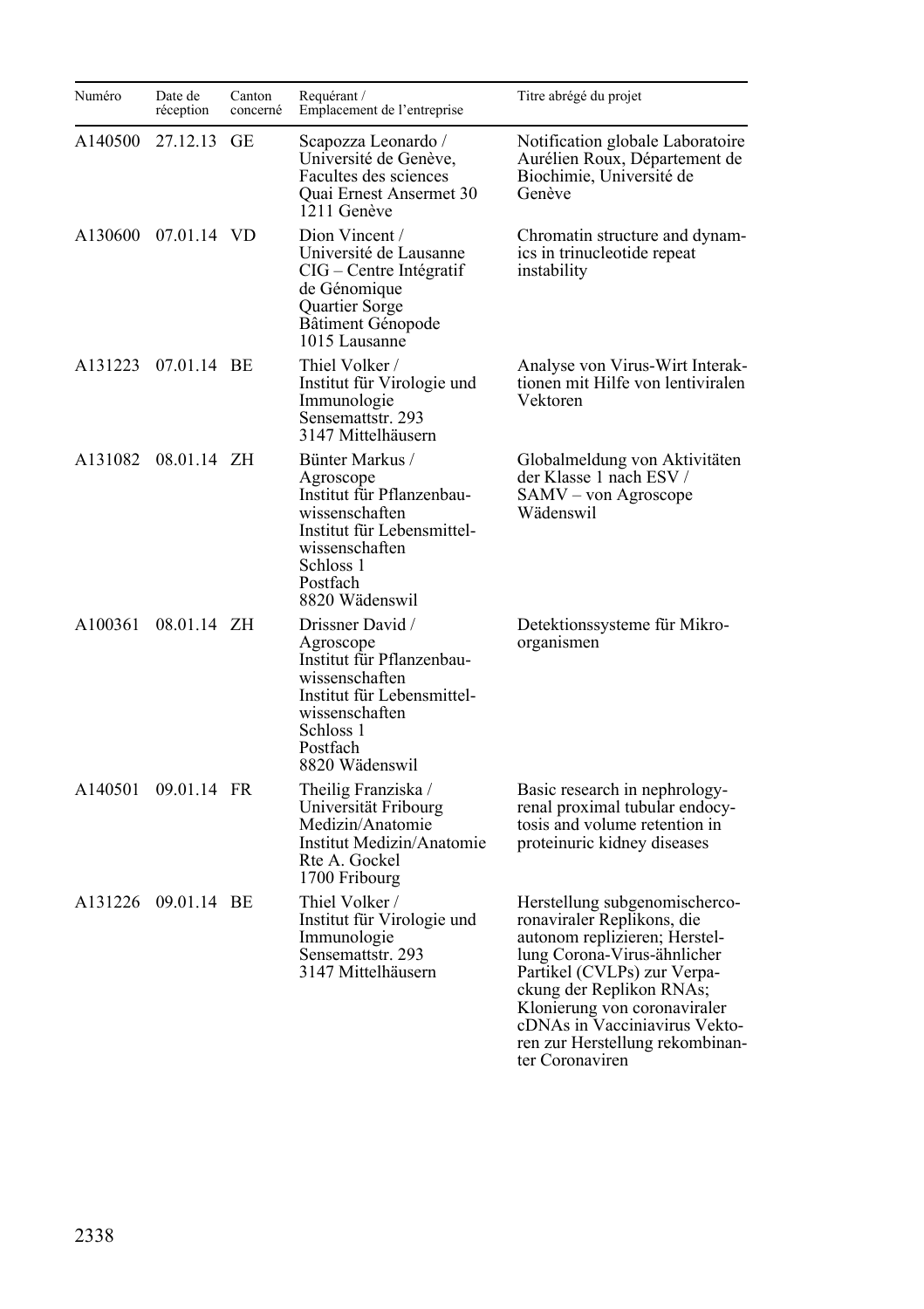| Numéro  | Date de<br>réception | Canton<br>concerné | Requérant /<br>Emplacement de l'entreprise                                                                                                                              | Titre abrégé du projet                                                                                                                                                                                                                                                                                        |
|---------|----------------------|--------------------|-------------------------------------------------------------------------------------------------------------------------------------------------------------------------|---------------------------------------------------------------------------------------------------------------------------------------------------------------------------------------------------------------------------------------------------------------------------------------------------------------|
| A140500 | 27.12.13 GE          |                    | Scapozza Leonardo /<br>Université de Genève,<br>Facultes des sciences<br>Quai Ernest Ansermet 30<br>1211 Genève                                                         | Notification globale Laboratoire<br>Aurélien Roux, Département de<br>Biochimie, Université de<br>Genève                                                                                                                                                                                                       |
|         | A130600 07.01.14 VD  |                    | Dion Vincent /<br>Université de Lausanne<br>CIG – Centre Intégratif<br>de Génomique<br>Quartier Sorge<br>Bâtiment Génopode<br>1015 Lausanne                             | Chromatin structure and dynam-<br>ics in trinucleotide repeat<br>instability                                                                                                                                                                                                                                  |
| A131223 | 07.01.14 BE          |                    | Thiel Volker /<br>Institut für Virologie und<br>Immunologie<br>Sensemattstr. 293<br>3147 Mittelhäusern                                                                  | Analyse von Virus-Wirt Interak-<br>tionen mit Hilfe von lentiviralen<br>Vektoren                                                                                                                                                                                                                              |
| A131082 | 08.01.14 ZH          |                    | Bünter Markus /<br>Agroscope<br>Institut für Pflanzenbau-<br>wissenschaften<br>Institut für Lebensmittel-<br>wissenschaften<br>Schloss 1<br>Postfach<br>8820 Wädenswil  | Globalmeldung von Aktivitäten<br>der Klasse 1 nach ESV /<br>SAMV - von Agroscope<br>Wädenswil                                                                                                                                                                                                                 |
| A100361 | 08.01.14 ZH          |                    | Drissner David /<br>Agroscope<br>Institut für Pflanzenbau-<br>wissenschaften<br>Institut für Lebensmittel-<br>wissenschaften<br>Schloss 1<br>Postfach<br>8820 Wädenswil | Detektionssysteme für Mikro-<br>organismen                                                                                                                                                                                                                                                                    |
| A140501 | 09.01.14 FR          |                    | Theilig Franziska /<br>Universität Fribourg<br>Medizin/Anatomie<br>Institut Medizin/Anatomie<br>Rte A. Gockel<br>1700 Fribourg                                          | Basic research in nephrology-<br>renal proximal tubular endocy-<br>tosis and volume retention in<br>proteinuric kidney diseases                                                                                                                                                                               |
|         | A131226 09.01.14 BE  |                    | Thiel Volker /<br>Institut für Virologie und<br>Immunologie<br>Sensemattstr. 293<br>3147 Mittelhäusern                                                                  | Herstellung subgenomischerco-<br>ronaviraler Replikons, die<br>autonom replizieren; Herstel-<br>lung Corona-Virus-ähnlicher<br>Partikel (CVLPs) zur Verpa-<br>ckung der Replikon RNAs;<br>Klonierung von coronaviraler<br>cDNAs in Vacciniavirus Vekto-<br>ren zur Herstellung rekombinan-<br>ter Coronaviren |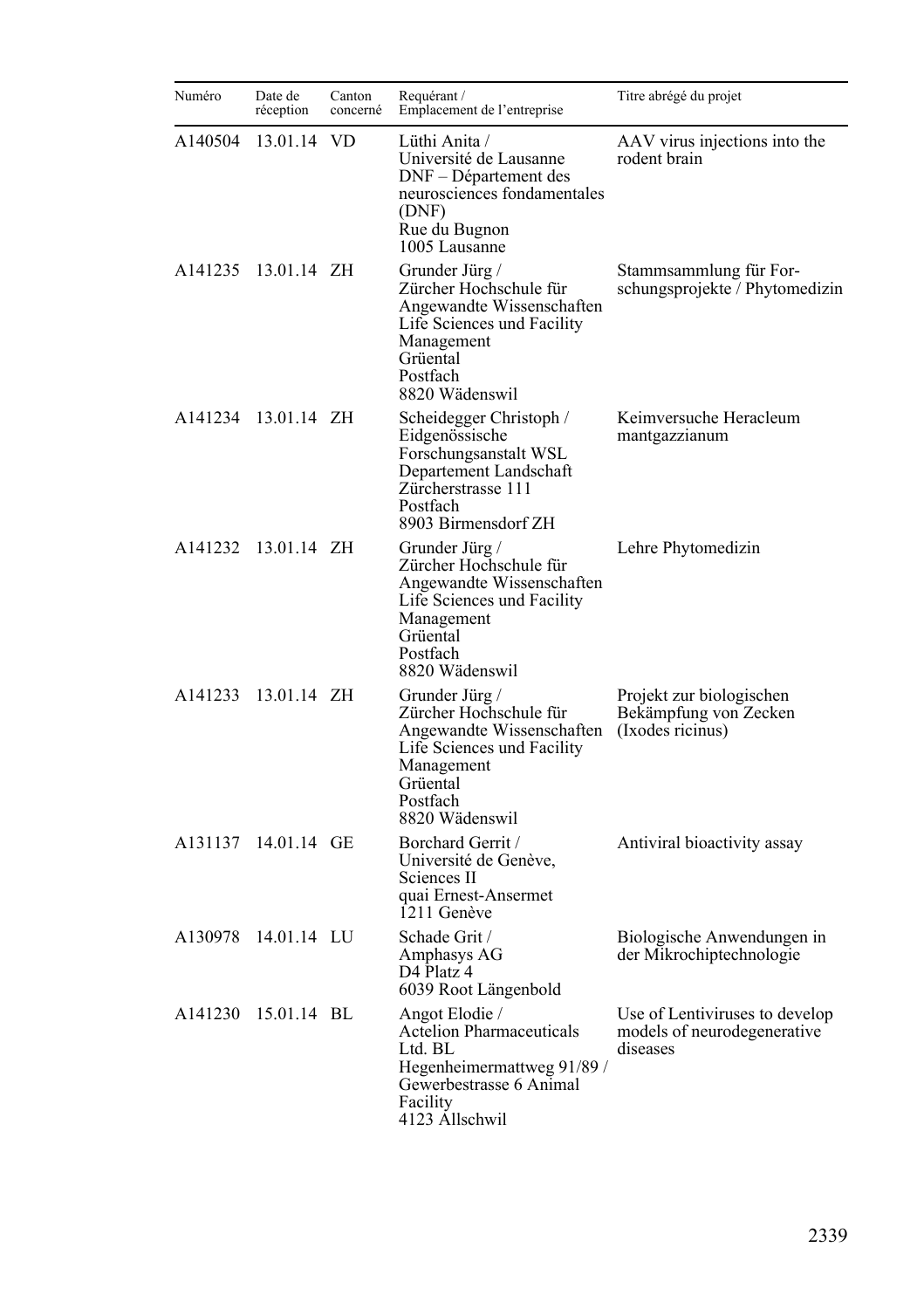| Numéro  | Date de<br>réception | Canton<br>concerné | Requérant /<br>Emplacement de l'entreprise                                                                                                                  | Titre abrégé du projet                                                    |
|---------|----------------------|--------------------|-------------------------------------------------------------------------------------------------------------------------------------------------------------|---------------------------------------------------------------------------|
| A140504 | 13.01.14 VD          |                    | Lüthi Anita /<br>Université de Lausanne<br>DNF - Département des<br>neurosciences fondamentales<br>(DNF)<br>Rue du Bugnon<br>1005 Lausanne                  | AAV virus injections into the<br>rodent brain                             |
| A141235 | 13.01.14 ZH          |                    | Grunder Jürg /<br>Zürcher Hochschule für<br>Angewandte Wissenschaften<br>Life Sciences und Facility<br>Management<br>Grüental<br>Postfach<br>8820 Wädenswil | Stammsammlung für For-<br>schungsprojekte / Phytomedizin                  |
| A141234 | 13.01.14 ZH          |                    | Scheidegger Christoph /<br>Eidgenössische<br>Forschungsanstalt WSL<br>Departement Landschaft<br>Zürcherstrasse 111<br>Postfach<br>8903 Birmensdorf ZH       | Keimversuche Heracleum<br>mantgazzianum                                   |
| A141232 | 13.01.14 ZH          |                    | Grunder Jürg /<br>Zürcher Hochschule für<br>Angewandte Wissenschaften<br>Life Sciences und Facility<br>Management<br>Grüental<br>Postfach<br>8820 Wädenswil | Lehre Phytomedizin                                                        |
| A141233 | 13.01.14 ZH          |                    | Grunder Jürg /<br>Zürcher Hochschule für<br>Angewandte Wissenschaften<br>Life Sciences und Facility<br>Management<br>Grüental<br>Postfach<br>8820 Wädenswil | Projekt zur biologischen<br>Bekämpfung von Zecken<br>(Ixodes ricinus)     |
| A131137 | 14.01.14 GE          |                    | Borchard Gerrit /<br>Université de Genève,<br>Sciences II<br>quai Ernest-Ansermet<br>1211 Genève                                                            | Antiviral bioactivity assay                                               |
| A130978 | 14.01.14 LU          |                    | Schade Grit /<br>Amphasys AG<br>D4 Platz 4<br>6039 Root Längenbold                                                                                          | Biologische Anwendungen in<br>der Mikrochiptechnologie                    |
| A141230 | 15.01.14 BL          |                    | Angot Elodie /<br>Actelion Pharmaceuticals<br>Ltd. BL<br>Hegenheimermattweg 91/89/<br>Gewerbestrasse 6 Animal<br>Facility<br>4123 Allschwil                 | Use of Lentiviruses to develop<br>models of neurodegenerative<br>diseases |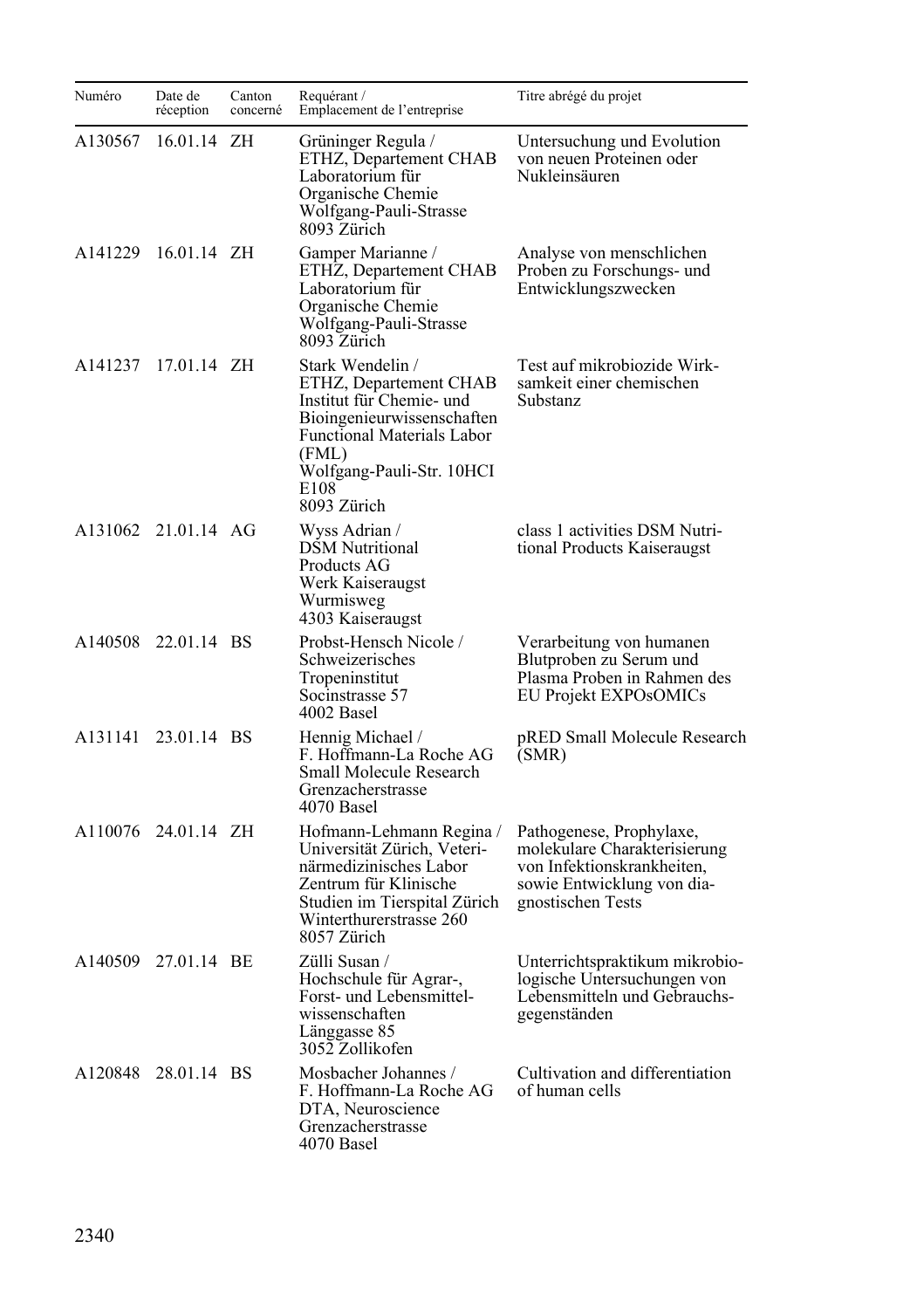| Numéro  | Date de<br>réception | Canton<br>concerné | Requérant /<br>Emplacement de l'entreprise                                                                                                                                                             | Titre abrégé du projet                                                                                                                    |
|---------|----------------------|--------------------|--------------------------------------------------------------------------------------------------------------------------------------------------------------------------------------------------------|-------------------------------------------------------------------------------------------------------------------------------------------|
| A130567 | 16.01.14             | ΖH                 | Grüninger Regula /<br>ETHZ, Departement CHAB<br>Laboratorium für<br>Organische Chemie<br>Wolfgang-Pauli-Strasse<br>8093 Zürich                                                                         | Untersuchung und Evolution<br>von neuen Proteinen oder<br>Nukleinsäuren                                                                   |
| A141229 | 16.01.14 ZH          |                    | Gamper Marianne /<br>ETHZ, Departement CHAB<br>Laboratorium für<br>Organische Chemie<br>Wolfgang-Pauli-Strasse<br>8093 Zürich                                                                          | Analyse von menschlichen<br>Proben zu Forschungs- und<br>Entwicklungszwecken                                                              |
| A141237 | 17.01.14 ZH          |                    | Stark Wendelin /<br>ETHZ, Departement CHAB<br>Institut für Chemie- und<br>Bioingenieurwissenschaften<br><b>Functional Materials Labor</b><br>(FML)<br>Wolfgang-Pauli-Str. 10HCI<br>E108<br>8093 Zürich | Test auf mikrobiozide Wirk-<br>samkeit einer chemischen<br>Substanz                                                                       |
|         | A131062 21.01.14 AG  |                    | Wyss Adrian /<br><b>DSM Nutritional</b><br>Products AG<br>Werk Kaiseraugst<br>Wurmisweg<br>4303 Kaiseraugst                                                                                            | class 1 activities DSM Nutri-<br>tional Products Kaiseraugst                                                                              |
|         | A140508 22.01.14 BS  |                    | Probst-Hensch Nicole /<br>Schweizerisches<br>Tropeninstitut<br>Socinstrasse 57<br>4002 Basel                                                                                                           | Verarbeitung von humanen<br>Blutproben zu Serum und<br>Plasma Proben in Rahmen des<br>EU Projekt EXPOsOMICs                               |
| A131141 | 23.01.14 BS          |                    | Hennig Michael /<br>F. Hoffmann-La Roche AG<br>Small Molecule Research<br>Grenzacherstrasse<br>4070 Basel                                                                                              | pRED Small Molecule Research<br>(SMR)                                                                                                     |
|         | A110076 24.01.14 ZH  |                    | Hofmann-Lehmann Regina /<br>Universität Zürich, Veteri-<br>närmedizinisches Labor<br>Zentrum für Klinische<br>Studien im Tierspital Zürich<br>Winterthurerstrasse 260<br>8057 Zürich                   | Pathogenese, Prophylaxe,<br>molekulare Charakterisierung<br>von Infektionskrankheiten,<br>sowie Entwicklung von dia-<br>gnostischen Tests |
|         | A140509 27.01.14 BE  |                    | Zülli Susan /<br>Hochschule für Agrar-,<br>Forst- und Lebensmittel-<br>wissenschaften<br>Länggasse 85<br>3052 Zollikofen                                                                               | Unterrichtspraktikum mikrobio-<br>logische Untersuchungen von<br>Lebensmitteln und Gebrauchs-<br>gegenständen                             |
| A120848 | 28.01.14 BS          |                    | Mosbacher Johannes /<br>F. Hoffmann-La Roche AG<br>DTA, Neuroscience<br>Grenzacherstrasse<br>4070 Basel                                                                                                | Cultivation and differentiation<br>of human cells                                                                                         |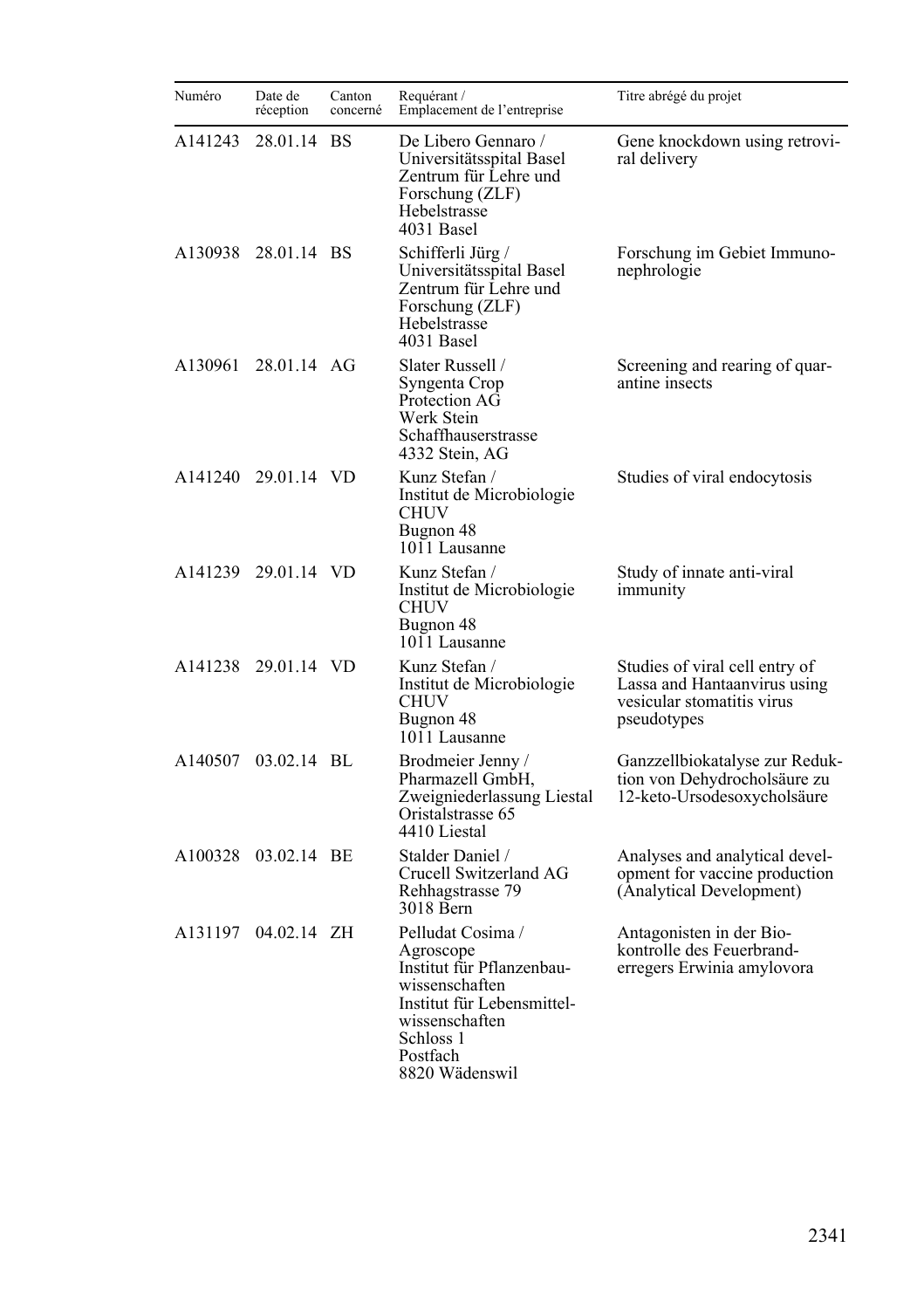| Numéro  | Date de<br>réception | Canton<br>concerné | Requérant /<br>Emplacement de l'entreprise                                                                                                                               | Titre abrégé du projet                                                                                      |
|---------|----------------------|--------------------|--------------------------------------------------------------------------------------------------------------------------------------------------------------------------|-------------------------------------------------------------------------------------------------------------|
| A141243 | 28.01.14 BS          |                    | De Libero Gennaro /<br>Universitätsspital Basel<br>Zentrum für Lehre und<br>Forschung (ZLF)<br>Hebelstrasse<br>4031 Basel                                                | Gene knockdown using retrovi-<br>ral delivery                                                               |
|         | A130938 28.01.14 BS  |                    | Schifferli Jürg /<br>Universitätsspital Basel<br>Zentrum für Lehre und<br>Forschung (ZLF)<br>Hebelstrasse<br>4031 Basel                                                  | Forschung im Gebiet Immuno-<br>nephrologie                                                                  |
| A130961 | 28.01.14 AG          |                    | Slater Russell /<br>Syngenta Crop<br>Protection AG<br>Werk Stein<br>Schaffhauserstrasse<br>4332 Stein, AG                                                                | Screening and rearing of quar-<br>antine insects                                                            |
|         | A141240 29.01.14 VD  |                    | Kunz Stefan /<br>Institut de Microbiologie<br>CHUV<br>Bugnon 48<br>1011 Lausanne                                                                                         | Studies of viral endocytosis                                                                                |
|         | A141239 29.01.14 VD  |                    | Kunz Stefan /<br>Institut de Microbiologie<br>CHUV<br>Bugnon 48<br>1011 Lausanne                                                                                         | Study of innate anti-viral<br>immunity                                                                      |
|         | A141238 29.01.14 VD  |                    | Kunz Stefan /<br>Institut de Microbiologie<br><b>CHUV</b><br>Bugnon 48<br>1011 Lausanne                                                                                  | Studies of viral cell entry of<br>Lassa and Hantaanvirus using<br>vesicular stomatitis virus<br>pseudotypes |
| A140507 | 03.02.14 BL          |                    | Brodmeier Jenny /<br>Pharmazell GmbH,<br>Zweigniederlassung Liestal<br>Oristalstrasse 65<br>4410 Liestal                                                                 | Ganzzellbiokatalyse zur Reduk-<br>tion von Dehydrocholsäure zu<br>12-keto-Ursodesoxycholsäure               |
|         | A100328 03.02.14 BE  |                    | Stalder Daniel /<br>Crucell Switzerland AG<br>Rehhagstrasse 79<br>3018 Bern                                                                                              | Analyses and analytical devel-<br>opment for vaccine production<br>(Analytical Development)                 |
| A131197 | 04.02.14 ZH          |                    | Pelludat Cosima /<br>Agroscope<br>Institut für Pflanzenbau-<br>wissenschaften<br>Institut für Lebensmittel-<br>wissenschaften<br>Schloss 1<br>Postfach<br>8820 Wädenswil | Antagonisten in der Bio-<br>kontrolle des Feuerbrand-<br>erregers Erwinia amylovora                         |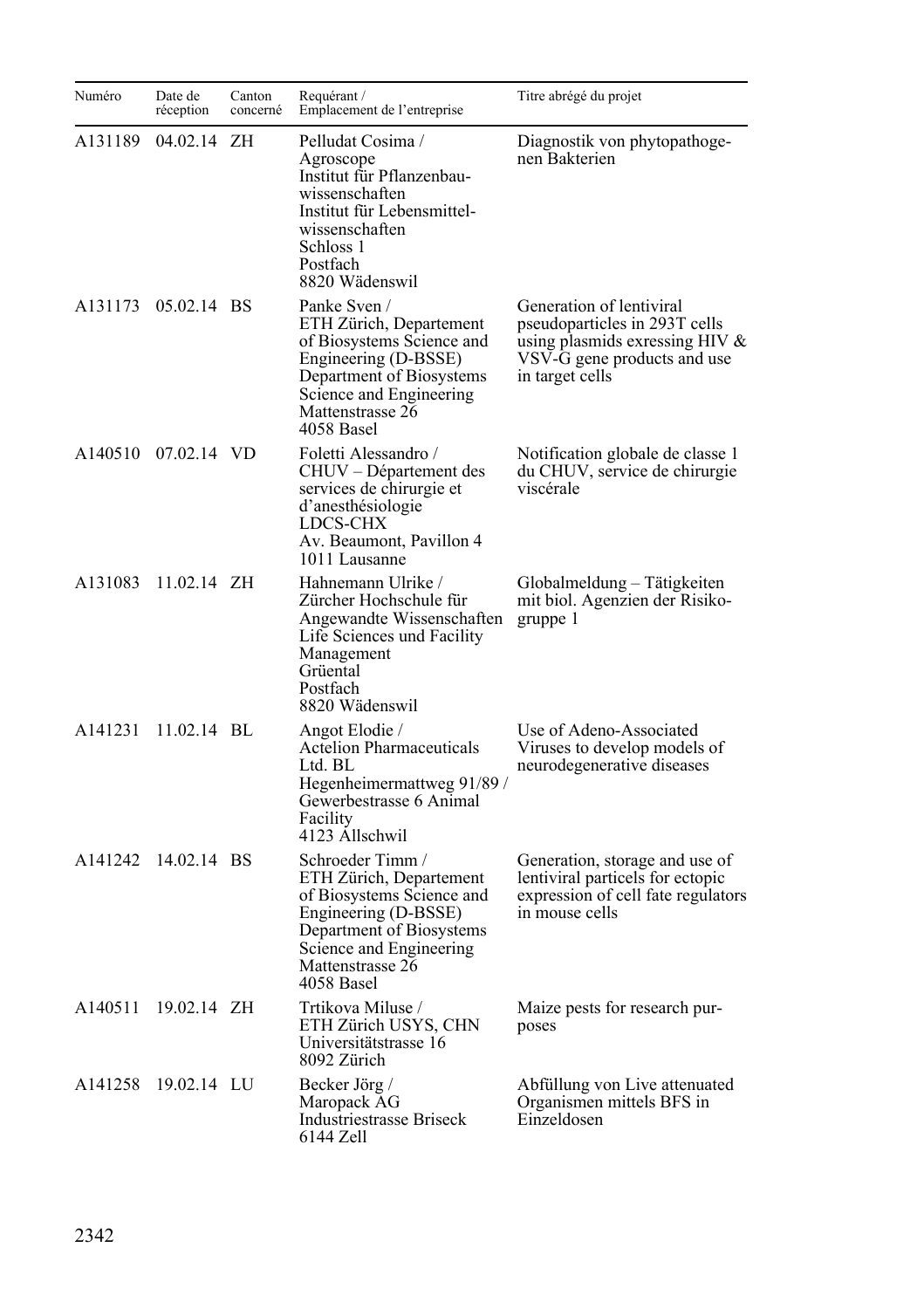| Numéro  | Date de<br>réception | Canton<br>concerné | Requérant /<br>Emplacement de l'entreprise                                                                                                                                                | Titre abrégé du projet                                                                                                                        |
|---------|----------------------|--------------------|-------------------------------------------------------------------------------------------------------------------------------------------------------------------------------------------|-----------------------------------------------------------------------------------------------------------------------------------------------|
| A131189 | 04.02.14             | ZΗ                 | Pelludat Cosima /<br>Agroscope<br>Institut für Pflanzenbau-<br>wissenschaften<br>Institut für Lebensmittel-<br>wissenschaften<br>Schloss 1<br>Postfach<br>8820 Wädenswil                  | Diagnostik von phytopathoge-<br>nen Bakterien                                                                                                 |
|         | A131173 05.02.14 BS  |                    | Panke Sven /<br>ETH Zürich, Departement<br>of Biosystems Science and<br>Engineering (D-BSSE)<br>Department of Biosystems<br>Science and Engineering<br>Mattenstrasse 26<br>4058 Basel     | Generation of lentiviral<br>pseudoparticles in 293T cells<br>using plasmids exressing HIV &<br>VSV-G gene products and use<br>in target cells |
|         | A140510 07.02.14 VD  |                    | Foletti Alessandro /<br>CHUV – Département des<br>services de chirurgie et<br>d'anesthésiologie<br>LDCS-CHX<br>Av. Beaumont, Pavillon 4<br>1011 Lausanne                                  | Notification globale de classe 1<br>du CHUV, service de chirurgie<br>viscérale                                                                |
| A131083 | $11.02.14$ ZH        |                    | Hahnemann Ulrike /<br>Zürcher Hochschule für<br>Angewandte Wissenschaften<br>Life Sciences und Facility<br>Management<br>Grüental<br>Postfach<br>8820 Wädenswil                           | Globalmeldung – Tätigkeiten<br>mit biol. Agenzien der Risiko-<br>gruppe 1                                                                     |
| A141231 | 11.02.14 BL          |                    | Angot Elodie /<br>Actelion Pharmaceuticals<br>Ltd. BL<br>Hegenheimermattweg 91/89/<br>Gewerbestrasse 6 Animal<br>Facility<br>4123 Allschwil                                               | Use of Adeno-Associated<br>Viruses to develop models of<br>neurodegenerative diseases                                                         |
| A141242 | 14.02.14 BS          |                    | Schroeder Timm /<br>ETH Zürich, Departement<br>of Biosystems Science and<br>Engineering (D-BSSE)<br>Department of Biosystems<br>Science and Engineering<br>Mattenstrasse 26<br>4058 Basel | Generation, storage and use of<br>lentiviral particels for ectopic<br>expression of cell fate regulators<br>in mouse cells                    |
| A140511 | 19.02.14 ZH          |                    | Trtikova Miluse /<br>ETH Zürich USYS, CHN<br>Universitätstrasse 16<br>8092 Zürich                                                                                                         | Maize pests for research pur-<br>poses                                                                                                        |
| A141258 | 19.02.14 LU          |                    | Becker Jörg /<br>Maropack AG<br>Industriestrasse Briseck<br>6144 Zell                                                                                                                     | Abfüllung von Live attenuated<br>Organismen mittels BFS in<br>Einzeldosen                                                                     |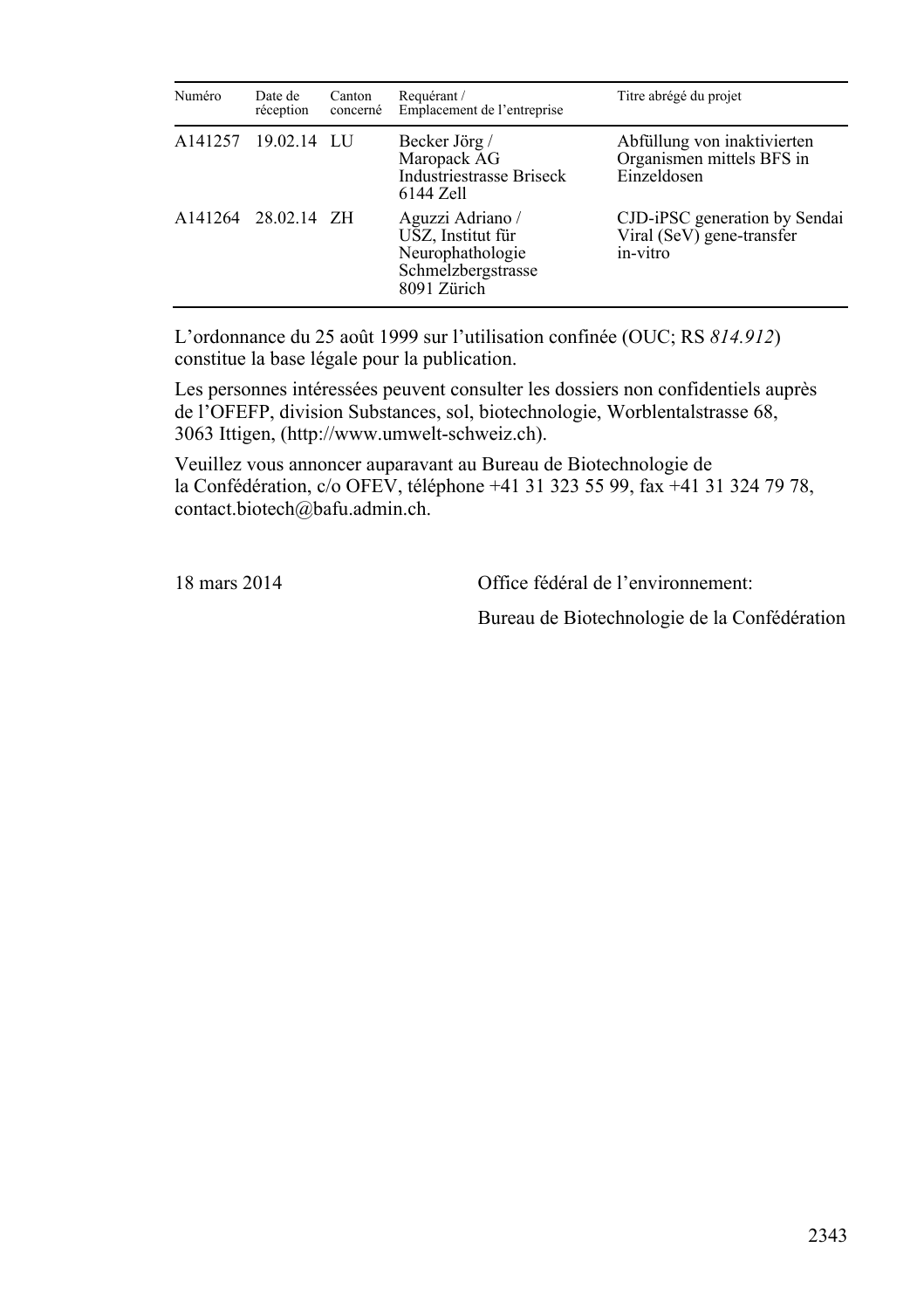| Numéro              | Date de<br>réception | Canton<br>concerné | Requérant /<br>Emplacement de l'entreprise                                                     | Titre abrégé du projet                                                  |
|---------------------|----------------------|--------------------|------------------------------------------------------------------------------------------------|-------------------------------------------------------------------------|
|                     | A141257 19.02.14 LU  |                    | Becker Jörg /<br>Maropack AG<br>Industriestrasse Briseck<br>6144 Zell                          | Abfüllung von inaktivierten<br>Organismen mittels BFS in<br>Einzeldosen |
| A141264 28.02.14 ZH |                      |                    | Aguzzi Adriano /<br>USZ, Institut für<br>Neurophathologie<br>Schmelzbergstrasse<br>8091 Zürich | CJD-iPSC generation by Sendai<br>Viral (SeV) gene-transfer<br>in-vitro  |

L'ordonnance du 25 août 1999 sur l'utilisation confinée (OUC; RS *814.912*) constitue la base légale pour la publication.

Les personnes intéressées peuvent consulter les dossiers non confidentiels auprès de l'OFEFP, division Substances, sol, biotechnologie, Worblentalstrasse 68, 3063 Ittigen, (http://www.umwelt-schweiz.ch).

Veuillez vous annoncer auparavant au Bureau de Biotechnologie de la Confédération, c/o OFEV, téléphone +41 31 323 55 99, fax +41 31 324 79 78, contact.biotech@bafu.admin.ch.

18 mars 2014 Office fédéral de l'environnement:

Bureau de Biotechnologie de la Confédération